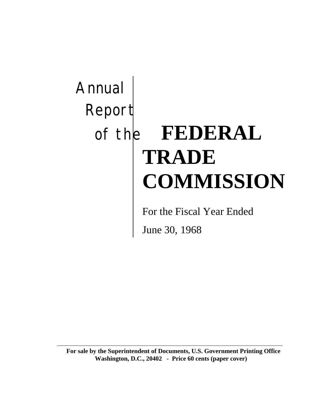# Annual Report of the **FEDERAL TRADE COMMISSION**

For the Fiscal Year Ended

June 30, 1968

**For sale by the Superintendent of Documents, U.S. Government Printing Office Washington, D.C., 20402 - Price 60 cents (paper cover)**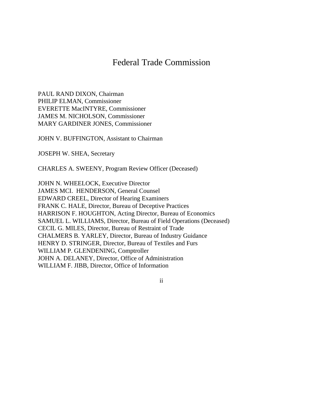# Federal Trade Commission

PAUL RAND DIXON, Chairman PHILIP ELMAN, Commissioner EVERETTE MacINTYRE, Commissioner JAMES M. NICHOLSON, Commissioner MARY GARDINER JONES, Commissioner

JOHN V. BUFFINGTON, Assistant to Chairman

JOSEPH W. SHEA, Secretary

CHARLES A. SWEENY, Program Review Officer (Deceased)

JOHN N. WHEELOCK, Executive Director JAMES MCI. HENDERSON, General Counsel EDWARD CREEL, Director of Hearing Examiners FRANK C. HALE, Director, Bureau of Deceptive Practices HARRISON F. HOUGHTON, Acting Director, Bureau of Economics SAMUEL L. WILLIAMS, Director, Bureau of Field Operations (Deceased) CECIL G. MILES, Director, Bureau of Restraint of Trade CHALMERS B. YARLEY, Director, Bureau of Industry Guidance HENRY D. STRINGER, Director, Bureau of Textiles and Furs WILLIAM P. GLENDENING, Comptroller JOHN A. DELANEY, Director, Office of Administration WILLIAM F. JIBB, Director, Office of Information

ii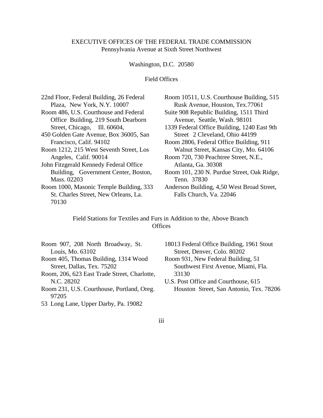#### EXECUTIVE OFFICES OF THE FEDERAL TRADE COMMISSION Pennsylvania Avenue at Sixth Street Northwest

Washington, D.C. 20580

Field Offices

| 22nd Floor, Federal Building, 26 Federal | Room 10511, U.S. Courthouse Building, 515   |
|------------------------------------------|---------------------------------------------|
| Plaza, New York, N.Y. 10007              | Rusk Avenue, Houston, Tex.77061             |
| Room 486, U.S. Courthouse and Federal    | Suite 908 Republic Building, 1511 Third     |
| Office Building, 219 South Dearborn      | Avenue, Seattle, Wash. 98101                |
| Street, Chicago, Ill. 60604,             | 1339 Federal Office Building, 1240 East 9th |
| 450 Golden Gate Avenue, Box 36005, San   | Street 2 Cleveland, Ohio 44199              |
| Francisco, Calif. 94102                  | Room 2806, Federal Office Building, 911     |
| Room 1212, 215 West Seventh Street, Los  | Walnut Street, Kansas City, Mo. 64106       |
| Angeles, Calif. 90014                    | Room 720, 730 Peachtree Street, N.E.,       |
| John Fitzgerald Kennedy Federal Office   | Atlanta, Ga. 30308                          |
| Building, Government Center, Boston,     | Room 101, 230 N. Purdue Street, Oak Ridge,  |
| Mass. 02203                              | Tenn. 37830                                 |
| Room 1000, Masonic Temple Building, 333  | Anderson Building, 4,50 West Broad Street,  |
| St. Charles Street, New Orleans, La.     | Falls Church, Va. 22046                     |
| 70130                                    |                                             |

Field Stations for Textiles and Furs in Addition to the, Above Branch **Offices** 

- Room 907, 208 North Broadway, St. Louis, Mo. 63102 Room 405, Thomas Building, 1314 Wood
- Street, Dallas, Tex. 75202
- Room, 206, 623 East Trade Street, Charlotte, N.C. 28202
- Room 231, U.S. Courthouse, Portland, Oreg. 97205
- 53 Long Lane, Upper Darby, Pa. 19082
- 18013 Federal Office Building, 1961 Stout Street, Denver, Colo. 80202
- Room 931, New Federal Building, 51 Southwest First Avenue, Miami, Fla. 33130
- U.S. Post Office and Courthouse, 615 Houston Street, San Antonio, Tex. 78206

iii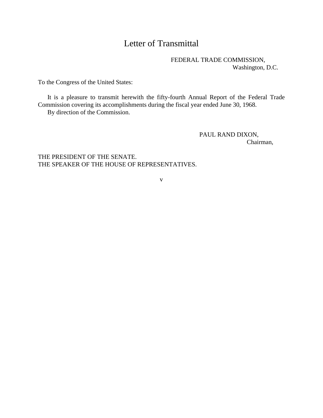# Letter of Transmittal

FEDERAL TRADE COMMISSION, Washington, D.C.

To the Congress of the United States:

It is a pleasure to transmit herewith the fifty-fourth Annual Report of the Federal Trade Commission covering its accomplishments during the fiscal year ended June 30, 1968.

By direction of the Commission.

PAUL RAND DIXON, Chairman,

THE PRESIDENT OF THE SENATE. THE SPEAKER OF THE HOUSE OF REPRESENTATIVES.

v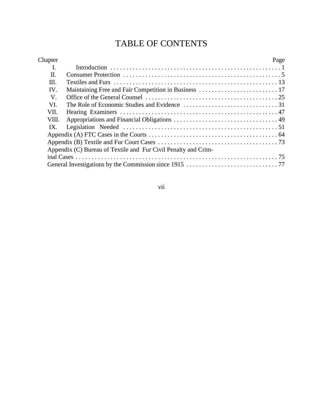# TABLE OF CONTENTS

| Chapter |                                                                | Page |
|---------|----------------------------------------------------------------|------|
| L       |                                                                |      |
| П.      |                                                                |      |
| III.    |                                                                |      |
| IV.     |                                                                |      |
| V.      |                                                                |      |
| VI.     |                                                                |      |
| VII.    |                                                                |      |
| VIII.   |                                                                |      |
| IX.     |                                                                |      |
|         |                                                                |      |
|         |                                                                |      |
|         | Appendix (C) Bureau of Textile and Fur Civil Penalty and Crim- |      |
|         |                                                                |      |
|         |                                                                |      |
|         |                                                                |      |

vii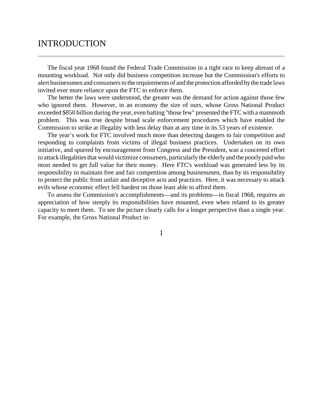## INTRODUCTION

The fiscal year 1968 found the Federal Trade Commission in a tight race to keep abreast of a mounting workload. Not only did business competition increase but the Commission's efforts to alert businessmen and consumers to the requirements of and the protection afforded by the trade laws invited ever more reliance upon the FTC to enforce them.

The better the laws were understood, the greater was the demand for action against those few who ignored them. However, in an economy the size of ours, whose Gross National Product exceeded \$850 billion during the year, even halting "those few" presented the FTC with a mammoth problem. This was true despite broad scale enforcement procedures which have enabled the Commission to strike at illegality with less delay than at any time in its 53 years of existence.

The year's work for FTC involved much more than detecting dangers to fair competition and responding to complaints from victims of illegal business practices. Undertaken on its own initiative, and spurred by encouragement from Congress and the President, was a concerted effort to attack illegalities that would victimize consumers, particularly the elderly and the poorly paid who most needed to get full value for their money. Here FTC's workload was generated less by its responsibility to maintain free and fair competition among businessmen, than by its responsibility to protect the public from unfair and deceptive acts and practices. Here, it was necessary to attack evils whose economic effect fell hardest on those least able to afford them.

To assess the Commission's accomplishments—and its problems—in fiscal 1968, requires an appreciation of how steeply its responsibilities have mounted, even when related to its greater capacity to meet them. To see the picture clearly calls for a longer perspective than a single year. For example, the Gross National Product in-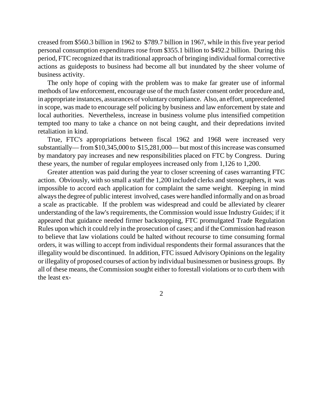creased from \$560.3 billion in 1962 to \$789.7 billion in 1967, while in this five year period personal consumption expenditures rose from \$355.1 billion to \$492.2 billion. During this period, FTC recognized that its traditional approach of bringing individual formal corrective actions as guideposts to business had become all but inundated by the sheer volume of business activity.

The only hope of coping with the problem was to make far greater use of informal methods of law enforcement, encourage use of the much faster consent order procedure and, in appropriate instances, assurances of voluntary compliance. Also, an effort, unprecedented in scope, was made to encourage self policing by business and law enforcement by state and local authorities. Nevertheless, increase in business volume plus intensified competition tempted too many to take a chance on not being caught, and their depredations invited retaliation in kind.

True, FTC's appropriations between fiscal 1962 and 1968 were increased very substantially— from \$10,345,000 to \$15,281,000— but most of this increase was consumed by mandatory pay increases and new responsibilities placed on FTC by Congress. During these years, the number of regular employees increased only from 1,126 to 1,200.

Greater attention was paid during the year to closer screening of cases warranting FTC action. Obviously, with so small a staff the 1,200 included clerks and stenographers, it was impossible to accord each application for complaint the same weight. Keeping in mind alwaysthe degree of public interest involved, cases were handled informally and on as broad a scale as practicable. If the problem was widespread and could be alleviated by clearer understanding of the law's requirements, the Commission would issue Industry Guides; if it appeared that guidance needed firmer backstopping, FTC promulgated Trade Regulation Rules upon which it could rely in the prosecution of cases; and if the Commission had reason to believe that law violations could be halted without recourse to time consuming formal orders, it was willing to accept from individual respondents their formal assurances that the illegality would be discontinued. In addition, FTC issued Advisory Opinions on the legality or illegality of proposed courses of action by individual businessmen or business groups. By all of these means, the Commission sought either to forestall violations or to curb them with the least ex-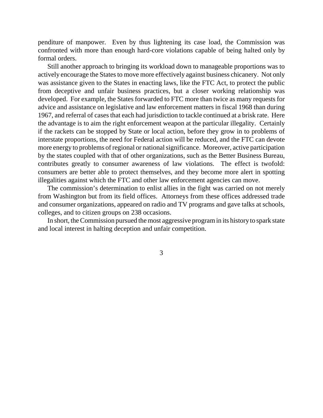penditure of manpower. Even by thus lightening its case load, the Commission was confronted with more than enough hard-core violations capable of being halted only by formal orders.

Still another approach to bringing its workload down to manageable proportions was to actively encourage the States to move more effectively against business chicanery. Not only was assistance given to the States in enacting laws, like the FTC Act, to protect the public from deceptive and unfair business practices, but a closer working relationship was developed. For example, the States forwarded to FTC more than twice as many requests for advice and assistance on legislative and law enforcement matters in fiscal 1968 than during 1967, and referral of cases that each had jurisdiction to tackle continued at a brisk rate. Here the advantage is to aim the right enforcement weapon at the particular illegality. Certainly if the rackets can be stopped by State or local action, before they grow in to problems of interstate proportions, the need for Federal action will be reduced, and the FTC can devote more energy to problems of regional or national significance. Moreover, active participation by the states coupled with that of other organizations, such as the Better Business Bureau, contributes greatly to consumer awareness of law violations. The effect is twofold: consumers are better able to protect themselves, and they become more alert in spotting illegalities against which the FTC and other law enforcement agencies can move.

The commission's determination to enlist allies in the fight was carried on not merely from Washington but from its field offices. Attorneys from these offices addressed trade and consumer organizations, appeared on radio and TV programs and gave talks at schools, colleges, and to citizen groups on 238 occasions.

In short, the Commission pursued the most aggressive program in its history to spark state and local interest in halting deception and unfair competition.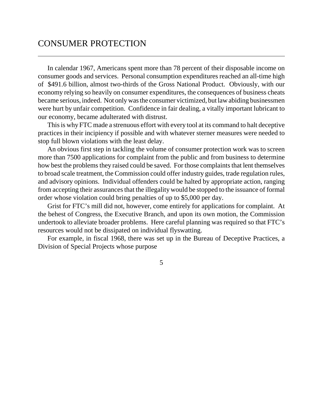## CONSUMER PROTECTION

In calendar 1967, Americans spent more than 78 percent of their disposable income on consumer goods and services. Personal consumption expenditures reached an all-time high of \$491.6 billion, almost two-thirds of the Gross National Product. Obviously, with our economy relying so heavily on consumer expenditures, the consequences of business cheats became serious, indeed. Not only was the consumer victimized, but law abiding businessmen were hurt by unfair competition. Confidence in fair dealing, a vitally important lubricant to our economy, became adulterated with distrust.

This is why FTC made a strenuous effort with every tool at its command to halt deceptive practices in their incipiency if possible and with whatever sterner measures were needed to stop full blown violations with the least delay.

An obvious first step in tackling the volume of consumer protection work was to screen more than 7500 applications for complaint from the public and from business to determine how best the problems they raised could be saved. For those complaints that lent themselves to broad scale treatment, the Commission could offer industry guides, trade regulation rules, and advisory opinions. Individual offenders could be halted by appropriate action, ranging from accepting their assurances that the illegality would be stopped to the issuance of formal order whose violation could bring penalties of up to \$5,000 per day.

Grist for FTC's mill did not, however, come entirely for applications for complaint. At the behest of Congress, the Executive Branch, and upon its own motion, the Commission undertook to alleviate broader problems. Here careful planning was required so that FTC's resources would not be dissipated on individual flyswatting.

For example, in fiscal 1968, there was set up in the Bureau of Deceptive Practices, a Division of Special Projects whose purpose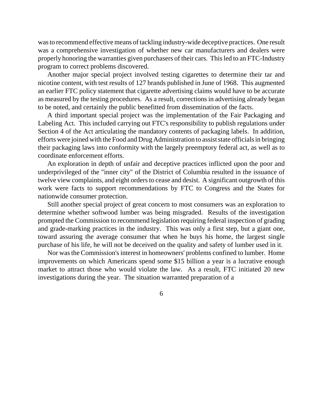wasto recommend effective means of tackling industry-wide deceptive practices. One result was a comprehensive investigation of whether new car manufacturers and dealers were properly honoring the warranties given purchasers of their cars. This led to an FTC-Industry program to correct problems discovered.

Another major special project involved testing cigarettes to determine their tar and nicotine content, with test results of 127 brands published in June of 1968. This augmented an earlier FTC policy statement that cigarette advertising claims would have to be accurate as measured by the testing procedures. As a result, corrections in advertising already began to be noted, and certainly the public benefitted from dissemination of the facts.

A third important special project was the implementation of the Fair Packaging and Labeling Act. This included carrying out FTC's responsibility to publish regulations under Section 4 of the Act articulating the mandatory contents of packaging labels. In addition, efforts were joined with the Food and Drug Administration to assist state officials in bringing their packaging laws into conformity with the largely preemptory federal act, as well as to coordinate enforcement efforts.

An exploration in depth of unfair and deceptive practices inflicted upon the poor and underprivileged of the "inner city" of the District of Columbia resulted in the issuance of twelve view complaints, and eight orders to cease and desist. A significant outgrowth of this work were facts to support recommendations by FTC to Congress and the States for nationwide consumer protection.

Still another special project of great concern to most consumers was an exploration to determine whether softwood lumber was being misgraded. Results of the investigation prompted the Commission to recommend legislation requiring federal inspection of grading and grade-marking practices in the industry. This was only a first step, but a giant one, toward assuring the average consumer that when he buys his home, the largest single purchase of his life, he will not be deceived on the quality and safety of lumber used in it.

Nor was the Commission's interest in homeowners' problems confined to lumber. Home improvements on which Americans spend some \$15 billion a year is a lucrative enough market to attract those who would violate the law. As a result, FTC initiated 20 new investigations during the year. The situation warranted preparation of a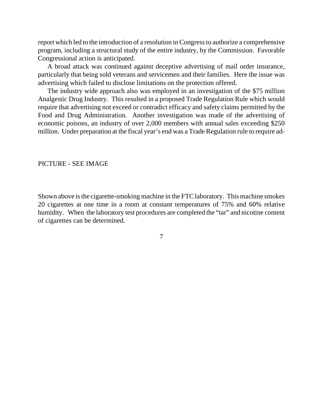report which led to the introduction of a resolution in Congressto authorize a comprehensive program, including a structural study of the entire industry, by the Commission. Favorable Congressional action is anticipated.

A broad attack was continued against deceptive advertising of mail order insurance, particularly that being sold veterans and servicemen and their families. Here the issue was advertising which failed to disclose limitations on the protection offered.

The industry wide approach also was employed in an investigation of the \$75 million Analgestic Drug Industry. This resulted in a proposed Trade Regulation Rule which would require that advertising not exceed or contradict efficacy and safety claims permitted by the Food and Drug Administration. Another investigation was made of the advertising of economic poisons, an industry of over 2,000 members with annual sales exceeding \$250 million. Under preparation at the fiscal year's end was a Trade Regulation rule to require ad-

#### PICTURE - SEE IMAGE

Shown above is the cigarette-smoking machine in the FTC laboratory. This machine smokes 20 cigarettes at one time in a room at constant temperatures of 75% and 60% relative humidity. When the laboratory test procedures are completed the "tar" and nicotine content of cigarettes can be determined.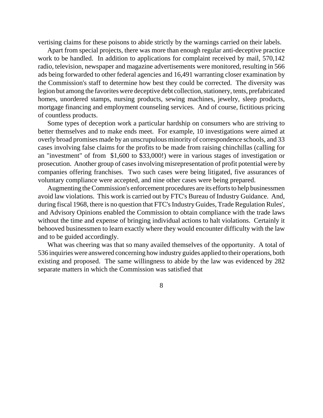vertising claims for these poisons to abide strictly by the warnings carried on their labels.

Apart from special projects, there was more than enough regular anti-deceptive practice work to be handled. In addition to applications for complaint received by mail, 570,142 radio, television, newspaper and magazine advertisements were monitored, resulting in 566 ads being forwarded to other federal agencies and 16,491 warranting closer examination by the Commission's staff to determine how best they could be corrected. The diversity was legion but among the favorites were deceptive debt collection, stationery, tents, prefabricated homes, unordered stamps, nursing products, sewing machines, jewelry, sleep products, mortgage financing and employment counseling services. And of course, fictitious pricing of countless products.

Some types of deception work a particular hardship on consumers who are striving to better themselves and to make ends meet. For example, 10 investigations were aimed at overly broad promises made by an unscrupulous minority of correspondence schools, and 33 cases involving false claims for the profits to be made from raising chinchillas (calling for an "investment" of from \$1,600 to \$33,000!) were in various stages of investigation or prosecution. Another group of cases involving misrepresentation of profit potential were by companies offering franchises. Two such cases were being litigated, five assurances of voluntary compliance were accepted, and nine other cases were being prepared.

Augmenting the Commission's enforcement procedures are its efforts to help businessmen avoid law violations. This work is carried out by FTC's Bureau of Industry Guidance. And, during fiscal 1968, there is no question that FTC's Industry Guides, Trade Regulation Rules', and Advisory Opinions enabled the Commission to obtain compliance with the trade laws without the time and expense of bringing individual actions to halt violations. Certainly it behooved businessmen to learn exactly where they would encounter difficulty with the law and to be guided accordingly.

What was cheering was that so many availed themselves of the opportunity. A total of 536 inquiries were answered concerning how industry guides applied to their operations, both existing and proposed. The same willingness to abide by the law was evidenced by 282 separate matters in which the Commission was satisfied that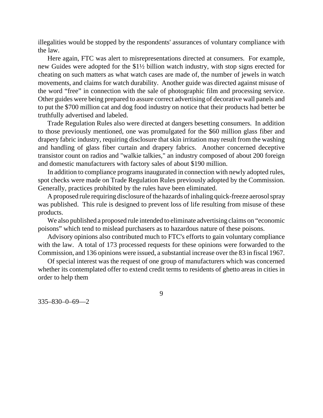illegalities would be stopped by the respondents' assurances of voluntary compliance with the law.

Here again, FTC was alert to misrepresentations directed at consumers. For example, new Guides were adopted for the \$1½ billion watch industry, with stop signs erected for cheating on such matters as what watch cases are made of, the number of jewels in watch movements, and claims for watch durability. Another guide was directed against misuse of the word "free" in connection with the sale of photographic film and processing service. Other guides were being prepared to assure correct advertising of decorative wall panels and to put the \$700 million cat and dog food industry on notice that their products had better be truthfully advertised and labeled.

Trade Regulation Rules also were directed at dangers besetting consumers. In addition to those previously mentioned, one was promulgated for the \$60 million glass fiber and drapery fabric industry, requiring disclosure that skin irritation may result from the washing and handling of glass fiber curtain and drapery fabrics. Another concerned deceptive transistor count on radios and "walkie talkies," an industry composed of about 200 foreign and domestic manufacturers with factory sales of about \$190 million.

In addition to compliance programs inaugurated in connection with newly adopted rules, spot checks were made on Trade Regulation Rules previously adopted by the Commission. Generally, practices prohibited by the rules have been eliminated.

A proposed rule requiring disclosure of the hazards of inhaling quick-freeze aerosol spray was published. This rule is designed to prevent loss of life resulting from misuse of these products.

We also published a proposed rule intended to eliminate advertising claims on "economic poisons" which tend to mislead purchasers as to hazardous nature of these poisons.

Advisory opinions also contributed much to FTC's efforts to gain voluntary compliance with the law. A total of 173 processed requests for these opinions were forwarded to the Commission, and 136 opinions were issued, a substantial increase over the 83 in fiscal 1967.

Of special interest was the request of one group of manufacturers which was concerned whether its contemplated offer to extend credit terms to residents of ghetto areas in cities in order to help them

9

335–830–0–69—2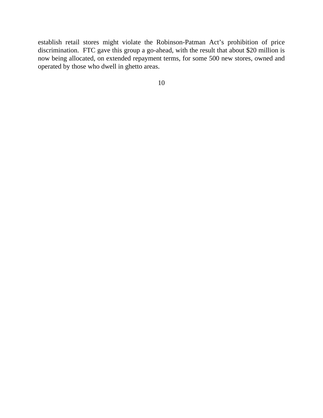establish retail stores might violate the Robinson-Patman Act's prohibition of price discrimination. FTC gave this group a go-ahead, with the result that about \$20 million is now being allocated, on extended repayment terms, for some 500 new stores, owned and operated by those who dwell in ghetto areas.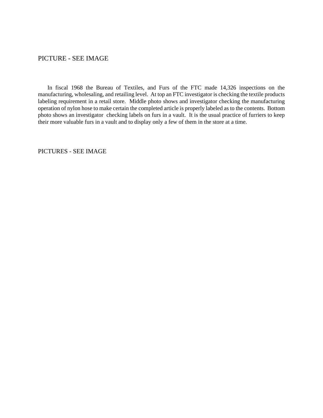#### PICTURE - SEE IMAGE

In fiscal 1968 the Bureau of Textiles, and Furs of the FTC made 14,326 inspections on the manufacturing, wholesaling, and retailing level. At top an FTC investigator is checking the textile products labeling requirement in a retail store. Middle photo shows and investigator checking the manufacturing operation of nylon hose to make certain the completed article is properly labeled as to the contents. Bottom photo shows an investigator checking labels on furs in a vault. It is the usual practice of furriers to keep their more valuable furs in a vault and to display only a few of them in the store at a time.

PICTURES - SEE IMAGE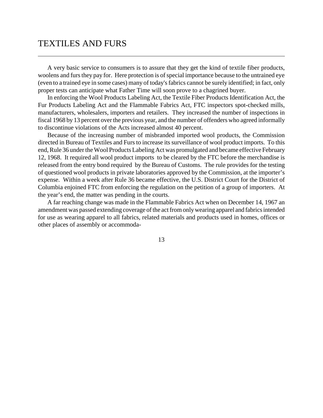## TEXTILES AND FURS

A very basic service to consumers is to assure that they get the kind of textile fiber products, woolens and fursthey pay for. Here protection is of special importance because to the untrained eye (even to a trained eye in some cases) many of today'sfabrics cannot be surely identified; in fact, only proper tests can anticipate what Father Time will soon prove to a chagrined buyer.

In enforcing the Wool Products Labeling Act, the Textile Fiber Products Identification Act, the Fur Products Labeling Act and the Flammable Fabrics Act, FTC inspectors spot-checked mills, manufacturers, wholesalers, importers and retailers. They increased the number of inspections in fiscal 1968 by 13 percent over the previous year, and the number of offenders who agreed informally to discontinue violations of the Acts increased almost 40 percent.

Because of the increasing number of misbranded imported wool products, the Commission directed in Bureau of Textiles and Furs to increase its surveillance of wool product imports. To this end, Rule 36 under the Wool Products Labeling Act was promulgated and became effective February 12, 1968. It required all wool product imports to be cleared by the FTC before the merchandise is released from the entry bond required by the Bureau of Customs. The rule provides for the testing of questioned wool products in private laboratories approved by the Commission, at the importer's expense. Within a week after Rule 36 became effective, the U.S. District Court for the District of Columbia enjoined FTC from enforcing the regulation on the petition of a group of importers. At the year's end, the matter was pending in the courts.

A far reaching change was made in the Flammable Fabrics Act when on December 14, 1967 an amendment was passed extending coverage of the act from only wearing apparel and fabrics intended for use as wearing apparel to all fabrics, related materials and products used in homes, offices or other places of assembly or accommoda-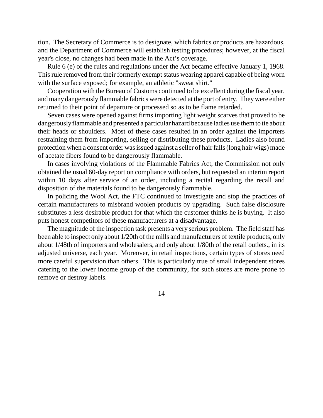tion. The Secretary of Commerce is to designate, which fabrics or products are hazardous, and the Department of Commerce will establish testing procedures; however, at the fiscal year's close, no changes had been made in the Act's coverage.

Rule 6 (e) of the rules and regulations under the Act became effective January 1, 1968. This rule removed from their formerly exempt status wearing apparel capable of being worn with the surface exposed; for example, an athletic "sweat shirt."

Cooperation with the Bureau of Customs continued to be excellent during the fiscal year, and many dangerously flammable fabrics were detected at the port of entry. They were either returned to their point of departure or processed so as to be flame retarded.

Seven cases were opened against firms importing light weight scarves that proved to be dangerouslyflammable and presented a particular hazard because ladies use themto tie about their heads or shoulders. Most of these cases resulted in an order against the importers restraining them from importing, selling or distributing these products. Ladies also found protection when a consent order was issued against a seller of hair falls (long hair wigs) made of acetate fibers found to be dangerously flammable.

In cases involving violations of the Flammable Fabrics Act, the Commission not only obtained the usual 60-day report on compliance with orders, but requested an interim report within 10 days after service of an order, including a recital regarding the recall and disposition of the materials found to be dangerously flammable.

In policing the Wool Act, the FTC continued to investigate and stop the practices of certain manufacturers to misbrand woolen products by upgrading. Such false disclosure substitutes a less desirable product for that which the customer thinks he is buying. It also puts honest competitors of these manufacturers at a disadvantage.

The magnitude of the inspection task presents a very serious problem. The field staff has been able to inspect only about 1/20th of the mills and manufacturers of textile products, only about 1/48th of importers and wholesalers, and only about 1/80th of the retail outlets., in its adjusted universe, each year. Moreover, in retail inspections, certain types of stores need more careful supervision than others. This is particularly true of small independent stores catering to the lower income group of the community, for such stores are more prone to remove or destroy labels.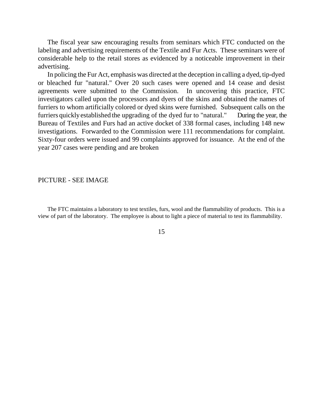The fiscal year saw encouraging results from seminars which FTC conducted on the labeling and advertising requirements of the Textile and Fur Acts. These seminars were of considerable help to the retail stores as evidenced by a noticeable improvement in their advertising.

In policing the Fur Act, emphasis was directed at the deception in calling a dyed, tip-dyed or bleached fur "natural." Over 20 such cases were opened and 14 cease and desist agreements were submitted to the Commission. In uncovering this practice, FTC investigators called upon the processors and dyers of the skins and obtained the names of furriers to whom artificially colored or dyed skins were furnished. Subsequent calls on the furriers quickly established the upgrading of the dyed fur to "natural." During the year, the Bureau of Textiles and Furs had an active docket of 338 formal cases, including 148 new investigations. Forwarded to the Commission were 111 recommendations for complaint. Sixty-four orders were issued and 99 complaints approved for issuance. At the end of the year 207 cases were pending and are broken

#### PICTURE - SEE IMAGE

The FTC maintains a laboratory to test textiles, furs, wool and the flammability of products. This is a view of part of the laboratory. The employee is about to light a piece of material to test its flammability.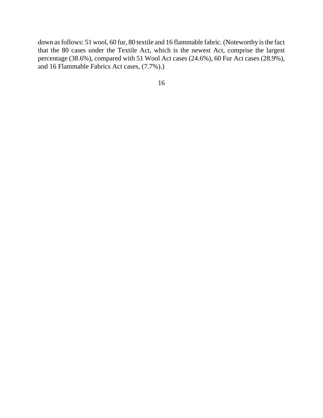down as follows: 51 wool, 60 fur, 80 textile and 16 flammable fabric. (Noteworthy is the fact that the 80 cases under the Textile Act, which is the newest Act, comprise the largest percentage (38.6%), compared with 51 Wool Act cases (24.6%), 60 Fur Act cases (28.9%), and 16 Flammable Fabrics Act cases, (7.7%).)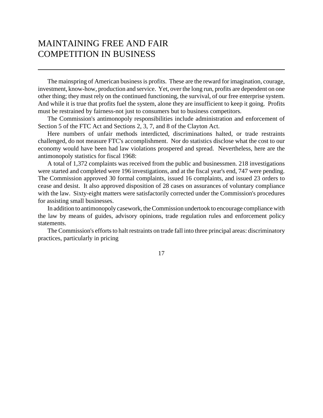# MAINTAINING FREE AND FAIR COMPETITION IN BUSINESS

The mainspring of American business is profits. These are the reward for imagination, courage, investment, know-how, production and service. Yet, over the long run, profits are dependent on one other thing; they must rely on the continued functioning, the survival, of our free enterprise system. And while it is true that profits fuel the system, alone they are insufficient to keep it going. Profits must be restrained by fairness-not just to consumers but to business competitors.

The Commission's antimonopoly responsibilities include administration and enforcement of Section 5 of the FTC Act and Sections 2, 3, 7, and 8 of the Clayton Act.

Here numbers of unfair methods interdicted, discriminations halted, or trade restraints challenged, do not measure FTC's accomplishment. Nor do statistics disclose what the cost to our economy would have been had law violations prospered and spread. Nevertheless, here are the antimonopoly statistics for fiscal 1968:

A total of 1,372 complaints was received from the public and businessmen. 218 investigations were started and completed were 196 investigations, and at the fiscal year's end, 747 were pending. The Commission approved 30 formal complaints, issued 16 complaints, and issued 23 orders to cease and desist. It also approved disposition of 28 cases on assurances of voluntary compliance with the law. Sixty-eight matters were satisfactorily corrected under the Commission's procedures for assisting small businesses.

In addition to antimonopoly casework, the Commission undertook to encourage compliance with the law by means of guides, advisory opinions, trade regulation rules and enforcement policy statements.

The Commission's efforts to halt restraints on trade fall into three principal areas: discriminatory practices, particularly in pricing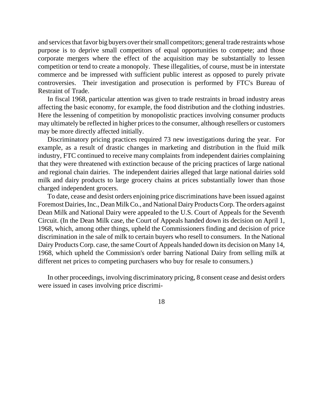and services that favor big buyers over their small competitors; general trade restraints whose purpose is to deprive small competitors of equal opportunities to compete; and those corporate mergers where the effect of the acquisition may be substantially to lessen competition or tend to create a monopoly. These illegalities, of course, must be in interstate commerce and be impressed with sufficient public interest as opposed to purely private controversies. Their investigation and prosecution is performed by FTC's Bureau of Restraint of Trade.

In fiscal 1968, particular attention was given to trade restraints in broad industry areas affecting the basic economy, for example, the food distribution and the clothing industries. Here the lessening of competition by monopolistic practices involving consumer products may ultimately be reflected in higher prices to the consumer, although resellers or customers may be more directly affected initially.

Discriminatory pricing practices required 73 new investigations during the year. For example, as a result of drastic changes in marketing and distribution in the fluid milk industry, FTC continued to receive many complaints from independent dairies complaining that they were threatened with extinction because of the pricing practices of large national and regional chain dairies. The independent dairies alleged that large national dairies sold milk and dairy products to large grocery chains at prices substantially lower than those charged independent grocers.

To date, cease and desist orders enjoining price discriminations have been issued against Foremost Dairies, Inc., Dean Milk Co., and National Dairy Products Corp. The orders against Dean Milk and National Dairy were appealed to the U.S. Court of Appeals for the Seventh Circuit. (In the Dean Milk case, the Court of Appeals handed down its decision on April 1, 1968, which, among other things, upheld the Commissioners finding and decision of price discrimination in the sale of milk to certain buyers who resell to consumers. In the National Dairy Products Corp. case, the same Court of Appeals handed down its decision on Many 14, 1968, which upheld the Commission's order barring National Dairy from selling milk at different net prices to competing purchasers who buy for resale to consumers.)

In other proceedings, involving discriminatory pricing, 8 consent cease and desist orders were issued in cases involving price discrimi-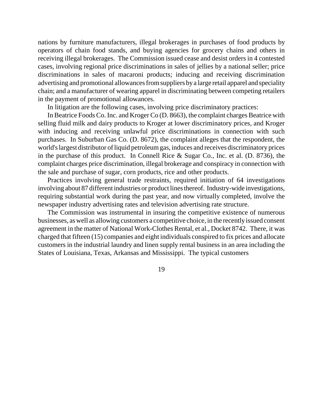nations by furniture manufacturers, illegal brokerages in purchases of food products by operators of chain food stands, and buying agencies for grocery chains and others in receiving illegal brokerages. The Commission issued cease and desist orders in 4 contested cases, involving regional price discriminations in sales of jellies by a national seller; price discriminations in sales of macaroni products; inducing and receiving discrimination advertising and promotional allowances from suppliers by a large retail apparel and speciality chain; and a manufacturer of wearing apparel in discriminating between competing retailers in the payment of promotional allowances.

In litigation are the following cases, involving price discriminatory practices:

In Beatrice Foods Co. Inc. and Kroger Co (D. 8663), the complaint charges Beatrice with selling fluid milk and dairy products to Kroger at lower discriminatory prices, and Kroger with inducing and receiving unlawful price discriminations in connection with such purchases. In Suburban Gas Co. (D. 8672), the complaint alleges that the respondent, the world'slargest distributor of liquid petroleum gas, induces and receives discriminatory prices in the purchase of this product. In Connell Rice & Sugar Co., Inc. et al. (D. 8736), the complaint charges price discrimination, illegal brokerage and conspiracy in connection with the sale and purchase of sugar, corn products, rice and other products.

Practices involving general trade restraints, required initiation of 64 investigations involving about 87 different industries or product lines thereof. Industry-wide investigations, requiring substantial work during the past year, and now virtually completed, involve the newspaper industry advertising rates and television advertising rate structure.

The Commission was instrumental in insuring the competitive existence of numerous businesses, as well as allowing customers a competitive choice, in the recentlyissued consent agreement in the matter of National Work-Clothes Rental, et al., Docket 8742. There, it was charged that fifteen (15) companies and eight individuals conspired to fix prices and allocate customers in the industrial laundry and linen supply rental business in an area including the States of Louisiana, Texas, Arkansas and Mississippi. The typical customers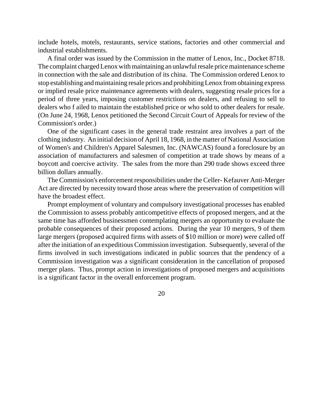include hotels, motels, restaurants, service stations, factories and other commercial and industrial establishments.

A final order was issued by the Commission in the matter of Lenox, Inc., Docket 8718. The complaint charged Lenox with maintaining an unlawful resale price maintenance scheme in connection with the sale and distribution of its china. The Commission ordered Lenox to stop establishing and maintaining resale prices and prohibiting Lenox from obtaining express or implied resale price maintenance agreements with dealers, suggesting resale prices for a period of three years, imposing customer restrictions on dealers, and refusing to sell to dealers who f ailed to maintain the established price or who sold to other dealers for resale. (On June 24, 1968, Lenox petitioned the Second Circuit Court of Appeals for review of the Commission's order.)

One of the significant cases in the general trade restraint area involves a part of the clothing industry. An initial decision of April 18, 1968, in the matter of National Association of Women's and Children's Apparel Salesmen, Inc. (NAWCAS) found a foreclosure by an association of manufacturers and salesmen of competition at trade shows by means of a boycott and coercive activity. The sales from the more than 290 trade shows exceed three billion dollars annually.

The Commission's enforcement responsibilities under the Celler- Kefauver Anti-Merger Act are directed by necessity toward those areas where the preservation of competition will have the broadest effect.

Prompt employment of voluntary and compulsory investigational processes has enabled the Commission to assess probably anticompetitive effects of proposed mergers, and at the same time has afforded businessmen contemplating mergers an opportunity to evaluate the probable consequences of their proposed actions. During the year 10 mergers, 9 of them large mergers (proposed acquired firms with assets of \$10 million or more) were called off after the initiation of an expeditious Commission investigation. Subsequently, several of the firms involved in such investigations indicated in public sources that the pendency of a Commission investigation was a significant consideration in the cancellation of proposed merger plans. Thus, prompt action in investigations of proposed mergers and acquisitions is a significant factor in the overall enforcement program.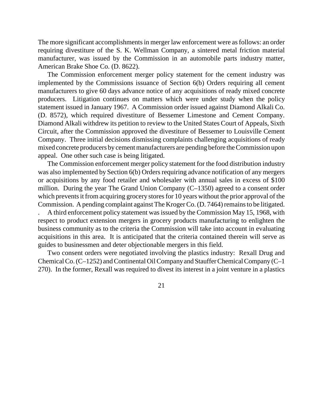The more significant accomplishments in merger law enforcement were as follows: an order requiring divestiture of the S. K. Wellman Company, a sintered metal friction material manufacturer, was issued by the Commission in an automobile parts industry matter, American Brake Shoe Co. (D. 8622).

The Commission enforcement merger policy statement for the cement industry was implemented by the Commissions issuance of Section 6(b) Orders requiring all cement manufacturers to give 60 days advance notice of any acquisitions of ready mixed concrete producers. Litigation continues on matters which were under study when the policy statement issued in January 1967. A Commission order issued against Diamond Alkali Co. (D. 8572), which required divestiture of Bessemer Limestone and Cement Company. Diamond Alkali withdrew its petition to review to the United States Court of Appeals, Sixth Circuit, after the Commission approved the divestiture of Bessemer to Louisville Cement Company. Three initial decisions dismissing complaints challenging acquisitions of ready mixed concrete producers by cement manufacturers are pending before the Commission upon appeal. One other such case is being litigated.

The Commission enforcement merger policy statement for the food distribution industry was also implemented by Section 6(b) Orders requiring advance notification of any mergers or acquisitions by any food retailer and wholesaler with annual sales in excess of \$100 million. During the year The Grand Union Company (C–1350) agreed to a consent order which prevents it from acquiring grocery stores for 10 years without the prior approval of the Commission. A pending complaint against The Kroger Co. (D. 7464) remains to be litigated.

. A third enforcement policy statement wasissued by the Commission May 15, 1968, with respect to product extension mergers in grocery products manufacturing to enlighten the business community as to the criteria the Commission will take into account in evaluating acquisitions in this area. It is anticipated that the criteria contained therein will serve as guides to businessmen and deter objectionable mergers in this field.

Two consent orders were negotiated involving the plastics industry: Rexall Drug and ChemicalCo.(C–1252) andContinental OilCompanyand Stauffer Chemical Company (C–1 270). In the former, Rexall was required to divest its interest in a joint venture in a plastics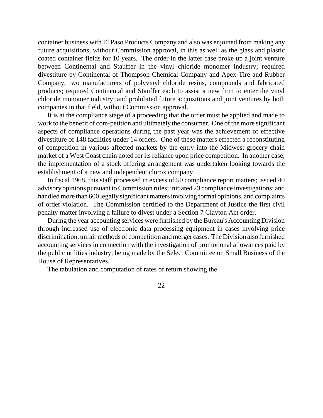container business with El Paso Products Company and also was enjoined from making any future acquisitions, without Commission approval, in this as well as the glass and plastic coated container fields for 10 years. The order in the latter case broke up a joint venture between Continental and Stauffer in the vinyl chloride monomer industry; required divestiture by Continental of Thompson Chemical Company and Apex Tire and Rubber Company, two manufacturers of polyvinyl chloride resins, compounds and fabricated products; required Continental and Stauffer each to assist a new firm to enter the vinyl chloride monomer industry; and prohibited future acquisitions and joint ventures by both companies in that field, without Commission approval.

It is at the compliance stage of a proceeding that the order must be applied and made to work to the benefit of com-petition and ultimately the consumer. One of the more significant aspects of compliance operations during the past year was the achievement of effective divestiture of 148 facilities under 14 orders. One of these matters effected a reconstituting of competition in various affected markets by the entry into the Midwest grocery chain market of a West Coast chain noted for its reliance upon price competition. In another case, the implementation of a stock offering arrangement was undertaken looking towards the establishment of a new and independent clorox company.

In fiscal 1968, this staff processed in excess of 50 compliance report matters; issued 40 advisory opinions pursuant to Commission rules; initiated 23 compliance investigations; and handled more than 600 legally significant mattersinvolving formal opinions, and complaints of order violation. The Commission certified to the Department of Justice the first civil penalty matter involving a failure to divest under a Section 7 Clayton Act order.

During the year accounting services were furnished by the Bureau's Accounting Division through increased use of electronic data processing equipment in cases involving price discrimination, unfair methods of competition and merger cases. The Division also furnished accounting services in connection with the investigation of promotional allowances paid by the public utilities industry, being made by the Select Committee on Small Business of the House of Representatives.

The tabulation and computation of rates of return showing the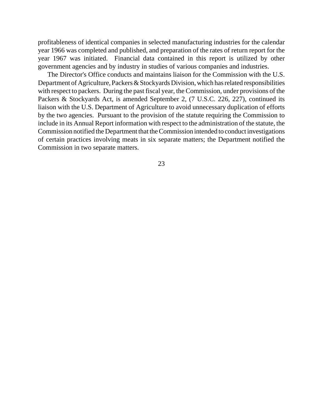profitableness of identical companies in selected manufacturing industries for the calendar year 1966 was completed and published, and preparation of the rates of return report for the year 1967 was initiated. Financial data contained in this report is utilized by other government agencies and by industry in studies of various companies and industries.

The Director's Office conducts and maintains liaison for the Commission with the U.S. Department of Agriculture, Packers & Stockyards Division, which has related responsibilities with respect to packers. During the past fiscal year, the Commission, under provisions of the Packers & Stockyards Act, is amended September 2, (7 U.S.C. 226, 227), continued its liaison with the U.S. Department of Agriculture to avoid unnecessary duplication of efforts by the two agencies. Pursuant to the provision of the statute requiring the Commission to include in its Annual Report information with respect to the administration of the statute, the Commission notified the Department that the Commission intended to conduct investigations of certain practices involving meats in six separate matters; the Department notified the Commission in two separate matters.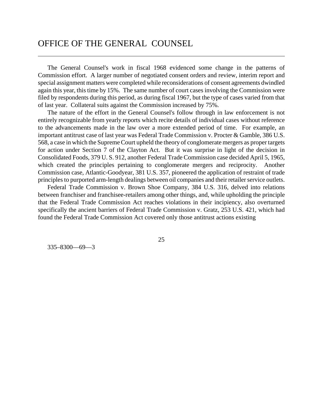## OFFICE OF THE GENERAL COUNSEL

The General Counsel's work in fiscal 1968 evidenced some change in the patterns of Commission effort. A larger number of negotiated consent orders and review, interim report and special assignment matters were completed while reconsiderations of consent agreements dwindled again this year, this time by 15%. The same number of court cases involving the Commission were filed by respondents during this period, as during fiscal 1967, but the type of cases varied from that of last year. Collateral suits against the Commission increased by 75%.

The nature of the effort in the General Counsel's follow through in law enforcement is not entirely recognizable from yearly reports which recite details of individual cases without reference to the advancements made in the law over a more extended period of time. For example, an important antitrust case of last year was Federal Trade Commission v. Procter & Gamble, 386 U.S. 568, a case in which the SupremeCourt upheld the theory of conglomerate mergers as proper targets for action under Section 7 of the Clayton Act. But it was surprise in light of the decision in Consolidated Foods, 379 U. S. 912, another Federal Trade Commission case decided April 5, 1965, which created the principles pertaining to conglomerate mergers and reciprocity. Another Commission case, Atlantic-Goodyear, 381 U.S. 357, pioneered the application of restraint of trade principles to purported arm-length dealings between oil companies and their retailer service outlets.

Federal Trade Commission v. Brown Shoe Company, 384 U.S. 316, delved into relations between franchiser and franchisee-retailers among other things, and, while upholding the principle that the Federal Trade Commission Act reaches violations in their incipiency, also overturned specifically the ancient barriers of Federal Trade Commission v. Gratz, 253 U.S. 421, which had found the Federal Trade Commission Act covered only those antitrust actions existing

335–8300––69—3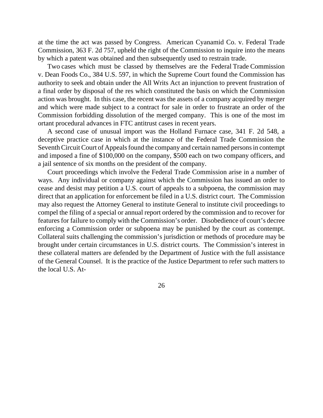at the time the act was passed by Congress. American Cyanamid Co. v. Federal Trade Commission, 363 F. 2d 757, upheld the right of the Commission to inquire into the means by which a patent was obtained and then subsequently used to restrain trade.

Two cases which must be classed by themselves are the Federal Trade Commission v. Dean Foods Co., 384 U.S. 597, in which the Supreme Court found the Commission has authority to seek and obtain under the All Writs Act an injunction to prevent frustration of a final order by disposal of the res which constituted the basis on which the Commission action was brought. In this case, the recent was the assets of a company acquired by merger and which were made subject to a contract for sale in order to frustrate an order of the Commission forbidding dissolution of the merged company. This is one of the most im ortant procedural advances in FTC antitrust cases in recent years.

A second case of unusual import was the Holland Furnace case, 341 F. 2d 548, a deceptive practice case in which at the instance of the Federal Trade Commission the Seventh Circuit Court of Appeals found the company and certain named persons in contempt and imposed a fine of \$100,000 on the company, \$500 each on two company officers, and a jail sentence of six months on the president of the company.

Court proceedings which involve the Federal Trade Commission arise in a number of ways. Any individual or company against which the Commission has issued an order to cease and desist may petition a U.S. court of appeals to a subpoena, the commission may direct that an application for enforcement be filed in a U.S. district court. The Commission may also request the Attorney General to institute General to institute civil proceedings to compel the filing of a special or annual report ordered by the commission and to recover for features for failure to comply with the Commission's order. Disobedience of court's decree enforcing a Commission order or subpoena may be punished by the court as contempt. Collateral suits challenging the commission's jurisdiction or methods of procedure may be brought under certain circumstances in U.S. district courts. The Commission's interest in these collateral matters are defended by the Department of Justice with the full assistance of the General Counsel. It is the practice of the Justice Department to refer such matters to the local U.S. At-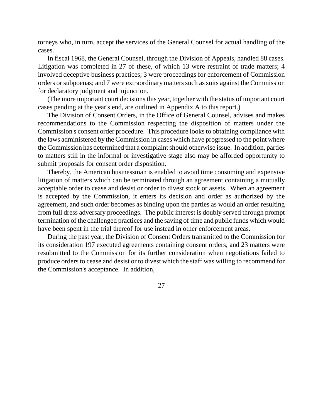torneys who, in turn, accept the services of the General Counsel for actual handling of the cases.

In fiscal 1968, the General Counsel, through the Division of Appeals, handled 88 cases. Litigation was completed in 27 of these, of which 13 were restraint of trade matters; 4 involved deceptive business practices; 3 were proceedings for enforcement of Commission orders or subpoenas; and 7 were extraordinary matterssuch as suits against the Commission for declaratory judgment and injunction.

(The more important court decisions this year, together with the status of important court cases pending at the year's end, are outlined in Appendix A to this report.)

The Division of Consent Orders, in the Office of General Counsel, advises and makes recommendations to the Commission respecting the disposition of matters under the Commission's consent order procedure. This procedure looks to obtaining compliance with the laws administered by the Commission in cases which have progressed to the point where the Commission has determined that a complaint should otherwise issue. In addition, parties to matters still in the informal or investigative stage also may be afforded opportunity to submit proposals for consent order disposition.

Thereby, the American businessman is enabled to avoid time consuming and expensive litigation of matters which can be terminated through an agreement containing a mutually acceptable order to cease and desist or order to divest stock or assets. When an agreement is accepted by the Commission, it enters its decision and order as authorized by the agreement, and such order becomes as binding upon the parties as would an order resulting from full dress adversary proceedings. The public interest is doubly served through prompt termination of the challenged practices and the saving of time and public funds which would have been spent in the trial thereof for use instead in other enforcement areas.

During the past year, the Division of Consent Orders transmitted to the Commission for its consideration 197 executed agreements containing consent orders; and 23 matters were resubmitted to the Commission for its further consideration when negotiations failed to produce orders to cease and desist or to divest which the staff was willing to recommend for the Commission's acceptance. In addition,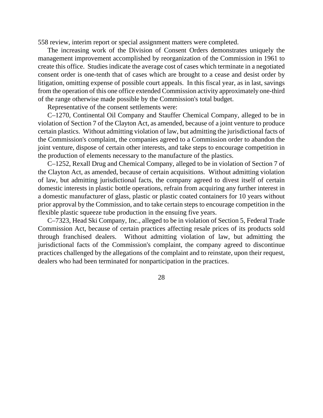558 review, interim report or special assignment matters were completed.

The increasing work of the Division of Consent Orders demonstrates uniquely the management improvement accomplished by reorganization of the Commission in 1961 to create this office. Studies indicate the average cost of cases which terminate in a negotiated consent order is one-tenth that of cases which are brought to a cease and desist order by litigation, omitting expense of possible court appeals. In this fiscal year, as in last, savings from the operation of this one office extended Commission activity approximately one-third of the range otherwise made possible by the Commission's total budget.

Representative of the consent settlements were:

C–1270, Continental Oil Company and Stauffer Chemical Company, alleged to be in violation of Section 7 of the Clayton Act, as amended, because of a joint venture to produce certain plastics. Without admitting violation of law, but admitting the jurisdictional facts of the Commission's complaint, the companies agreed to a Commission order to abandon the joint venture, dispose of certain other interests, and take steps to encourage competition in the production of elements necessary to the manufacture of the plastics.

C–1252, Rexall Drug and Chemical Company, alleged to be in violation of Section 7 of the Clayton Act, as amended, because of certain acquisitions. Without admitting violation of law, but admitting jurisdictional facts, the company agreed to divest itself of certain domestic interests in plastic bottle operations, refrain from acquiring any further interest in a domestic manufacturer of glass, plastic or plastic coated containers for 10 years without prior approval by the Commission, and to take certain steps to encourage competition in the flexible plastic squeeze tube production in the ensuing five years.

C–7323, Head Ski Company, Inc., alleged to be in violation of Section 5, Federal Trade Commission Act, because of certain practices affecting resale prices of its products sold through franchised dealers. Without admitting violation of law, but admitting the jurisdictional facts of the Commission's complaint, the company agreed to discontinue practices challenged by the allegations of the complaint and to reinstate, upon their request, dealers who had been terminated for nonparticipation in the practices.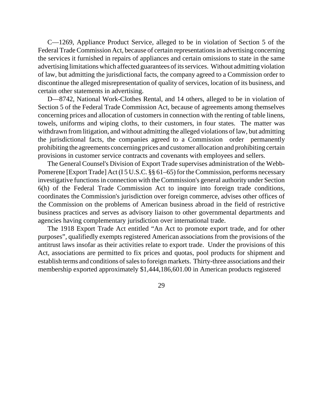C—1269, Appliance Product Service, alleged to be in violation of Section 5 of the Federal Trade Commission Act, because of certain representations in advertising concerning the services it furnished in repairs of appliances and certain omissions to state in the same advertising limitations which affected guarantees of its services. Without admitting violation of law, but admitting the jurisdictional facts, the company agreed to a Commission order to discontinue the alleged misrepresentation of quality of services, location of its business, and certain other statements in advertising.

D—8742, National Work-Clothes Rental, and 14 others, alleged to be in violation of Section 5 of the Federal Trade Commission Act, because of agreements among themselves concerning prices and allocation of customers in connection with the renting of table linens, towels, uniforms and wiping cloths, to their customers, in four states. The matter was withdrawn from litigation, and without admitting the alleged violations of law, but admitting the jurisdictional facts, the companies agreed to a Commission order permanently prohibiting the agreements concerning prices and customer allocation and prohibiting certain provisions in customer service contracts and covenants with employees and sellers.

The General Counsel's Division of Export Trade supervises administration of the Webb-Pomerene [Export Trade] Act (I 5 U.S.C. §§ 61–65) for the Commission, performs necessary investigative functions in connection with the Commission's general authority under Section 6(h) of the Federal Trade Commission Act to inquire into foreign trade conditions, coordinates the Commission's jurisdiction over foreign commerce, advises other offices of the Commission on the problems of American business abroad in the field of restrictive business practices and serves as advisory liaison to other governmental departments and agencies having complementary jurisdiction over international trade.

The 1918 Export Trade Act entitled "An Act to promote export trade, and for other purposes", qualifiedly exempts registered American associations from the provisions of the antitrust laws insofar as their activities relate to export trade. Under the provisions of this Act, associations are permitted to fix prices and quotas, pool products for shipment and establish terms and conditions of sales to foreign markets. Thirty-three associations and their membership exported approximately \$1,444,186,601.00 in American products registered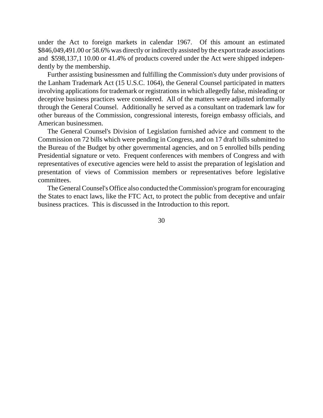under the Act to foreign markets in calendar 1967. Of this amount an estimated \$846,049,491.00 or 58.6% was directly or indirectly assisted by the export trade associations and \$598,137,1 10.00 or 41.4% of products covered under the Act were shipped independently by the membership.

Further assisting businessmen and fulfilling the Commission's duty under provisions of the Lanham Trademark Act (15 U.S.C. 1064), the General Counsel participated in matters involving applications for trademark or registrations in which allegedly false, misleading or deceptive business practices were considered. All of the matters were adjusted informally through the General Counsel. Additionally he served as a consultant on trademark law for other bureaus of the Commission, congressional interests, foreign embassy officials, and American businessmen.

The General Counsel's Division of Legislation furnished advice and comment to the Commission on 72 bills which were pending in Congress, and on 17 draft bills submitted to the Bureau of the Budget by other governmental agencies, and on 5 enrolled bills pending Presidential signature or veto. Frequent conferences with members of Congress and with representatives of executive agencies were held to assist the preparation of legislation and presentation of views of Commission members or representatives before legislative committees.

The General Counsel's Office also conducted the Commission's program for encouraging the States to enact laws, like the FTC Act, to protect the public from deceptive and unfair business practices. This is discussed in the Introduction to this report.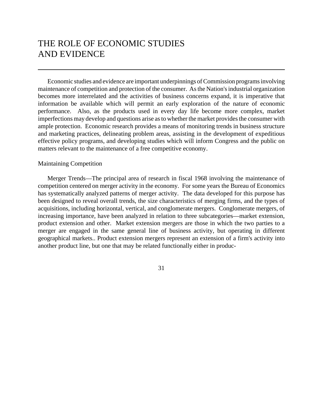# THE ROLE OF ECONOMIC STUDIES AND EVIDENCE

Economic studies and evidence are important underpinnings of Commission programs involving maintenance of competition and protection of the consumer. As the Nation's industrial organization becomes more interrelated and the activities of business concerns expand, it is imperative that information be available which will permit an early exploration of the nature of economic performance. Also, as the products used in every day life become more complex, market imperfections may develop and questions arise as to whether the market provides the consumer with ample protection. Economic research provides a means of monitoring trends in business structure and marketing practices, delineating problem areas, assisting in the development of expeditious effective policy programs, and developing studies which will inform Congress and the public on matters relevant to the maintenance of a free competitive economy.

#### Maintaining Competition

Merger Trends—The principal area of research in fiscal 1968 involving the maintenance of competition centered on merger activity in the economy. For some years the Bureau of Economics has systematically analyzed patterns of merger activity. The data developed for this purpose has been designed to reveal overall trends, the size characteristics of merging firms, and the types of acquisitions, including horizontal, vertical, and conglomerate mergers. Conglomerate mergers, of increasing importance, have been analyzed in relation to three subcategories—market extension, product extension and other. Market extension mergers are those in which the two parties to a merger are engaged in the same general line of business activity, but operating in different geographical markets.. Product extension mergers represent an extension of a firm's activity into another product line, but one that may be related functionally either in produc-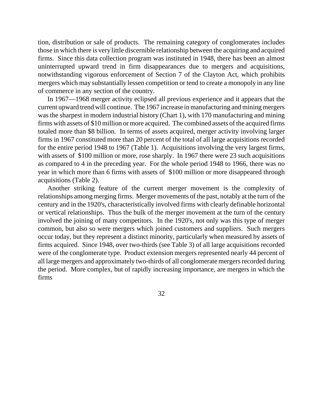tion, distribution or sale of products. The remaining category of conglomerates includes those in which there is very little discernible relationship between the acquiring and acquired firms. Since this data collection program was instituted in 1948, there has been an almost uninterrupted upward trend in firm disappearances due to mergers and acquisitions, notwithstanding vigorous enforcement of Section 7 of the Clayton Act, which prohibits mergers which may substantially lessen competition or tend to create a monopoly in any line of commerce in any section of the country.

In 1967—1968 merger activity eclipsed all previous experience and it appears that the current upward trend will continue. The 1967 increase in manufacturing and mining mergers was the sharpest in modern industrial history (Chart 1), with 170 manufacturing and mining firms with assets of \$10 million or more acquired. The combined assets of the acquired firms totaled more than \$8 billion. In terms of assets acquired, merger activity involving larger firms in 1967 constituted more than 20 percent of the total of all large acquisitions recorded for the entire period 1948 to 1967 (Table 1). Acquisitions involving the very largest firms, with assets of \$100 million or more, rose sharply. In 1967 there were 23 such acquisitions as compared to 4 in the preceding year. For the whole period 1948 to 1966, there was no year in which more than 6 firms with assets of \$100 million or more disappeared through acquisitions (Table 2).

Another striking feature of the current merger movement is the complexity of relationships among merging firms. Merger movements of the past, notably at the turn of the century and in the 1920's, characteristically involved firms with clearly definable horizontal or vertical relationships. Thus the bulk of the merger movement at the turn of the century involved the joining of many competitors. In the 1920's, not only was this type of merger common, but also so were mergers which joined customers and suppliers. Such mergers occur today, but they represent a distinct minority, particularly when measured by assets of firms acquired. Since 1948, over two-thirds (see Table 3) of all large acquisitions recorded were of the conglomerate type. Product extension mergers represented nearly 44 percent of all large mergers and approximately two-thirds of all conglomerate mergers recorded during the period. More complex, but of rapidly increasing importance, are mergers in which the firms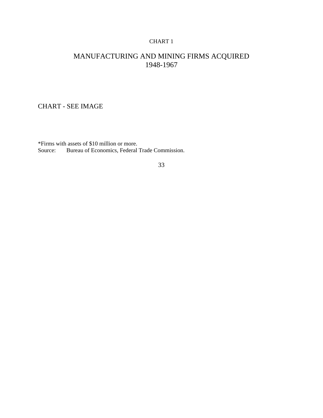#### CHART 1

## MANUFACTURING AND MINING FIRMS ACQUIRED 1948-1967

#### CHART - SEE IMAGE

\*Firms with assets of \$10 million or more. Bureau of Economics, Federal Trade Commission.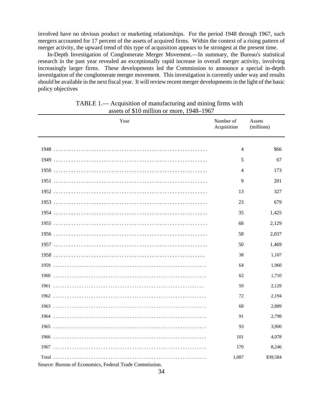involved have no obvious product or marketing relationships. For the period 1948 through 1967, such mergers accounted for 17 percent of the assets of acquired firms. Within the context of a rising pattern of merger activity, the upward trend of this type of acquisition appears to be strongest at the present time.

In-Depth Investigation of Conglomerate Merger Movement.—In summary, the Bureau's statistical research in the past year revealed an exceptionally rapid increase in overall merger activity, involving increasingly larger firms. These developments led the Commission to announce a special in-depth investigation of the conglomerate merger movement. This investigation is currently under way and results should be available in the next fiscal year. It will review recent merger developments in the light of the basic policy objectives

| Year                                                   | Number of<br>Acquisition | Assets<br>(millions) |
|--------------------------------------------------------|--------------------------|----------------------|
|                                                        | $\overline{4}$           | \$66                 |
|                                                        |                          |                      |
|                                                        | 5                        | 67                   |
|                                                        | 4                        | 173                  |
|                                                        | 9                        | 201                  |
|                                                        | 13                       | 327                  |
|                                                        | 23                       | 679                  |
|                                                        | 35                       | 1,425                |
|                                                        | 68                       | 2,129                |
|                                                        | 58                       | 2,037                |
|                                                        | 50                       | 1,469                |
|                                                        | 38                       | 1,107                |
|                                                        | 64                       | 1,960                |
|                                                        | 62                       | 1,710                |
|                                                        | 59                       | 2,129                |
|                                                        | 72                       | 2,194                |
|                                                        | 68                       | 2,889                |
|                                                        | 91                       | 2,798                |
|                                                        | 93                       | 3,900                |
|                                                        | 101                      | 4,078                |
|                                                        | 170                      | 8,246                |
| Source: Bureau of Economics, Federal Trade Commission. | 1,087                    | \$39,584             |

| TABLE 1.— Acquisition of manufacturing and mining firms with |  |
|--------------------------------------------------------------|--|
| assets of \$10 million or more, 1948–1967                    |  |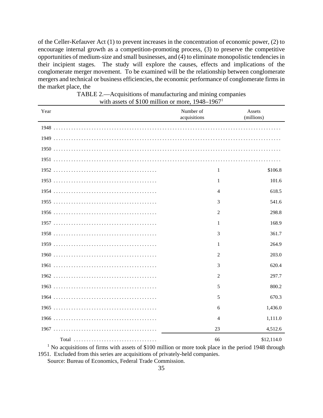of the Celler-Kefauver Act (1) to prevent increases in the concentration of economic power, (2) to encourage internal growth as a competition-promoting process, (3) to preserve the competitive opportunities of medium-size and small businesses, and  $(4)$  to eliminate monopolistic tendencies in their incipient stages. The study will explore the causes, effects and implications of the conglomerate merger movement. To be examined will be the relationship between conglomerate mergers and technical or business efficiencies, the economic performance of conglomerate firms in the market place, the

| Year  | Number of<br>acquisitions | Assets<br>(millions) |
|-------|---------------------------|----------------------|
|       |                           |                      |
|       |                           |                      |
|       |                           |                      |
|       |                           |                      |
|       | $\mathbf{1}$              | \$106.8              |
|       | $\mathbf{1}$              | 101.6                |
|       | $\overline{4}$            | 618.5                |
|       | 3                         | 541.6                |
|       | 2                         | 298.8                |
|       | 1                         | 168.9                |
|       | 3                         | 361.7                |
|       | 1                         | 264.9                |
|       | 2                         | 203.0                |
|       | 3                         | 620.4                |
|       | 2                         | 297.7                |
|       | 5                         | 800.2                |
|       | 5                         | 670.3                |
|       | 6                         | 1,436.0              |
|       | $\overline{4}$            | 1,111.0              |
|       | 23                        | 4,512.6              |
| Total | 66                        | \$12,114.0           |

TABLE 2.—Acquisitions of manufacturing and mining companies with assets of \$100 million or more,  $1948-1967<sup>1</sup>$ 

<sup>1</sup> No acquisitions of firms with assets of \$100 million or more took place in the period 1948 through 1951. Excluded from this series are acquisitions of privately-held companies.

Source: Bureau of Economics, Federal Trade Commission.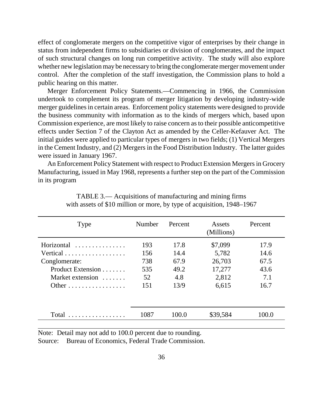effect of conglomerate mergers on the competitive vigor of enterprises by their change in status from independent firms to subsidiaries or division of conglomerates, and the impact of such structural changes on long run competitive activity. The study will also explore whether new legislation may be necessary to bring the conglomerate merger movement under control. After the completion of the staff investigation, the Commission plans to hold a public hearing on this matter.

Merger Enforcement Policy Statements.—Commencing in 1966, the Commission undertook to complement its program of merger litigation by developing industry-wide merger guidelines in certain areas. Enforcement policy statements were designed to provide the business community with information as to the kinds of mergers which, based upon Commission experience, are most likely to raise concern as to their possible anticompetitive effects under Section 7 of the Clayton Act as amended by the Celler-Kefauver Act. The initial guides were applied to particular types of mergers in two fields; (1) Vertical Mergers in the Cement Industry, and (2) Mergers in the Food Distribution Industry. The latter guides were issued in January 1967.

An Enforcement Policy Statement with respect to Product Extension Mergers in Grocery Manufacturing, issued in May 1968, represents a further step on the part of the Commission in its program

| Type                                                                                      | Number                                | Percent                                     | Assets<br>(Millions)                                   | Percent                                     |
|-------------------------------------------------------------------------------------------|---------------------------------------|---------------------------------------------|--------------------------------------------------------|---------------------------------------------|
| Horizontal<br>Vertical<br>Conglomerate:<br>Product Extension<br>Market extension<br>Other | 193<br>156<br>738<br>535<br>52<br>151 | 17.8<br>14.4<br>67.9<br>49.2<br>4.8<br>13/9 | \$7,099<br>5,782<br>26,703<br>17,277<br>2,812<br>6,615 | 17.9<br>14.6<br>67.5<br>43.6<br>7.1<br>16.7 |
| $Total \dots \dots \dots \dots \dots$                                                     | 1087                                  | 100.0                                       | \$39,584                                               | 100.0                                       |

TABLE 3.— Acquisitions of manufacturing and mining firms with assets of \$10 million or more, by type of acquisition, 1948–1967

Note: Detail may not add to 100.0 percent due to rounding.

Source: Bureau of Economics, Federal Trade Commission.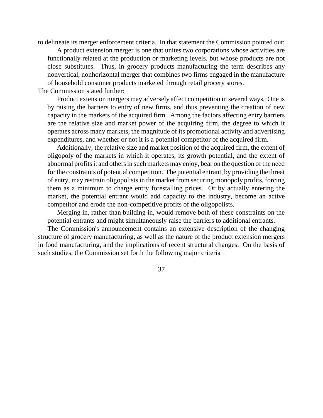to delineate its merger enforcement criteria. In that statement the Commission pointed out:

A product extension merger is one that unites two corporations whose activities are functionally related at the production or marketing levels, but whose products are not close substitutes. Thus, in grocery products manufacturing the term describes any nonvertical, nonhorizontal merger that combines two firms engaged in the manufacture of household consumer products marketed through retail grocery stores.

The Commission stated further:

Product extension mergers may adversely affect competition in several ways. One is by raising the barriers to entry of new firms, and thus preventing the creation of new capacity in the markets of the acquired firm. Among the factors affecting entry barriers are the relative size and market power of the acquiring firm, the degree to which it operates across many markets, the magnitude of its promotional activity and advertising expenditures, and whether or not it is a potential competitor of the acquired firm.

Additionally, the relative size and market position of the acquired firm, the extent of oligopoly of the markets in which it operates, its growth potential, and the extent of abnormal profits it and others in such markets may enjoy, bear on the question of the need for the constraints of potential competition. The potential entrant, by providing the threat of entry, may restrain oligopolistsin the market from securing monopoly profits, forcing them as a minimum to charge entry forestalling prices. Or by actually entering the market, the potential entrant would add capacity to the industry, become an active competitor and erode the non-competitive profits of the oligopolists.

Merging in, rather than building in, would remove both of these constraints on the potential entrants and might simultaneously raise the barriers to additional entrants.

The Commission's announcement contains an extensive description of the changing structure of grocery manufacturing, as well as the nature of the product extension mergers in food manufacturing, and the implications of recent structural changes. On the basis of such studies, the Commission set forth the following major criteria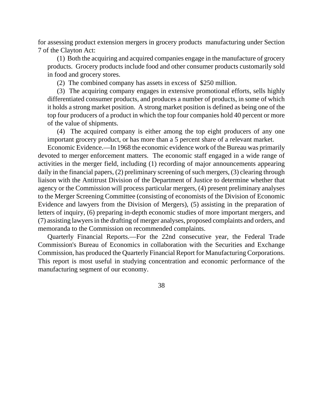for assessing product extension mergers in grocery products manufacturing under Section 7 of the Clayton Act:

(1) Both the acquiring and acquired companies engage in the manufacture of grocery products. Grocery products include food and other consumer products customarily sold in food and grocery stores.

(2) The combined company has assets in excess of \$250 million.

(3) The acquiring company engages in extensive promotional efforts, sells highly differentiated consumer products, and produces a number of products, in some of which it holds a strong market position. A strong market position is defined as being one of the top four producers of a product in which the top four companies hold 40 percent or more of the value of shipments.

(4) The acquired company is either among the top eight producers of any one important grocery product, or has more than a 5 percent share of a relevant market.

Economic Evidence.—In 1968 the economic evidence work of the Bureau was primarily devoted to merger enforcement matters. The economic staff engaged in a wide range of activities in the merger field, including (1) recording of major announcements appearing daily in the financial papers, (2) preliminary screening of such mergers, (3) clearing through liaison with the Antitrust Division of the Department of Justice to determine whether that agency or the Commission will process particular mergers, (4) present preliminary analyses to the Merger Screening Committee (consisting of economists of the Division of Economic Evidence and lawyers from the Division of Mergers), (5) assisting in the preparation of letters of inquiry, (6) preparing in-depth economic studies of more important mergers, and (7) assisting lawyersin the drafting of merger analyses, proposed complaints and orders, and memoranda to the Commission on recommended complaints.

Quarterly Financial Reports.—For the 22nd consecutive year, the Federal Trade Commission's Bureau of Economics in collaboration with the Securities and Exchange Commission, has produced the Quarterly Financial Report for Manufacturing Corporations. This report is most useful in studying concentration and economic performance of the manufacturing segment of our economy.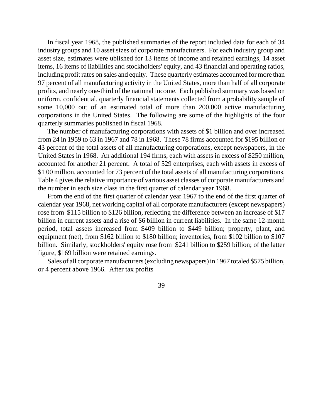In fiscal year 1968, the published summaries of the report included data for each of 34 industry groups and 10 asset sizes of corporate manufacturers. For each industry group and asset size, estimates were ublished for 13 items of income and retained earnings, 14 asset items, 16 items of liabilities and stockholders' equity, and 43 financial and operating ratios, including profit rates on sales and equity. These quarterly estimates accounted for more than 97 percent of all manufacturing activity in the United States, more than half of all corporate profits, and nearly one-third of the national income. Each published summary was based on uniform, confidential, quarterly financial statements collected from a probability sample of some 10,000 out of an estimated total of more than 200,000 active manufacturing corporations in the United States. The following are some of the highlights of the four quarterly summaries published in fiscal 1968.

The number of manufacturing corporations with assets of \$1 billion and over increased from 24 in 1959 to 63 in 1967 and 78 in 1968. These 78 firms accounted for \$195 billion or 43 percent of the total assets of all manufacturing corporations, except newspapers, in the United States in 1968. An additional 194 firms, each with assets in excess of \$250 million, accounted for another 21 percent. A total of 529 enterprises, each with assets in excess of \$1 00 million, accounted for 73 percent of the total assets of all manufacturing corporations. Table 4 gives the relative importance of various asset classes of corporate manufacturers and the number in each size class in the first quarter of calendar year 1968.

From the end of the first quarter of calendar year 1967 to the end of the first quarter of calendar year 1968, net working capital of all corporate manufacturers (except newspapers) rose from \$115 billion to \$126 billion, reflecting the difference between an increase of \$17 billion in current assets and a rise of \$6 billion in current liabilities. In the same 12-month period, total assets increased from \$409 billion to \$449 billion; property, plant, and equipment (net), from \$162 billion to \$180 billion; inventories, from \$102 billion to \$107 billion. Similarly, stockholders' equity rose from \$241 billion to \$259 billion; of the latter figure, \$169 billion were retained earnings.

Sales of all corporate manufacturers (excluding newspapers) in 1967 totaled \$575 billion, or 4 percent above 1966. After tax profits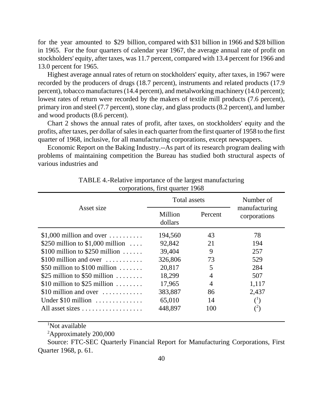for the year amounted to \$29 billion, compared with \$31 billion in 1966 and \$28 billion in 1965. For the four quarters of calendar year 1967, the average annual rate of profit on stockholders' equity, after taxes, was 11.7 percent, compared with 13.4 percent for 1966 and 13.0 percent for 1965.

Highest average annual rates of return on stockholders' equity, after taxes, in 1967 were recorded by the producers of drugs (18.7 percent), instruments and related products (17.9 percent), tobacco manufactures (14.4 percent), and metalworking machinery (14.0 percent); lowest rates of return were recorded by the makers of textile mill products (7.6 percent), primary iron and steel (7.7 percent), stone clay, and glass products (8.2 percent), and lumber and wood products (8.6 percent).

Chart 2 shows the annual rates of profit, after taxes, on stockholders' equity and the profits, after taxes, per dollar of sales in each quarter from the first quarter of 1958 to the first quarter of 1968, inclusive, for all manufacturing corporations, except newspapers.

Economic Report on the Baking Industry.--As part of its research program dealing with problems of maintaining competition the Bureau has studied both structural aspects of various industries and

|                                              | Total assets       |                | Number of                     |
|----------------------------------------------|--------------------|----------------|-------------------------------|
| Asset size                                   | Million<br>dollars | Percent        | manufacturing<br>corporations |
| \$1,000 million and over $\dots\dots\dots$   | 194,560            | 43             | 78                            |
| \$250 million to $$1,000$ million            | 92,842             | 21             | 194                           |
| \$100 million to \$250 million $\ldots$ .    | 39,404             | 9              | 257                           |
| \$100 million and over $\dots\dots\dots$     | 326,806            | 73             | 529                           |
| \$50 million to $$100$ million               | 20,817             | 5              | 284                           |
| \$25 million to \$50 million $\dots \dots$   | 18,299             | $\overline{4}$ | 507                           |
| \$10 million to \$25 million $\dots \dots$   | 17,965             | $\overline{4}$ | 1,117                         |
| \$10 million and over $\dots\dots\dots\dots$ | 383,887            | 86             | 2,437                         |
| Under $$10$ million                          | 65,010             | 14             | $^{(1)}$                      |
| All asset sizes                              | 448,897            | 100            | $(^{2})$                      |

TABLE 4.-Relative importance of the largest manufacturing corporations, first quarter 1968

<sup>1</sup>Not available

<sup>2</sup>Approximately 200,000

Source: FTC-SEC Quarterly Financial Report for Manufacturing Corporations, First Quarter 1968, p. 61.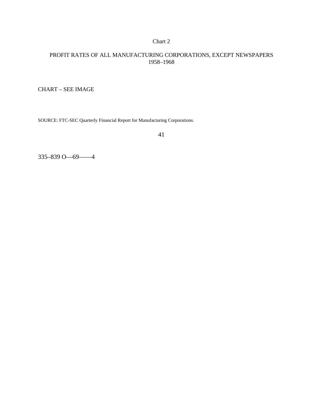## Chart 2

### PROFIT RATES OF ALL MANUFACTURING CORPORATIONS, EXCEPT NEWSPAPERS 1958–1968

CHART – SEE IMAGE

SOURCE: FTC-SEC Quarterly Financial Report for Manufacturing Corporations.

41

335–839 O—69——4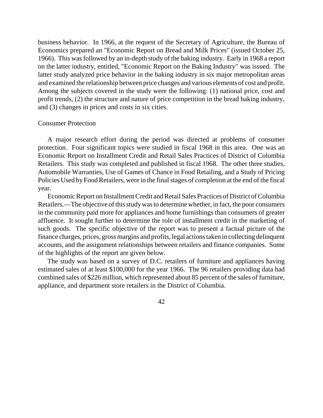business behavior. In 1966, at the request of the Secretary of Agriculture, the Bureau of Economics prepared an "Economic Report on Bread and Milk Prices" (issued October 25, 1966). This was followed by an in-depth study of the baking industry. Early in 1968 a report on the latter industry, entitled, "Economic Report on the Baking Industry" was issued. The latter study analyzed price behavior in the baking industry in six major metropolitan areas and examined the relationship between price changes and various elements of cost and profit. Among the subjects covered in the study were the following: (1) national price, cost and profit trends, (2) the structure and nature of price competition in the bread baking industry, and (3) changes in prices and costs in six cities.

### Consumer Protection

A major research effort during the period was directed at problems of consumer protection. Four significant topics were studied in fiscal 1968 in this area. One was an Economic Report on Installment Credit and Retail Sales Practices of District of Columbia Retailers. This study was completed and published in fiscal 1968. The other three studies, Automobile Warranties, Use of Games of Chance in Food Retailing, and a Study of Pricing Policies Used by Food Retailers, were in the final stages of completion at the end of the fiscal year.

Economic Report on Installment Credit and Retail Sales Practices of District of Columbia Retailers.—The objective of this study was to determine whether, in fact, the poor consumers in the community paid more for appliances and home furnishings than consumers of greater affluence. It sought further to determine the role of installment credit in the marketing of such goods. The specific objective of the report was to present a factual picture of the finance charges, prices, grossmargins and profits, legal actions taken in collecting delinquent accounts, and the assignment relationships between retailers and finance companies. Some of the highlights of the report are given below.

The study was based on a survey of D.C. retailers of furniture and appliances having estimated sales of at least \$100,000 for the year 1966. The 96 retailers providing data had combined sales of \$226 million, which represented about 85 percent of the sales of furniture, appliance, and department store retailers in the District of Columbia.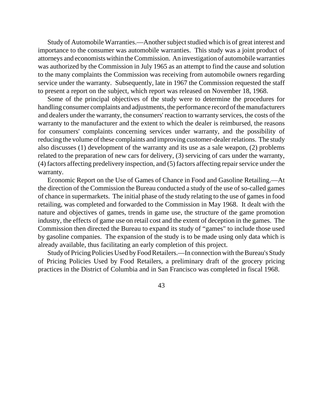Study of Automobile Warranties.—Another subject studied which is of great interest and importance to the consumer was automobile warranties. This study was a joint product of attorneys and economists within the Commission. An investigation of automobile warranties was authorized by the Commission in July 1965 as an attempt to find the cause and solution to the many complaints the Commission was receiving from automobile owners regarding service under the warranty. Subsequently, late in 1967 the Commission requested the staff to present a report on the subject, which report was released on November 18, 1968.

Some of the principal objectives of the study were to determine the procedures for handling consumer complaints and adjustments, the performance record of the manufacturers and dealers under the warranty, the consumers' reaction to warranty services, the costs of the warranty to the manufacturer and the extent to which the dealer is reimbursed, the reasons for consumers' complaints concerning services under warranty, and the possibility of reducing the volume of these complaints and improving customer-dealer relations. The study also discusses (1) development of the warranty and its use as a sale weapon, (2) problems related to the preparation of new cars for delivery, (3) servicing of cars under the warranty, (4) factors affecting predelivery inspection, and (5) factors affecting repairservice under the warranty.

Economic Report on the Use of Games of Chance in Food and Gasoline Retailing.—At the direction of the Commission the Bureau conducted a study of the use of so-called games of chance in supermarkets. The initial phase of the study relating to the use of games in food retailing, was completed and forwarded to the Commission in May 1968. It dealt with the nature and objectives of games, trends in game use, the structure of the game promotion industry, the effects of game use on retail cost and the extent of deception in the games. The Commission then directed the Bureau to expand its study of "games" to include those used by gasoline companies. The expansion of the study is to be made using only data which is already available, thus facilitating an early completion of this project.

Studyof Pricing Policies Used by Food Retailers.—In connection with the Bureau's Study of Pricing Policies Used by Food Retailers, a preliminary draft of the grocery pricing practices in the District of Columbia and in San Francisco was completed in fiscal 1968.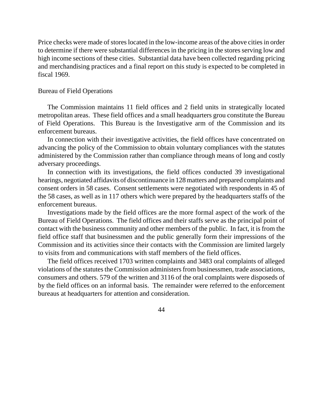Price checks were made of storeslocated in the low-income areas of the above citiesin order to determine if there were substantial differences in the pricing in the stores serving low and high income sections of these cities. Substantial data have been collected regarding pricing and merchandising practices and a final report on this study is expected to be completed in fiscal 1969.

### Bureau of Field Operations

The Commission maintains 11 field offices and 2 field units in strategically located metropolitan areas. These field offices and a small headquarters grou constitute the Bureau of Field Operations. This Bureau is the Investigative arm of the Commission and its enforcement bureaus.

In connection with their investigative activities, the field offices have concentrated on advancing the policy of the Commission to obtain voluntary compliances with the statutes administered by the Commission rather than compliance through means of long and costly adversary proceedings.

In connection with its investigations, the field offices conducted 39 investigational hearings, negotiated affidavits of discontinuance in 128matters and prepared complaints and consent orders in 58 cases. Consent settlements were negotiated with respondents in 45 of the 58 cases, as well as in 117 others which were prepared by the headquarters staffs of the enforcement bureaus.

Investigations made by the field offices are the more formal aspect of the work of the Bureau of Field Operations. The field offices and their staffs serve as the principal point of contact with the business community and other members of the public. In fact, it is from the field office staff that businessmen and the public generally form their impressions of the Commission and its activities since their contacts with the Commission are limited largely to visits from and communications with staff members of the field offices.

The field offices received 1703 written complaints and 3483 oral complaints of alleged violations of the statutes the Commission administers from businessmen, trade associations, consumers and others. 579 of the written and 3116 of the oral complaints were disposeds of by the field offices on an informal basis. The remainder were referred to the enforcement bureaus at headquarters for attention and consideration.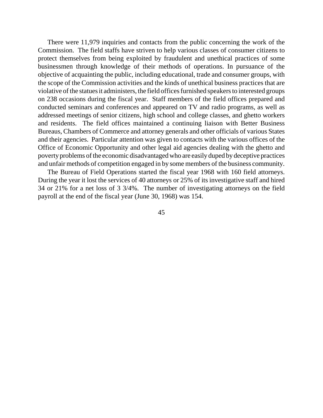There were 11,979 inquiries and contacts from the public concerning the work of the Commission. The field staffs have striven to help various classes of consumer citizens to protect themselves from being exploited by fraudulent and unethical practices of some businessmen through knowledge of their methods of operations. In pursuance of the objective of acquainting the public, including educational, trade and consumer groups, with the scope of the Commission activities and the kinds of unethical business practices that are violative of the statues it administers, the field offices furnished speakers to interested groups on 238 occasions during the fiscal year. Staff members of the field offices prepared and conducted seminars and conferences and appeared on TV and radio programs, as well as addressed meetings of senior citizens, high school and college classes, and ghetto workers and residents. The field offices maintained a continuing liaison with Better Business Bureaus, Chambers of Commerce and attorney generals and other officials of various States and their agencies. Particular attention was given to contacts with the various offices of the Office of Economic Opportunity and other legal aid agencies dealing with the ghetto and poverty problems of the economic disadvantaged who are easily duped by deceptive practices and unfair methods of competition engaged in by some members of the business community.

The Bureau of Field Operations started the fiscal year 1968 with 160 field attorneys. During the year it lost the services of 40 attorneys or 25% of its investigative staff and hired 34 or 21% for a net loss of 3 3/4%. The number of investigating attorneys on the field payroll at the end of the fiscal year (June 30, 1968) was 154.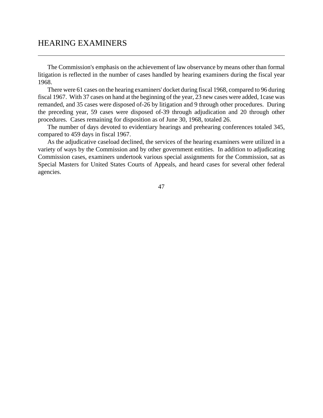## HEARING EXAMINERS

The Commission's emphasis on the achievement of law observance by means other than formal litigation is reflected in the number of cases handled by hearing examiners during the fiscal year 1968.

There were 61 cases on the hearing examiners' docket during fiscal 1968, compared to 96 during fiscal 1967. With 37 cases on hand at the beginning of the year, 23 new cases were added, 1case was remanded, and 35 cases were disposed of-26 by litigation and 9 through other procedures. During the preceding year, 59 cases were disposed of-39 through adjudication and 20 through other procedures. Cases remaining for disposition as of June 30, 1968, totaled 26.

The number of days devoted to evidentiary hearings and prehearing conferences totaled 345, compared to 459 days in fiscal 1967.

As the adjudicative caseload declined, the services of the hearing examiners were utilized in a variety of ways by the Commission and by other government entities. In addition to adjudicating Commission cases, examiners undertook various special assignments for the Commission, sat as Special Masters for United States Courts of Appeals, and heard cases for several other federal agencies.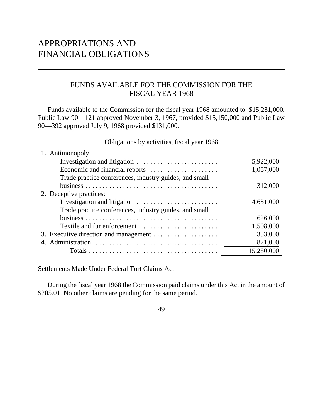# APPROPRIATIONS AND FINANCIAL OBLIGATIONS

## FUNDS AVAILABLE FOR THE COMMISSION FOR THE FISCAL YEAR 1968

Funds available to the Commission for the fiscal year 1968 amounted to \$15,281,000. Public Law 90—121 approved November 3, 1967, provided \$15,150,000 and Public Law 90—392 approved July 9, 1968 provided \$131,000.

Obligations by activities, fiscal year 1968

| 1. Antimonopoly:                                       |            |
|--------------------------------------------------------|------------|
|                                                        | 5,922,000  |
| Economic and financial reports                         | 1,057,000  |
| Trade practice conferences, industry guides, and small |            |
|                                                        | 312,000    |
| 2. Deceptive practices:                                |            |
|                                                        | 4,631,000  |
| Trade practice conferences, industry guides, and small |            |
|                                                        | 626,000    |
| Textile and fur enforcement                            | 1,508,000  |
| 3. Executive direction and management                  | 353,000    |
|                                                        | 871,000    |
|                                                        | 15,280,000 |

Settlements Made Under Federal Tort Claims Act

During the fiscal year 1968 the Commission paid claims under this Act in the amount of \$205.01. No other claims are pending for the same period.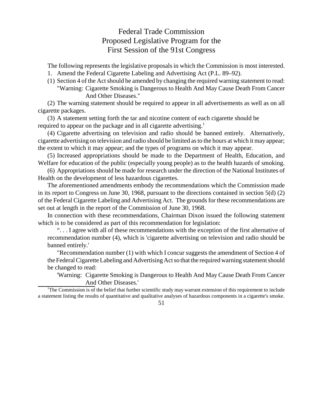## Federal Trade Commission Proposed Legislative Program for the First Session of the 91st Congress

The following represents the legislative proposals in which the Commission is most interested.

- 1. Amend the Federal Cigarette Labeling and Advertising Act (P.L. 89–92).
- (1) Section 4 of the Actshould be amended by changing the required warning statement to read: "Warning: Cigarette Smoking is Dangerous to Health And May Cause Death From Cancer And Other Diseases."

(2) The warning statement should be required to appear in all advertisements as well as on all cigarette packages.

(3) A statement setting forth the tar and nicotine content of each cigarette should be required to appear on the package and in all cigarette advertising.<sup>1</sup>

(4) Cigarette advertising on television and radio should be banned entirely. Alternatively, cigarette advertising on television and radio should be limited asto the hours at which it may appear; the extent to which it may appear; and the types of programs on which it may appear.

(5) Increased appropriations should be made to the Department of Health, Education, and Welfare for education of the public (especially young people) as to the health hazards of smoking.

(6) Appropriations should be made for research under the direction of the National Institutes of Health on the development of less hazardous cigarettes.

The aforementioned amendments embody the recommendations which the Commission made in its report to Congress on June 30, 1968, pursuant to the directions contained in section 5(d) (2) of the Federal Cigarette Labeling and Advertising Act. The grounds for these recommendations are set out at length in the report of the Commission of June 30, 1968.

In connection with these recommendations, Chairman Dixon issued the following statement which is to be considered as part of this recommendation for legislation:

". . . I agree with all of these recommendations with the exception of the first alternative of recommendation number (4), which is 'cigarette advertising on television and radio should be banned entirely.'

"Recommendation number (1) with which I concur suggests the amendment of Section 4 of the Federal Cigarette Labeling and Advertising Act so that the required warning statement should be changed to read:

'Warning: Cigarette Smoking is Dangerous to Health And May Cause Death From Cancer And Other Diseases.'

<sup>1</sup>The Commission is of the belief that further scientific study may warrant extension of this requirement to include a statement listing the results of quantitative and qualitative analyses of hazardous components in a cigarette's smoke.

<sup>51</sup>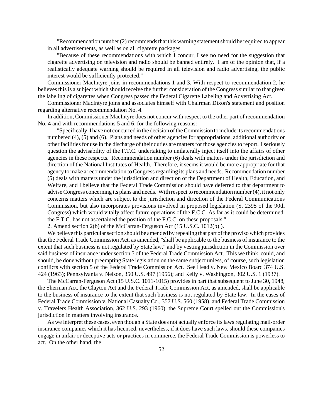$"Recommendation number(2) recommends that this warning statement should be required to appear$ in all advertisements, as well as on all cigarette packages.

"Because of these recommendations with which I concur, I see no need for the suggestion that cigarette advertising on television and radio should be banned entirely. I am of the opinion that, if a realistically adequate warning should be required in all television and radio advertising, the public interest would be sufficiently protected."

Commissioner MacIntyre joins in recommendations 1 and 3. With respect to recommendation 2, he believes this is a subject which should receive the further consideration of the Congress similar to that given the labeling of cigarettes when Congress passed the Federal Cigarette Labeling and Advertising Act.

Commissioner MacIntyre joins and associates himself with Chairman Dixon's statement and position regarding alternative recommendation No. 4.

In addition, Commissioner MacIntyre does not concur with respect to the other part of recommendation No. 4 and with recommendations 5 and 6, for the following reasons:

"Specifically, I have not concurred in the decision of the Commission to include its recommendations numbered (4), (5) and (6). Plans and needs of other agencies for appropriations, additional authority or other facilities for use in the discharge of their duties are matters for those agencies to report. I seriously question the advisability of the F.T.C. undertaking to unilaterally inject itself into the affairs of other agencies in these respects. Recommendation number (6) deals with matters under the jurisdiction and direction of the National Institutes of Health. Therefore, it seems it would be more appropriate for that agency to make a recommendation to Congress regarding its plans and needs. Recommendation number (5) deals with matters under the jurisdiction and direction of the Department of Health, Education, and Welfare, and I believe that the Federal Trade Commission should have deferred to that department to advise Congress concerning its plans and needs. With respect to recommendation number (4), it not only concerns matters which are subject to the jurisdiction and direction of the Federal Communications Commission, but also incorporates provisions involved in proposed legislation (S. 2395 of the 90th Congress) which would vitally affect future operations of the F.C.C. As far as it could be determined, the F.T.C. has not ascertained the position of the F.C.C. on these proposals."

2. Amend section 2(b) of the McCarran-Ferguson Act (15 U.S.C. 1012(b) ).

We believe this particular section should be amended by repealing that part of the proviso which provides that the Federal Trade Commission Act, as amended, "shall be applicable to the business of insurance to the extent that such business is not regulated by State law," and by vesting jurisdiction in the Commission over said business of insurance under section 5 of the Federal Trade Commission Act. This we think, could, and should, be done without preempting State legislation on the same subject unless, of course, such legislation conflicts with section 5 of the Federal Trade Commission Act. See Head v. New Mexico Board 374 U.S. 424 (1963); Pennsylvania v. Nelson, 350 U.S. 497 (1956); and Kelly v. Washington, 302 U.S. 1 (1937).

The McCarran-Ferguson Act (15 U.S.C. 1011-1015) provides in part that subsequent to June 30, 1948, the Sherman Act, the Clayton Act and the Federal Trade Commission Act, as amended, shall be applicable to the business of insurance to the extent that such business is not regulated by State law. In the cases of Federal Trade Commission v. National Casualty Co., 357 U.S. 560 (1958), and Federal Trade Commission v. Travelers Health Association, 362 U.S. 293 (1960), the Supreme Court spelled out the Commission's jurisdiction in matters involving insurance.

As we interpret these cases, even though a State does not actually enforce its laws regulating mail-order insurance companies which it has licensed, nevertheless, if it does have such laws, should these companies engage in unfair or deceptive acts or practices in commerce, the Federal Trade Commission is powerless to act. On the other hand, the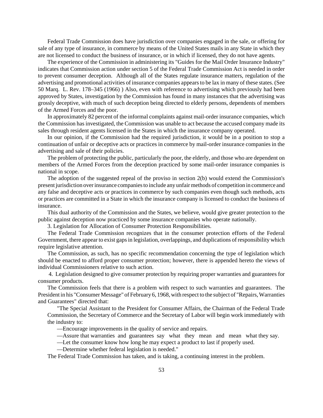Federal Trade Commission does have jurisdiction over companies engaged in the sale, or offering for sale of any type of insurance, in commerce by means of the United States mails in any State in which they are not licensed to conduct the business of insurance, or in which if licensed, they do not have agents.

The experience of the Commission in administering its "Guides for the Mail Order Insurance Industry" indicates that Commission action under section 5 of the Federal Trade Commission Act is needed in order to prevent consumer deception. Although all of the States regulate insurance matters, regulation of the advertising and promotional activities of insurance companies appearsto be lax in many of these states. (See 50 Marq. L. Rev. 178–345 (1966) ) Also, even with reference to advertising which previously had been approved by States, investigation by the Commission has found in many instances that the advertising was grossly deceptive, with much of such deception being directed to elderly persons, dependents of members of the Armed Forces and the poor.

In approximately 82 percent of the informal complaints against mail-order insurance companies, which the Commission has investigated, the Commission was unable to act because the accused company made its sales through resident agents licensed in the States in which the insurance company operated.

In our opinion, if the Commission had the required jurisdiction, it would be in a position to stop a continuation of unfair or deceptive acts or practices in commerce by mail-order insurance companies in the advertising and sale of their policies.

The problem of protecting the public, particularly the poor, the elderly, and those who are dependent on members of the Armed Forces from the deception practiced by some mail-order insurance companies is national in scope.

The adoption of the suggested repeal of the proviso in section 2(b) would extend the Commission's present jurisdiction over insurance companies to include any unfair methods of competition in commerce and any false and deceptive acts or practices in commerce by such companies even though such methods, acts or practices are committed in a State in which the insurance company is licensed to conduct the business of insurance.

This dual authority of the Commission and the States, we believe, would give greater protection to the public against deception now practiced by some insurance companies who operate nationally.

3. Legislation for Allocation of Consumer Protection Responsibilities.

The Federal Trade Commission recognizes that in the consumer protection efforts of the Federal Government, there appear to exist gaps in legislation, overlappings, and duplications of responsibility which require legislative attention.

The Commission, as such, has no specific recommendation concerning the type of legislation which should be enacted to afford proper consumer protection; however, there is appended hereto the views of individual Commissioners relative to such action.

4. Legislation designed to give consumer protection by requiring proper warranties and guarantees for consumer products.

The Commission feels that there is a problem with respect to such warranties and guarantees. The President in his "Consumer Message" of February 6, 1968, with respect to the subject of "Repairs, Warranties and Guarantees" directed that:

"The Special Assistant to the President for Consumer Affairs, the Chairman of the Federal Trade Commission, the Secretary of Commerce and the Secretary of Labor will begin work immediately with the industry to:

—Encourage improvements in the quality of service and repairs.

—Assure that warranties and guarantees say what they mean and mean what they say.

—Let the consumer know how long he may expect a product to last if properly used.

—Determine whether federal legislation is needed."

The Federal Trade Commission has taken, and is taking, a continuing interest in the problem.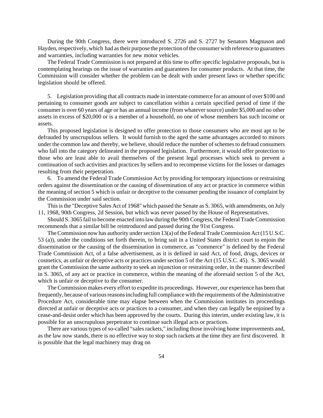During the 90th Congress, there were introduced S. 2726 and S. 2727 by Senators Magnuson and Hayden, respectively, which had as their purpose the protection of the consumer with reference to guarantees and warranties, including warranties for new motor vehicles.

The Federal Trade Commission is not prepared at this time to offer specific legislative proposals, but is contemplating hearings on the issue of warranties and guarantees for consumer products. At that time, the Commission will consider whether the problem can be dealt with under present laws or whether specific legislation should be offered.

5. Legislation providing that all contracts made in interstate commerce for an amount of over \$100 and pertaining to consumer goods are subject to cancellation within a certain specified period of time if the consumer is over 60 years of age or has an annual income (from whateversource) under \$5,000 and no other assets in excess of \$20,000 or is a member of a household, no one of whose members has such income or assets.

This proposed legislation is designed to offer protection to those consumers who are most apt to be defrauded by unscrupulous sellers. It would furnish to the aged the same advantages accorded to minors under the common law and thereby, we believe, should reduce the number of schemes to defraud consumers who fall into the category delineated in the proposed legislation. Furthermore, it would offer protection to those who are least able to avail themselves of the present legal processes which seek to prevent a continuation of such activities and practices by sellers and to recompense victims for the losses or damages resulting from their perpetration.

6. To amend the Federal Trade Commission Act by providing for temporary injunctions or restraining orders against the dissemination or the causing of dissemination of any act or practice in commerce within the meaning of section 5 which is unfair or deceptive to the consumer pending the issuance of complaint by the Commission under said section.

This is the "Deceptive Sales Act of 1968" which passed the Senate as S. 3065, with amendments, on July 11, 1968, 90th Congress, 2d Session, but which was never passed by the House of Representatives.

Should S. 3065 fail to become enacted into law during the 90th Congress, the Federal Trade Commission recommends that a similar bill be reintroduced and passed during the 91st Congress.

The Commission now has authority under section  $13(a)$  of the Federal Trade Commission Act (15 U.S.C. 53 (a)), under the conditions set forth therein, to bring suit in a United States district court to enjoin the dissemination or the causing of the dissemination in commerce, as "commerce" is defined by the Federal Trade Commission Act, of a false advertisement, as it is defined in said Act, of food, drugs, devices or cosmetics, as unfair or deceptive acts or practices under section 5 of the Act (15 U.S.C. 45). S. 3065 would grant the Commission the same authority to seek an injunction or restraining order, in the manner described in S. 3065, of any act or practice in commerce, within the meaning of the aforesaid section 5 of the Act, which is unfair or deceptive to the consumer.

The Commission makes every effort to expedite its proceedings. However, our experience has been that frequently, because of various reasons including full compliance with the requirements of the Administrative Procedure Act, considerable time may elapse between when the Commission institutes its proceedings directed at unfair or deceptive acts or practices to a consumer, and when they can legally be enjoined by a cease-and-desist order which has been approved by the courts. During this interim, under existing law, it is possible for an unscrupulous perpetrator to continue such illegal acts or practices.

There are various types of so-called "sales rackets," including those involving home improvements and, as the law now stands, there is no effective way to stop such rackets at the time they are first discovered. It is possible that the legal machinery may drag on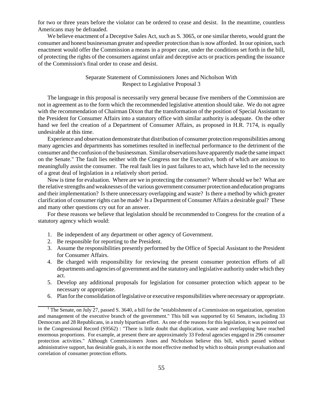for two or three years before the violator can be ordered to cease and desist. In the meantime, countless Americans may be defrauded.

We believe enactment of a Deceptive Sales Act, such as S. 3065, or one similar thereto, would grant the consumer and honest businessman greater and speedier protection than is now afforded. In our opinion, such enactment would offer the Commission a means in a proper case, under the conditions set forth in the bill, of protecting the rights of the consumers against unfair and deceptive acts or practices pending the issuance of the Commission's final order to cease and desist.

### Separate Statement of Commissioners Jones and Nicholson With Respect to Legislative Proposal 3

The language in this proposal is necessarily very general because five members of the Commission are not in agreement as to the form which the recommended legislative attention should take. We do not agree with the recommendation of Chairman Dixon that the transformation of the position of Special Assistant to the President for Consumer Affairs into a statutory office with similar authority is adequate. On the other hand we feel the creation of a Department of Consumer Affairs, as proposed in H.R. 7174, is equally undesirable at this time.

Experience and observation demonstrate that distribution of consumer protection responsibilities among many agencies and departments has sometimes resulted in ineffectual performance to the detriment of the consumer and the confusion of the businessman. Similar observations have apparently made the same impact on the Senate." The fault lies neither with the Congress nor the Executive, both of which are anxious to meaningfully assist the consumer. The real fault lies in past failures to act, which have led to the necessity of a great deal of legislation in a relatively short period.

Now is time for evaluation. Where are we in protecting the consumer? Where should we be? What are the relative strengths andweaknesses ofthe various government consumer protection and education programs and their implementation? Is there unnecessary overlapping and waste? Is there a method by which greater clarification of consumer rights can be made? Is a Department of Consumer Affairs a desirable goal? These and many other questions cry out for an answer.

For these reasons we believe that legislation should be recommended to Congress for the creation of a statutory agency which would:

- 1. Be independent of any department or other agency of Government.
- 2. Be responsible for reporting to the President.
- 3. Assume the responsibilities presently performed by the Office of Special Assistant to the President for Consumer Affairs.
- 4. Be charged with responsibility for reviewing the present consumer protection efforts of all departments and agencies of government and the statutory and legislative authority under which they act.
- 5. Develop any additional proposals for legislation for consumer protection which appear to be necessary or appropriate.
- 6. Plan for the consolidation of legislative or executive responsibilities where necessary or appropriate.

<sup>&</sup>lt;sup>1</sup> The Senate, on July 27, passed S. 3640, a bill for the "establishment of a Commission on organization, operation and management of the executive branch of the government." This bill was supported by 61 Senators, including 33 Democrats and 28 Republicans, in a truly bipartisan effort. As one of the reasons for this legislation, it was pointed out in the Congressional Record (S9562) : "There is little doubt that duplication, waste and overlapping have reached enormous proportions. For example, at present there are approximately 33 Federal agencies engaged in 296 consumer protection activities." Although Commissioners Jones and Nicholson believe this bill, which passed without administrative support, has desirable goals, it is not the most effective method by which to obtain prompt evaluation and correlation of consumer protection efforts.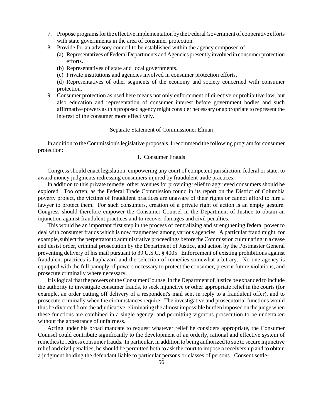- 7. Propose programs for the effective implementation by the Federal Government of cooperative efforts with state governments in the area of consumer protection.
- 8. Provide for an advisory council to be established within the agency composed of:
	- (a) Representatives of Federal Departments and Agencies presently involved in consumer protection efforts.
	- (b) Representatives of state and local governments.
	- (c) Private institutions and agencies involved in consumer protection efforts.

(d) Representatives of other segments of the economy and society concerned with consumer protection.

9. Consumer protection as used here means not only enforcement of directive or prohibitive law, but also education and representation of consumer interest before government bodies and such affirmative powers asthis proposed agency might consider necessary or appropriate to represent the interest of the consumer more effectively.

#### Separate Statement of Commissioner Elman

In addition to the Commission's legislative proposals, I recommend the following program for consumer protection:

#### I. Consumer Frauds

Congress should enact legislation empowering any court of competent jurisdiction, federal or state, to award money judgments redressing consumers injured by fraudulent trade practices.

In addition to this private remedy, other avenues for providing relief to aggrieved consumers should be explored. Too often, as the Federal Trade Commission found in its report on the District of Columbia poverty project, the victims of fraudulent practices are unaware of their rights or cannot afford to hire a lawyer to protect them. For such consumers, creation of a private right of action is an empty gesture. Congress should therefore empower the Consumer Counsel in the Department of Justice to obtain an injunction against fraudulent practices and to recover damages and civil penalties.

This would be an important first step in the process of centralizing and strengthening federal power to deal with consumer frauds which is now fragmented among various agencies. A particular fraud might, for example, subject the perpetrator to administrative proceedings before the Commission culminating in a cease and desist order, criminal prosecution by the Department of Justice, and action by the Postmaster General preventing delivery of his mail pursuant to 39 U.S.C. § 4005. Enforcement of existing prohibitions against fraudulent practices is haphazard and the selection of remedies somewhat arbitrary. No one agency is equipped with the full panoply of powers necessary to protect the consumer, prevent future violations, and prosecute criminally where necessary.

It islogical that the powers oftheConsumerCounsel in the Department ofJustice be expanded to include the authority to investigate consumer frauds, to seek injunctive or other appropriate relief in the courts (for example, an order cutting off delivery of a respondent's mail sent in reply to a fraudulent offer), and to prosecute criminally when the circumstances require. The investigative and prosecutorial functions would thus be divorced fromthe adjudicative, eliminating the almost impossible burden imposed on the judge when these functions are combined in a single agency, and permitting vigorous prosecution to be undertaken without the appearance of unfairness.

Acting under his broad mandate to request whatever relief he considers appropriate, the Consumer Counsel could contribute significantly to the development of an orderly, rational and effective system of remedies to redress consumer frauds. In particular, in addition to being authorized to sue to secure injunctive relief and civil penalties, he should be permitted both to ask the court to impose a receivership and to obtain a judgment holding the defendant liable to particular persons or classes of persons. Consent settle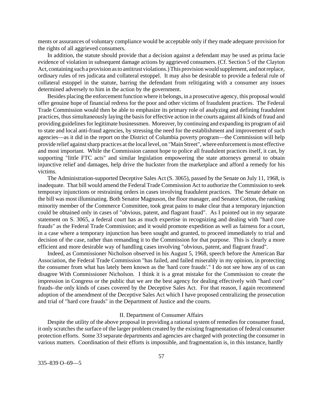ments or assurances of voluntary compliance would be acceptable only if they made adequate provision for the rights of all aggrieved consumers.

In addition, the statute should provide that a decision against a defendant may be used as prima facie evidence of violation in subsequent damage actions by aggrieved consumers. (Cf. Section 5 of the Clayton Act, containing such a provision as to antitrust violations.) This provision would supplement, and not replace, ordinary rules of res judicata and collateral estoppel. It may also be desirable to provide a federal rule of collateral estoppel in the statute, barring the defendant from relitigating with a consumer any issues determined adversely to him in the action by the government.

Besides placing the enforcement function where it belongs, in a prosecutive agency, this proposal would offer genuine hope of financial redress for the poor and other victims of fraudulent practices. The Federal Trade Commission would then be able to emphasize its primary role of analyzing and defining fraudulent practices, thussimultaneously laying the basisfor effective action in the courts against all kinds of fraud and providing guidelines for legitimate businessmen. Moreover, by continuing and expanding its program of aid to state and local anti-fraud agencies, by stressing the need for the establishment and improvement of such agencies—as it did in the report on the District of Columbia poverty program—the Commission will help provide relief against sharp practices at the local level, on "Main Street", where enforcement is most effective and most important. While the Commission cannot hope to police all fraudulent practices itself, it can, by supporting "little FTC acts" and similar legislation empowering the state attorneys general to obtain injunctive relief and damages, help drive the huckster from the marketplace and afford a remedy for his victims.

The Administration-supported Deceptive Sales Act (S. 3065), passed by the Senate on July 11, 1968, is inadequate. That bill would amend the Federal Trade Commission Act to authorize the Commission to seek temporary injunctions or restraining orders in cases involving fraudulent practices. The Senate debate on the bill was most illuminating. Both Senator Magnuson, the floor manager, and Senator Cotton, the ranking minority member of the Commerce Committee, took great pains to make clear that a temporary injunction could be obtained only in cases of "obvious, patent, and flagrant fraud". As I pointed out in my separate statement on S. 3065, a federal court has as much expertise in recognizing and dealing with "hard core frauds" as the Federal Trade Commission; and it would promote expedition as well as fairness for a court, in a case where a temporary injunction has been sought and granted, to proceed immediately to trial and decision of the case, rather than remanding it to the Commission for that purpose. This is clearly a more efficient and more desirable way of handling cases involving "obvious, patent, and flagrant fraud".

Indeed, as Commissioner Nicholson observed in his August 5, 1968, speech before the American Bar Association, the Federal Trade Commission "has failed, and failed miserably in my opinion, in protecting the consumer from what has lately been known as the 'hard core frauds'." I do not see how any of us can disagree With Commissioner Nicholson. I think it is a great mistake for the Commission to create the impression in Congress or the public that we are the best agency for dealing effectively with "hard core" frauds–the only kinds of cases covered by the Deceptive Sales Act. For that reason, I again recommend adoption of the amendment of the Deceptive Sales Act which I have proposed centralizing the prosecution and trial of "hard core frauds" in the Department of Justice and the courts.

#### II. Department of Consumer Affairs

Despite the utility of the above proposal in providing a rational system of remedies for consumer fraud, it only scratches the surface of the larger problem created by the existing fragmentation of federal consumer protection efforts. Some 33 separate departments and agencies are charged with protecting the consumer in various matters. Coordination of their efforts is impossible, and fragmentation is, in this instance, hardly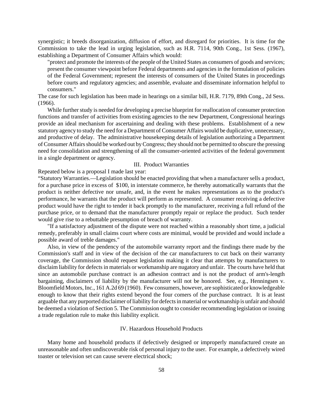synergistic; it breeds disorganization, diffusion of effort, and disregard for priorities. It is time for the Commission to take the lead in urging legislation, such as H.R. 7114, 90th Cong., 1st Sess. (1967), establishing a Department of Consumer Affairs which would:

"protect and promote the interests of the people of the United States as consumers of goods and services; present the consumer viewpoint before Federal departments and agencies in the formulation of policies of the Federal Government; represent the interests of consumers of the United States in proceedings before courts and regulatory agencies; and assemble, evaluate and disseminate information helpful to consumers."

The case for such legislation has been made in hearings on a similar bill, H.R. 7179, 89th Cong., 2d Sess. (1966).

While further study is needed for developing a precise blueprint for reallocation of consumer protection functions and transfer of activities from existing agencies to the new Department, Congressional hearings provide an ideal mechanism for ascertaining and dealing with these problems. Establishment of a new statutory agency to study the need for a Department of Consumer Affairs would be duplicative, unnecessary, and productive of delay. The administrative housekeeping details of legislation authorizing a Department of Consumer Affairs should be worked out by Congress; they should not be permitted to obscure the pressing need for consolidation and strengthening of all the consumer-oriented activities of the federal government in a single department or agency.

#### III. Product Warranties

Repeated below is a proposal I made last year:

"Statutory Warranties.—Legislation should be enacted providing that when a manufacturer sells a product, for a purchase price in excess of \$100, in interstate commerce, he thereby automatically warrants that the product is neither defective nor unsafe, and, in the event he makes representations as to the product's performance, he warrants that the product will perform as represented. A consumer receiving a defective product would have the right to tender it back promptly to the manufacturer, receiving a full refund of the purchase price, or to demand that the manufacturer promptly repair or replace the product. Such tender would give rise to a rebuttable presumption of breach of warranty.

"If a satisfactory adjustment of the dispute were not reached within a reasonably short time, a judicial remedy, preferably in small claims court where costs are minimal, would be provided and would include a possible award of treble damages."

Also, in view of the pendency of the automobile warranty report and the findings there made by the Commission's staff and in view of the decision of the car manufacturers to cut back on their warranty coverage, the Commission should request legislation making it clear that attempts by manufacturers to disclaim liability for defects in materials or workmanship are nugatory and unfair. The courts have held that since an automobile purchase contract is an adhesion contract and is not the product of arm's-length bargaining, disclaimers of liability by the manufacturer will not be honored. See, e.g., Henningsen v. Bloomfield Motors,Inc., 161 A.2d 69 (1960). Few consumers, however, are sophisticated or knowledgeable enough to know that their rights extend beyond the four comers of the purchase contract. It is at least arguable that any purported disclaimer of liability for defects in material or workmanship is unfair and should be deemed a violation of Section 5. The Commission ought to consider recommending legislation or issuing a trade regulation rule to make this liability explicit.

#### IV. Hazardous Household Products

Many home and household products if defectively designed or improperly manufactured create an unreasonable and often undiscoverable risk of personal injury to the user. For example, a defectively wired toaster or television set can cause severe electrical shock;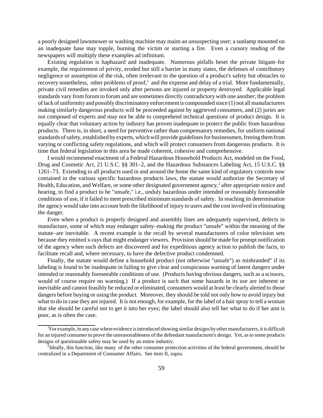a poorly designed lawnmower or washing machine may maim an unsuspecting user; a sunlamp mounted on an inadequate base may topple, burning the victim or starting a fire. Even a cursory reading of the newspapers will multiply these examples ad infinitum.

Existing regulation is haphazard and inadequate. Numerous pitfalls beset the private litigant–for example, the requirement of privity, eroded but still a barrier in many states, the defenses of contributory negligence or assumption of the risk, often irrelevant to the question of a product's safety but obstacles to recovery nonetheless, other problems of proof, $<sup>1</sup>$  and the expense and delay of a trial. More fundamentally,</sup> private civil remedies are invoked only after persons are injured or property destroyed. Applicable legal standards vary from forum to forum and are sometimes directly contradictory with one another; the problem oflack of uniformity and possibly discriminatory enforcement is compounded since (1) not all manufacturers making similarly dangerous products will be proceeded against by aggrieved consumers, and (2) juries are not composed of experts and may not be able to comprehend technical questions of product design. It is equally clear that voluntary action by industry has proven inadequate to protect the public from hazardous products. There is, in short, a need for preventive rather than compensatory remedies, for uniform national standards of safety, established by experts, which will provide guidelines for businessmen, freeing them from varying or conflicting safety regulations, and which will protect consumers from dangerous products. It is time that federal legislation in this area be made coherent, cohesive and comprehensive.

I would recommend enactment of a Federal Hazardous Household Products Act, modeled on the Food, Drug and Cosmetic Act, 21 U.S.C. §§ 301–2, and the Hazardous Substances Labeling Act, 15 U.S.C. §§ 1261–73. Extending to all products used in and around the home the same kind of regulatory controls now contained in the various specific hazardous products laws, the statute would authorize the Secretary of Health, Education, and Welfare, or some other designated government agency,<sup>2</sup> after appropriate notice and hearing, to find a product to be "unsafe," i.e., unduly hazardous under intended or reasonably foreseeable conditions of use, if it failed to meet prescribed minimum standards of safety. In reaching its determination the agency would take into account both the likelihood of injury to users and the cost involved in eliminating the danger.

Even when a product is properly designed and assembly lines are adequately supervised, defects in manufacture, some of which may endanger safety–making the product "unsafe" within the meaning of the statute–are inevitable. A recent example is the recall by several manufacturers of color television sets because they emitted x-rays that might endanger viewers. Provision should be made for prompt notification of the agency when such defects are discovered and for expeditious agency action to publish the facts, to facilitate recall and, where necessary, to have the defective product condemned.

Finally, the statute would define a household product (not otherwise "unsafe") as misbranded" if its labeling is found to be inadequate in failing to give clear and conspicuous warning of latent dangers under intended or reasonably foreseeable conditions of use. (Products having obvious dangers, such as a scissors, would of course require no warning.) If a product is such that some hazards in its use are inherent or inevitable and cannot feasibly be reduced or eliminated, consumers would at least be clearly alerted to those dangers before buying or using the product. Moreover, they should be told not only how to avoid injury but what to do in case they are injured. It is not enough, for example, for the label of a hair spray to tell a woman that she should be careful not to get it into her eyes; the label should also tell her what to do if her aim is poor, as is often the case.

<sup>&</sup>lt;sup>1</sup>For example, in any case where evidence is introduced showing similar designs by other manufacturers, it is difficult for an injured consumer to prove the unreasonableness of the defendant manufacturer's design. Yet, as to some products designs of questionable safety may be used by an entire industry.

 $^{2}$ Ideally, this function, like many of the other consumer protection activities of the federal government, should be centralized in a Department of Consumer Affairs. See item II, supra.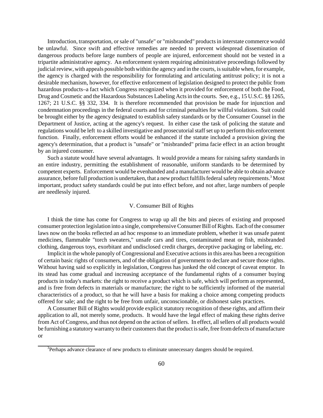Introduction, transportation, orsale of "unsafe" or "misbranded" productsin interstate commerce would be unlawful. Since swift and effective remedies are needed to prevent widespread dissemination of dangerous products before large numbers of people are injured, enforcement should not be vested in a tripartite administrative agency. An enforcement system requiring administrative proceedings followed by judicial review, with appeals possible both within the agency and in the courts, is suitable when, for example, the agency is charged with the responsibility for formulating and articulating antitrust policy; it is not a desirable mechanism, however, for effective enforcement of legislation designed to protect the public from hazardous products–a fact which Congress recognized when it provided for enforcement of both the Food, Drug and Cosmetic and the Hazardous Substances Labeling Acts in the courts. See, e.g., 15 U.S.C. §§ 1265, 1267; 21 U.S.C. §§ 332, 334. It is therefore recommended that provision be made for injunction and condemnation proceedings in the federal courts and for criminal penalties for willful violations. Suit could be brought either by the agency designated to establish safety standards or by the Consumer Counsel in the Department of Justice, acting at the agency's request. In either case the task of policing the statute and regulations would be left to a skilled investigative and prosecutorial staff set up to perform this enforcement function. Finally, enforcement efforts would be enhanced if the statute included a provision giving the agency's determination, that a product is "unsafe" or "misbranded" prima facie effect in an action brought by an injured consumer.

Such a statute would have several advantages. It would provide a means for raising safety standards in an entire industry, permitting the establishment of reasonable, uniform standards to be determined by competent experts. Enforcement would be evenhanded and a manufacturer would be able to obtain advance assurance, before full production is undertaken, that a new product fulfills federal safety requirements.<sup>3</sup> Most important, product safety standards could be put into effect before, and not after, large numbers of people are needlessly injured.

#### V. Consumer Bill of Rights

I think the time has come for Congress to wrap up all the bits and pieces of existing and proposed consumer protection legislation into a single, comprehensive Consumer Bill of Rights. Each of the consumer laws now on the books reflected an ad hoc response to an immediate problem, whether it was unsafe patent medicines, flammable "torch sweaters," unsafe cars and tires, contaminated meat or fish, misbranded clothing, dangerous toys, exorbitant and undisclosed credit charges, deceptive packaging or labeling, etc.

Implicit in the whole panoply of Congressional and Executive actions in this area has been a recognition of certain basic rights of consumers, and of the obligation of government to declare and secure those rights. Without having said so explicitly in legislation, Congress has junked the old concept of caveat emptor. In its stead has come gradual and increasing acceptance of the fundamental rights of a consumer buying products in today's markets: the right to receive a product which is safe, which will perform as represented, and is free from defects in materials or manufacture; the right to be sufficiently informed of the material characteristics of a product, so that he will have a basis for making a choice among competing products offered for sale; and the right to be free from unfair, unconscionable, or dishonest sales practices.

A Consumer Bill of Rights would provide explicit statutory recognition of these rights, and affirm their application to all, not merely some, products. It would have the legal effect of making these rights derive from Act of Congress, and thus not depend on the action of sellers. In effect, all sellers of all products would be furnishing a statutory warranty to their customers that the product is safe, free from defects of manufacture or

<sup>&</sup>lt;sup>3</sup>Perhaps advance clearance of new products to eliminate unnecessary dangers should be required.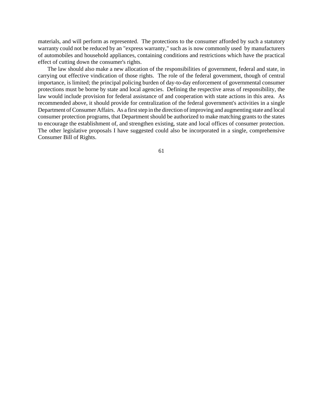materials, and will perform as represented. The protections to the consumer afforded by such a statutory warranty could not be reduced by an "express warranty," such as is now commonly used by manufacturers of automobiles and household appliances, containing conditions and restrictions which have the practical effect of cutting down the consumer's rights.

The law should also make a new allocation of the responsibilities of government, federal and state, in carrying out effective vindication of those rights. The role of the federal government, though of central importance, is limited; the principal policing burden of day-to-day enforcement of governmental consumer protections must be borne by state and local agencies. Defining the respective areas of responsibility, the law would include provision for federal assistance of and cooperation with state actions in this area. As recommended above, it should provide for centralization of the federal government's activities in a single Department of Consumer Affairs. As a first step in the direction of improving and augmenting state and local consumer protection programs, that Department should be authorized to make matching grants to the states to encourage the establishment of, and strengthen existing, state and local offices of consumer protection. The other legislative proposals I have suggested could also be incorporated in a single, comprehensive Consumer Bill of Rights.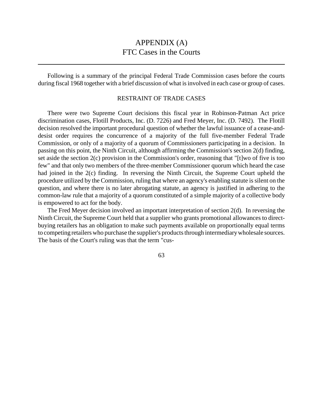## APPENDIX (A) FTC Cases in the Courts

Following is a summary of the principal Federal Trade Commission cases before the courts during fiscal 1968 together with a brief discussion of what is involved in each case or group of cases.

### RESTRAINT OF TRADE CASES

There were two Supreme Court decisions this fiscal year in Robinson-Patman Act price discrimination cases, Flotill Products, Inc. (D. 7226) and Fred Meyer, Inc. (D. 7492). The Flotill decision resolved the important procedural question of whether the lawful issuance of a cease-anddesist order requires the concurrence of a majority of the full five-member Federal Trade Commission, or only of a majority of a quorum of Commissioners participating in a decision. In passing on this point, the Ninth Circuit, although affirming the Commission's section 2(d) finding, set aside the section 2(c) provision in the Commission's order, reasoning that "[t]wo of five is too few" and that only two members of the three-member Commissioner quorum which heard the case had joined in the 2(c) finding. In reversing the Ninth Circuit, the Supreme Court upheld the procedure utilized by the Commission, ruling that where an agency's enabling statute is silent on the question, and where there is no later abrogating statute, an agency is justified in adhering to the common-law rule that a majority of a quorum constituted of a simple majority of a collective body is empowered to act for the body.

The Fred Meyer decision involved an important interpretation of section 2(d). In reversing the Ninth Circuit, the Supreme Court held that a supplier who grants promotional allowances to directbuying retailers has an obligation to make such payments available on proportionally equal terms to competing retailers who purchase the supplier's products through intermediary wholesale sources. The basis of the Court's ruling was that the term "cus-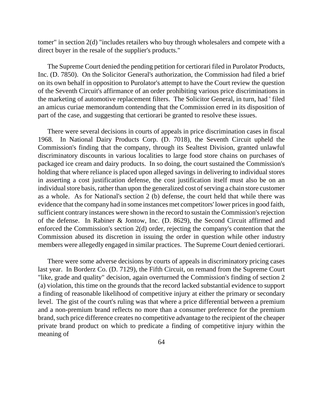tomer" in section 2(d) "includes retailers who buy through wholesalers and compete with a direct buyer in the resale of the supplier's products."

The Supreme Court denied the pending petition for certiorari filed in Purolator Products, Inc. (D. 7850). On the Solicitor General's authorization, the Commission had filed a brief on its own behalf in opposition to Purolator's attempt to have the Court review the question of the Seventh Circuit's affirmance of an order prohibiting various price discriminations in the marketing of automotive replacement filters. The Solicitor General, in turn, had ' filed an amicus curiae memorandum contending that the Commission erred in its disposition of part of the case, and suggesting that certiorari be granted to resolve these issues.

There were several decisions in courts of appeals in price discrimination cases in fiscal 1968. In National Dairy Products Corp. (D. 7018), the Seventh Circuit upheld the Commission's finding that the company, through its Sealtest Division, granted unlawful discriminatory discounts in various localities to large food store chains on purchases of packaged ice cream and dairy products. In so doing, the court sustained the Commission's holding that where reliance is placed upon alleged savings in delivering to individual stores in asserting a cost justification defense, the cost justification itself must also be on an individual store basis, rather than upon the generalized cost of serving a chain store customer as a whole. As for National's section 2 (b) defense, the court held that while there was evidence that the company had in some instances met competitors' lower pricesin good faith, sufficient contrary instances were shown in the record to sustain the Commission's rejection of the defense. In Rabiner & Jontow, Inc. (D. 8629), the Second Circuit affirmed and enforced the Commission's section 2(d) order, rejecting the company's contention that the Commission abused its discretion in issuing the order in question while other industry members were allegedly engaged in similar practices. The Supreme Court denied certiorari.

There were some adverse decisions by courts of appeals in discriminatory pricing cases last year. In Borderz Co. (D. 7129), the Fifth Circuit, on remand from the Supreme Court "like, grade and quality" decision, again overturned the Commission's finding of section 2 (a) violation, this time on the grounds that the record lacked substantial evidence to support a finding of reasonable likelihood of competitive injury at either the primary or secondary level. The gist of the court's ruling was that where a price differential between a premium and a non-premium brand reflects no more than a consumer preference for the premium brand, such price difference creates no competitive advantage to the recipient of the cheaper private brand product on which to predicate a finding of competitive injury within the meaning of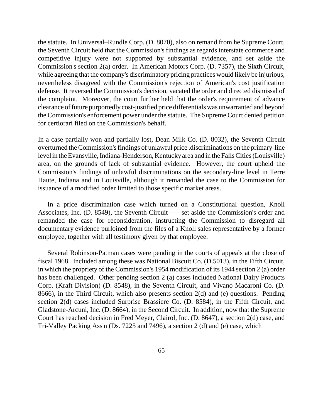the statute. In Universal–Rundle Corp. (D. 8070), also on remand from he Supreme Court, the Seventh Circuit held that the Commission's findings as regards interstate commerce and competitive injury were not supported by substantial evidence, and set aside the Commission's section 2(a) order. In American Motors Corp. (D. 7357), the Sixth Circuit, while agreeing that the company's discriminatory pricing practices would likely be injurious, nevertheless disagreed with the Commission's rejection of American's cost justification defense. It reversed the Commission's decision, vacated the order and directed dismissal of the complaint. Moreover, the court further held that the order's requirement of advance clearance of future purportedly cost-justified price differentials was unwarranted and beyond the Commission's enforcement power under the statute. The Supreme Court denied petition for certiorari filed on the Commission's behalf.

In a case partially won and partially lost, Dean Milk Co. (D. 8032), the Seventh Circuit overturned theCommission'sfindings of unlawful price .discriminations on the primary-line level in the Evansville, Indiana-Henderson, Kentucky area and in the Falls Cities (Louisville) area, on the grounds of lack of substantial evidence. However, the court upheld the Commission's findings of unlawful discriminations on the secondary-line level in Terre Haute, Indiana and in Louisville, although it remanded the case to the Commission for issuance of a modified order limited to those specific market areas.

In a price discrimination case which turned on a Constitutional question, Knoll Associates, Inc. (D. 8549), the Seventh Circuit——set aside the Commission's order and remanded the case for reconsideration, instructing the Commission to disregard all documentary evidence purloined from the files of a Knoll sales representative by a former employee, together with all testimony given by that employee.

Several Robinson-Patman cases were pending in the courts of appeals at the close of fiscal 1968. Included among these was National Biscuit Co. (D.5013), in the Fifth Circuit, in which the propriety of the Commission's 1954 modification of its 1944 section 2 (a) order has been challenged. Other pending section 2 (a) cases included National Dairy Products Corp. (Kraft Division) (D. 8548), in the Seventh Circuit, and Vivano Macaroni Co. (D. 8666), in the Third Circuit, which also presents section 2(d) and (e) questions. Pending section 2(d) cases included Surprise Brassiere Co. (D. 8584), in the Fifth Circuit, and Gladstone-Arcuni, Inc. (D. 8664), in the Second Circuit. In addition, now that the Supreme Court has reached decision in Fred Meyer, Clairol, Inc. (D. 8647), a section 2(d) case, and Tri-Valley Packing Ass'n (Ds. 7225 and 7496), a section 2 (d) and (e) case, which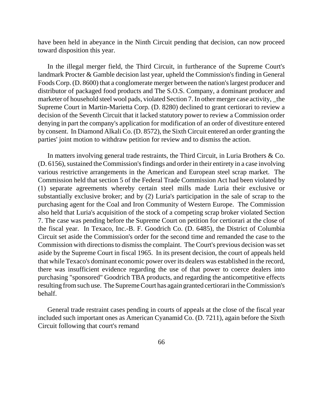have been held in abeyance in the Ninth Circuit pending that decision, can now proceed toward disposition this year.

In the illegal merger field, the Third Circuit, in furtherance of the Supreme Court's landmark Procter & Gamble decision last year, upheld the Commission's finding in General Foods Corp. (D. 8600) that a conglomerate merger between the nation'slargest producer and distributor of packaged food products and The S.O.S. Company, a dominant producer and marketer of household steel wool pads, violated Section 7. In other merger case activity, \_the Supreme Court in Martin-Marietta Corp. (D. 8280) declined to grant certiorari to review a decision of the Seventh Circuit that it lacked statutory power to review a Commission order denying in part the company's application for modification of an order of divestiture entered by consent. In Diamond Alkali Co. (D. 8572), the Sixth Circuit entered an order granting the parties' joint motion to withdraw petition for review and to dismiss the action.

In matters involving general trade restraints, the Third Circuit, in Luria Brothers & Co.  $(D. 6156)$ , sustained the Commission's findings and order in their entirety in a case involving various restrictive arrangements in the American and European steel scrap market. The Commission held that section 5 of the Federal Trade Commission Act had been violated by (1) separate agreements whereby certain steel mills made Luria their exclusive or substantially exclusive broker; and by (2) Luria's participation in the sale of scrap to the purchasing agent for the Coal and Iron Community of Western Europe. The Commission also held that Luria's acquisition of the stock of a competing scrap broker violated Section 7. The case was pending before the Supreme Court on petition for certiorari at the close of the fiscal year. In Texaco, Inc.-B. F. Goodrich Co. (D. 6485), the District of Columbia Circuit set aside the Commission's order for the second time and remanded the case to the Commission with directions to dismiss the complaint. The Court's previous decision was set aside by the Supreme Court in fiscal 1965. In its present decision, the court of appeals held that while Texaco's dominant economic power over its dealers was established in the record, there was insufficient evidence regarding the use of that power to coerce dealers into purchasing "sponsored" Goodrich TBA products, and regarding the anticompetitive effects resulting fromsuch use. The Supreme Court has again granted certiorari in the Commission's behalf.

General trade restraint cases pending in courts of appeals at the close of the fiscal year included such important ones as American Cyanamid Co. (D. 7211), again before the Sixth Circuit following that court's remand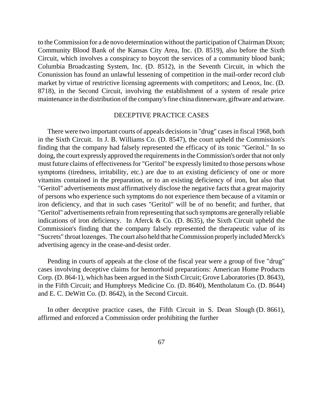to theCommission for a de novo determination without the participation of Chairman Dixon; Community Blood Bank of the Kansas City Area, Inc. (D. 8519), also before the Sixth Circuit, which involves a conspiracy to boycott the services of a community blood bank; Columbia Broadcasting System, Inc. (D. 8512), in the Seventh Circuit, in which the Conunission has found an unlawful lessening of competition in the mail-order record club market by virtue of restrictive licensing agreements with competitors; and Lenox, Inc. (D. 8718), in the Second Circuit, involving the establishment of a system of resale price maintenance in the distribution of the company's fine china dinnerware, giftware and artware.

### DECEPTIVE PRACTICE CASES

There were two important courts of appeals decisions in "drug" cases in fiscal 1968, both in the Sixth Circuit. In J. B. Williams Co. (D. 8547), the court upheld the Commission's finding that the company had falsely represented the efficacy of its tonic "Geritol." In so doing, the court expressly approved the requirements in the Commission's order that not only must future claims of effectiveness for "Geritol" be expressly limited to those persons whose symptoms (tiredness, irritability, etc.) are due to an existing deficiency of one or more vitamins contained in the preparation, or to an existing deficiency of iron, but also that "Geritol" advertisements must affirmatively disclose the negative facts that a great majority of persons who experience such symptoms do not experience them because of a vitamin or iron deficiency, and that in such cases "Geritol" will be of no benefit; and further, that "Geritol" advertisements refrain from representing that such symptoms are generally reliable indications of iron deficiency. In Aferck & Co. (D. 8635), the Sixth Circuit upheld the Commission's finding that the company falsely represented the therapeutic value of its "Sucrets" throat lozenges. The court also held that he Commission properly included Merck's advertising agency in the cease-and-desist order.

Pending in courts of appeals at the close of the fiscal year were a group of five "drug" cases involving deceptive claims for hemorrhoid preparations: American Home Products Corp. (D. 864-1), which has been argued in the Sixth Circuit; Grove Laboratories (D. 8643), in the Fifth Circuit; and Humphreys Medicine Co. (D. 8640), Mentholatum Co. (D. 8644) and E. C. DeWitt Co. (D. 8642), in the Second Circuit.

In other deceptive practice cases, the Fifth Circuit in S. Dean Slough (D. 8661), affirmed and enforced a Commission order prohibiting the further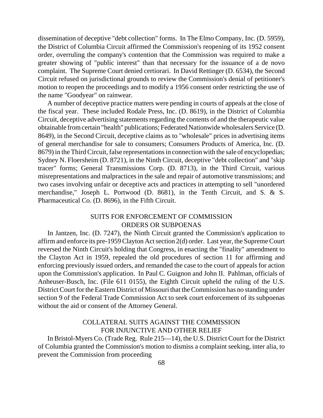dissemination of deceptive "debt collection" forms. In The Elmo Company, Inc. (D. 5959), the District of Columbia Circuit affirmed the Commission's reopening of its 1952 consent order, overruling the company's contention that the Commission was required to make a greater showing of "public interest" than that necessary for the issuance of a de novo complaint. The Supreme Court denied certiorari. In David Rettinger (D. 6534), the Second Circuit refused on jurisdictional grounds to review the Commission's denial of petitioner's motion to reopen the proceedings and to modify a 1956 consent order restricting the use of the name "Goodyear" on rainwear.

A number of deceptive practice matters were pending in courts of appeals at the close of the fiscal year. These included Rodale Press, Inc. (D. 8619), in the District of Columbia Circuit, deceptive advertising statements regarding the contents of and the therapeutic value obtainable from certain "health" publications; Federated Nationwide wholesalers Service (D. 8649), in the Second Circuit, deceptive claims as to "wholesale" prices in advertising items of general merchandise for sale to consumers; Consumers Products of America, Inc. (D. 8679) in the Third Circuit, false representations in connection with the sale of encyclopedias; Sydney N. Floersheim (D. 8721), in the Ninth Circuit, deceptive "debt collection" and "skip tracer" forms; General Transmissions Corp. (D. 8713), in the Third Circuit, various misrepresentations and malpractices in the sale and repair of automotive transmissions; and two cases involving unfair or deceptive acts and practices in attempting to sell "unordered merchandise," Joseph L. Portwood (D. 8681), in the Tenth Circuit, and S. & S. Pharmaceutical Co. (D. 8696), in the Fifth Circuit.

## SUITS FOR ENFORCEMENT OF COMMISSION ORDERS OR SUBPOENAS

In Jantzen, Inc. (D. 7247), the Ninth Circuit granted the Commission's application to affirm and enforce its pre-1959Clayton Actsection 2(d) order. Last year, the Supreme Court reversed the Ninth Circuit's holding that Congress, in enacting the "finality" amendment to the Clayton Act in 1959, repealed the old procedures of section 11 for affirming and enforcing previously issued orders, and remanded the case to the court of appeals for action upon the Commission's application. In Paul C. Guignon and John II. Pahlman, officials of Anheuser-Busch, Inc. (File 611 0155), the Eighth Circuit upheld the ruling of the U.S. District Court for the Eastern District of Missouri that the Commission has no standing under section 9 of the Federal Trade Commission Act to seek court enforcement of its subpoenas without the aid or consent of the Attorney General.

## COLLATERAL SUITS AGAINST THE COMMISSION FOR INJUNCTIVE AND OTHER RELIEF

In Bristol-Myers Co. (Trade Reg. Rule 215—14), the U.S. District Court for the District of Columbia granted the Commission's motion to dismiss a complaint seeking, inter alia, to prevent the Commission from proceeding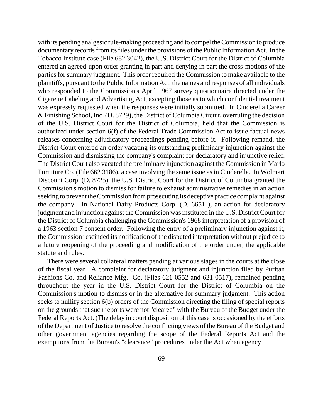with its pending analgesic rule-making proceeding and to compel the Commission to produce documentary records from its files under the provisions of the Public Information Act. In the Tobacco Institute case (File 682 3042), the U.S. District Court for the District of Columbia entered an agreed-upon order granting in part and denying in part the cross-motions of the parties for summary judgment. This order required the Commission to make available to the plaintiffs, pursuant to the Public Information Act, the names and responses of all individuals who responded to the Commission's April 1967 survey questionnaire directed under the Cigarette Labeling and Advertising Act, excepting those as to which confidential treatment was expressly requested when the responses were initially submitted. In Cinderella Career & Finishing School, Inc. (D. 8729), the District of Columbia Circuit, overruling the decision of the U.S. District Court for the District of Columbia, held that the Commission is authorized under section 6(f) of the Federal Trade Commission Act to issue factual news releases concerning adjudicatory proceedings pending before it. Following remand, the District Court entered an order vacating its outstanding preliminary injunction against the Commission and dismissing the company's complaint for declaratory and injunctive relief. The District Court also vacated the preliminary injunction against the Commission in Marlo Furniture Co. (File 662 3186), a case involving the same issue as in Cinderella. In Wolmart Discount Corp. (D. 8725), the U.S. District Court for the District of Columbia granted the Commission's motion to dismiss for failure to exhaust administrative remedies in an action seeking to prevent the Commission from prosecuting its deceptive practice complaint against the company. In National Dairy Products Corp. (D. 6651 ), an action for declaratory judgment and injunction against the Commission was instituted in the U.S. District Court for the District of Columbia challenging the Commission's 1968 interpretation of a provision of a 1963 section 7 consent order. Following the entry of a preliminary injunction against it, the Commission rescinded its notification of the disputed interpretation without prejudice to a future reopening of the proceeding and modification of the order under, the applicable statute and rules.

There were several collateral matters pending at various stages in the courts at the close of the fiscal year. A complaint for declaratory judgment and injunction filed by Puritan Fashions Co. and Reliance Mfg. Co. (Files 621 0552 and 621 0517), remained pending throughout the year in the U.S. District Court for the District of Columbia on the Commission's motion to dismiss or in the alternative for summary judgment. This action seeks to nullify section 6(b) orders of the Commission directing the filing of special reports on the grounds that such reports were not "cleared" with the Bureau of the Budget under the Federal Reports Act. (The delay in court disposition of this case is occasioned by the efforts of the Department of Justice to resolve the conflicting views of the Bureau of the Budget and other government agencies regarding the scope of the Federal Reports Act and the exemptions from the Bureau's "clearance" procedures under the Act when agency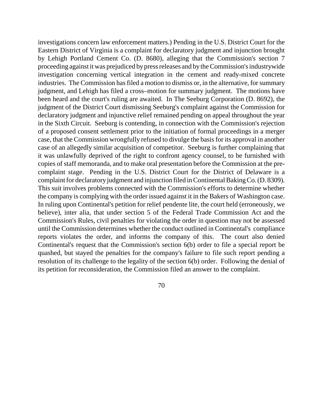investigations concern law enforcement matters.) Pending in the U.S. District Court for the Eastern District of Virginia is a complaint for declaratory judgment and injunction brought by Lehigh Portland Cement Co. (D. 8680), alleging that the Commission's section 7 proceeding against it was prejudiced by pressreleases and by theCommission'sindustrywide investigation concerning vertical integration in the cement and ready-mixed concrete industries. The Commission has filed a motion to dismiss or, in the alternative, for summary judgment, and Lehigh has filed a cross–motion for summary judgment. The motions have been heard and the court's ruling are awaited. In The Seeburg Corporation (D. 8692), the judgment of the District Court dismissing Seeburg's complaint against the Commission for declaratory judgment and injunctive relief remained pending on appeal throughout the year in the Sixth Circuit. Seeburg is contending, in connection with the Commission's rejection of a proposed consent settlement prior to the initiation of formal proceedings in a merger case, that the Commission wrongfully refused to divulge the basisfor its approval in another case of an allegedly similar acquisition of competitor. Seeburg is further complaining that it was unlawfully deprived of the right to confront agency counsel, to be furnished with copies of staff memoranda, and to make oral presentation before the Commission at the precomplaint stage. Pending in the U.S. District Court for the District of Delaware is a complaint for declaratory judgment and injunction filed in Continental Baking Co. (D. 8309). This suit involves problems connected with the Commission's efforts to determine whether the company is complying with the order issued against it in the Bakers of Washington case. In ruling upon Continental's petition for relief pendente lite, the court held (erroneously, we believe), inter alia, that under section 5 of the Federal Trade Commission Act and the Commission's Rules, civil penalties for violating the order in question may not be assessed until the Commission determines whether the conduct outlined in Continental's compliance reports violates the order, and informs the company of this. The court also denied Continental's request that the Commission's section 6(b) order to file a special report be quashed, but stayed the penalties for the company's failure to file such report pending a resolution of its challenge to the legality of the section 6(b) order. Following the denial of its petition for reconsideration, the Commission filed an answer to the complaint.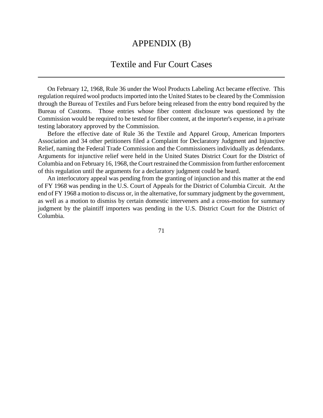## APPENDIX (B)

# Textile and Fur Court Cases

On February 12, 1968, Rule 36 under the Wool Products Labeling Act became effective. This regulation required wool products imported into the United States to be cleared by the Commission through the Bureau of Textiles and Furs before being released from the entry bond required by the Bureau of Customs. Those entries whose fiber content disclosure was questioned by the Commission would be required to be tested for fiber content, at the importer's expense, in a private testing laboratory approved by the Commission.

Before the effective date of Rule 36 the Textile and Apparel Group, American Importers Association and 34 other petitioners filed a Complaint for Declaratory Judgment and Injunctive Relief, naming the Federal Trade Commission and the Commissioners individually as defendants. Arguments for injunctive relief were held in the United States District Court for the District of Columbia and on February 16, 1968, the Court restrained the Commission from further enforcement of this regulation until the arguments for a declaratory judgment could be heard.

An interlocutory appeal was pending from the granting of injunction and this matter at the end of FY 1968 was pending in the U.S. Court of Appeals for the District of Columbia Circuit. At the end of FY 1968 a motion to discuss or, in the alternative, for summary judgment by the government, as well as a motion to dismiss by certain domestic interveners and a cross-motion for summary judgment by the plaintiff importers was pending in the U.S. District Court for the District of Columbia.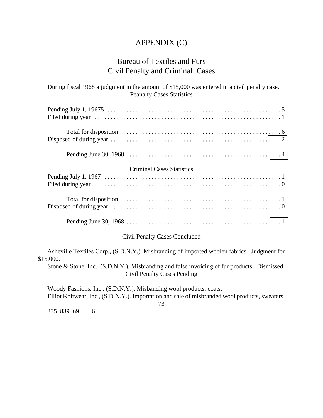## APPENDIX (C)

## Bureau of Textiles and Furs Civil Penalty and Criminal Cases

During fiscal 1968 a judgment in the amount of \$15,000 was entered in a civil penalty case. Peanalty Cases Statistics

| <b>Criminal Cases Statistics</b> |  |
|----------------------------------|--|
|                                  |  |
|                                  |  |
|                                  |  |

### Civil Penalty Cases Concluded

Asheville Textiles Corp., (S.D.N.Y.). Misbranding of imported woolen fabrics. Judgment for \$15,000.

Stone & Stone, Inc., (S.D.N.Y.). Misbranding and false invoicing of fur products. Dismissed. Civil Penalty Cases Pending

Woody Fashions, Inc., (S.D.N.Y.). Misbanding wool products, coats. Elliot Knitwear, Inc., (S.D.N.Y.). Importation and sale of misbranded wool products, sweaters,

73

335–839–69——6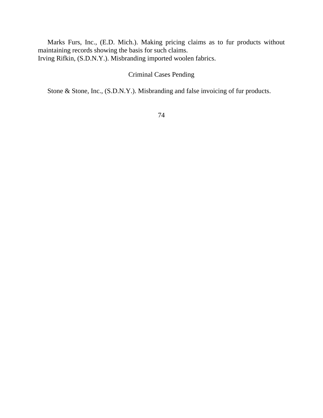Marks Furs, Inc., (E.D. Mich.). Making pricing claims as to fur products without maintaining records showing the basis for such claims. Irving Rifkin, (S.D.N.Y.). Misbranding imported woolen fabrics.

## Criminal Cases Pending

Stone & Stone, Inc., (S.D.N.Y.). Misbranding and false invoicing of fur products.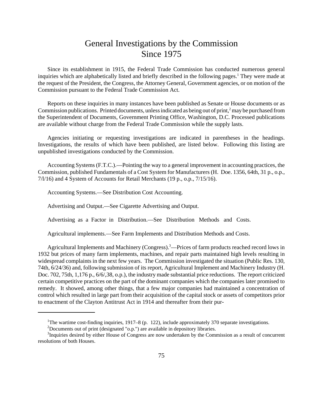# General Investigations by the Commission Since 1975

Since its establishment in 1915, the Federal Trade Commission has conducted numerous general inquiries which are alphabetically listed and briefly described in the following pages.<sup>1</sup> They were made at the request of the President, the Congress, the Attorney General, Government agencies, or on motion of the Commission pursuant to the Federal Trade Commission Act.

Reports on these inquiries in many instances have been published as Senate or House documents or as Commission publications. Printed documents, unless indicated as being out of print,<sup>2</sup> may be purchased from the Superintendent of Documents, Government Printing Office, Washington, D.C. Processed publications are available without charge from the Federal Trade Commission while the supply lasts.

Agencies initiating or requesting investigations are indicated in parentheses in the headings. Investigations, the results of which have been published, are listed below. Following this listing are unpublished investigations conducted by the Commission.

Accounting Systems (F.T.C.).—Pointing the way to a general improvement in accounting practices, the Commission, published Fundamentals of a Cost System for Manufacturers (H. Doe. 1356, 64th, 31 p., o.p., 7/l/16) and 4 System of Accounts for Retail Merchants (19 p., o.p., 7/15/16).

Accounting Systems.—See Distribution Cost Accounting.

Advertising and Output.—See Cigarette Advertising and Output.

Advertising as a Factor in Distribution.—See Distribution Methods and Costs.

Agricultural implements.—See Farm Implements and Distribution Methods and Costs.

Agricultural Implements and Machinery (Congress).<sup>3</sup>—Prices of farm products reached record lows in 1932 but prices of many farm implements, machines, and repair parts maintained high levels resulting in widespread complaints in the next few years. The Commission investigated the situation (Public Res. 130, 74th, 6/24/36) and, following submission of its report, Agricultural Implement and Machinery Industry (H. Doc. 702, 75th, 1,176 p., 6/6/,38, o.p.), the industry made substantial price reductions. The report criticized certain competitive practices on the part of the dominant companies which the companies later promised to remedy. It showed, among other things, that a few major companies had maintained a concentration of control which resulted in large part from their acquisition of the capital stock or assets of competitors prior to enactment of the Clayton Antitrust Act in 1914 and thereafter from their pur-

<sup>&</sup>lt;sup>1</sup>The wartime cost-finding inquiries, 1917–8 (p. 122), include approximately 370 separate investigations.

<sup>&</sup>lt;sup>2</sup>Documents out of print (designated "o.p.") are available in depository libraries.

<sup>&</sup>lt;sup>3</sup>Inquiries desired by either House of Congress are now undertaken by the Commission as a result of concurrent resolutions of both Houses.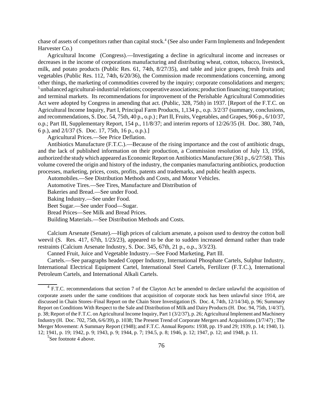chase of assets of competitors rather than capital stock.<sup>4</sup> (See also under Farm Implements and Independent Harvester Co.)

Agricultural Income (Congress).—Investigating a decline in agricultural income and increases or decreases in the income of corporations manufacturing and distributing wheat, cotton, tobacco, livestock, milk, and potato products (Public Res. 61, 74th, 8/27/35), and table and juice grapes, fresh fruits and vegetables (Public Res. 112, 74th, 6/20/36), the Commission made recommendations concerning, among other things, the marketing of commodities covered by the inquiry; corporate consolidations and mergers; <sup>5</sup> unbalanced agricultural-industrial relations; cooperative associations; production financing; transportation; and terminal markets. Its recommendations for improvement of the Perishable Agricultural Commodities Act were adopted by Congress in amending that act. (Public, 328, 75th) in 1937. [Report of the F.T.C. on Agricultural Income Inquiry, Part I, Principal Farm Products, 1,134 p., o.p. 3/2/37 (summary, conclusions, and recommendations, S. Doc. 54, 75th, 40 p., o.p.) ; Part II, Fruits, Vegetables, and Grapes, 906 p., 6/10/37, o.p.; Part III, Supplementary Report, 154 p., 11/8/37; and interim reports of 12/26/35 (H. Doc. 380, 74th, 6 p.), and 2/l/37 (S. Doc. 17, 75th, 16 p., o.p.).]

Agricultural Prices.—See Price Deflation.

Antibiotics Manufacture (F.T.C.).—Because of the rising importance and the cost of antibiotic drugs, and the lack of published information on their production, a Commission resolution of July 13, 1956, authorized the study which appeared as Economic Report on Antibiotics Manufacture (361 p., 6/27/58). This volume covered the origin and history of the industry, the companies manufacturing antibiotics, production processes, marketing, prices, costs, profits, patents and trademarks, and public health aspects.

Automobiles.—See Distribution Methods and Costs, and Motor Vehicles.

Automotive Tires.—See Tires, Manufacture and Distribution of

Bakeries and Bread.—See under Food.

Baking Industry.—See under Food.

Beet Sugar.—See under Food—Sugar.

Bread Prices—See Milk and Bread Prices.

Building Materials.—See Distribution Methods and Costs.

Calcium Arsenate (Senate).—High prices of calcium arsenate, a poison used to destroy the cotton boll weevil (S. Res. 417, 67th, 1/23/23), appeared to be due to sudden increased demand rather than trade restraints (Calcium Arsenate Industry, S. Doc. 345, 67th, 21 p., o.p., 3/3/23).

Canned Fruit, Juice and Vegetable Industry.—See Food Marketing, Part Ill.

Cartels.—See paragraphs headed Copper Industry, International Phosphate Cartels, Sulphur Industry, International Electrical Equipment Cartel, International Steel Cartels, Fertilizer (F.T.C.), International Petroleum Cartels, and International Alkali Cartels.

<sup>5</sup>See footnote 4 above.

<sup>&</sup>lt;sup>4</sup> F.T.C. recommendations that section 7 of the Clayton Act be amended to declare unlawful the acquisition of corporate assets under the same conditions that acquisition of corporate stock has been unlawful since 1914, are discussed in Chain Stores–Final Report on the Chain Store Investigation (S. Doc. 4, 74th, 12/14/34), p. 96; Summary Report on Conditions With Respect to the Sale and Distribution of Milk and Dairy Products (H. Doc. 94, 75th, 1/4/37), p. 38; Report of the F.T.C. on Agricultural Income Inquiry, Part 1 (3/2/37), p. 26; Agricultural Implement and Machinery Industry (H. Doc. 702, 75th, 6/6/39), p. 1038; The Present Trend of Corporate Mergers and Acquisitions (3/7/47) ; The Merger Movement: A Summary Report (1948); and F.T.C. Annual Reports: 1938, pp. 19 and 29; 1939, p. 14; 1940, 1). 12; 1941, p. 19; 1942, p. 9; 1943, p. 9; 1944, p. 7; 194.5, p. 8; 1946, p. 12; 1947, p. 12; and 1948, p. 11.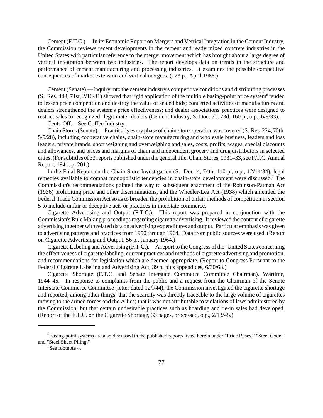Cement (F.T.C.).—In its Economic Report on Mergers and Vertical Integration in the Cement Industry, the Commission reviews recent developments in the cement and ready mixed concrete industries in the United States with particular reference to the merger movement which has brought about a large degree of vertical integration between two industries. The report develops data on trends in the structure and performance of cement manufacturing and processing industries. It examines the possible competitive consequences of market extension and vertical mergers. (123 p., April 1966.)

Cement (Senate).—Inquiry into the cement industry's competitive conditions and distributing processes (S. Res. 448, 71st,  $2/16/31$ ) showed that rigid application of the multiple basing-point price system<sup>6</sup> tended to lessen price competition and destroy the value of sealed bids; concerted activities of manufacturers and dealers strengthened the system's price effectiveness; and dealer associations' practices were designed to restrict sales to recognized "legitimate" dealers (Cement Industry, S. Doc. 71, 73d, 160 p., o.p., 6/9/33).

Cents-Off.—See Coffee Industry.

Chain Stores(Senate).—Practically every phase of chain-store operationwas covered (S. Res. 224, 70th, 5/5/28), including cooperative chains, chain-store manufacturing and wholesale business, leaders and loss leaders, private brands, short weighing and overweighing and sales, costs, profits, wages, special discounts and allowances, and prices and margins of chain and independent grocery and drug distributors in selected cities. (For subtitles of 33 reports published under the general title, Chain Stores, 1931–33, see F.T.C. Annual Report, 1941, p. 201.)

In the Final Report on the Chain-Store Investigation (S. Doc. 4, 74th, 110 p., o.p., 12/14/34), legal remedies available to combat monopolistic tendencies in chain-store development were discussed.<sup>7</sup> The Commission's recommendations pointed the way to subsequent enactment of the Robinson-Patman Act (1936) prohibiting price and other discriminations, and the Wheeler-Lea Act (1938) which amended the Federal Trade Commission Act so as to broaden the prohibition of unfair methods of competition in section 5 to include unfair or deceptive acts or practices in interstate commerce.

Cigarette Advertising and Output (F.T.C.).—This report was prepared in conjunction with the Commission's Rule Making proceedings regarding cigarette advertising. It reviewed the content of cigarette advertising together with related data on advertising expenditures and output. Particular emphasis was given to advertising patterns and practices from 1950 through 1964. Data from public sources were used. (Report on Cigarette Advertising and Output, 56 p., January 1964.)

Cigarette Labeling and Advertising (F.T.C.).—A report to the Congress of the -United States concerning the effectiveness of cigarette labeling, current practices and methods of cigarette advertising and promotion, and recommendations for legislation which are deemed appropriate. (Report to Congress Pursuant to the Federal Cigarette Labeling and Advertising Act, 39 p. plus appendices, 6/30/68.)

Cigarette Shortage (F.T.C. and Senate Interstate Commerce Committee Chairman), Wartime, 1944–45.—In response to complaints from the public and a request from the Chairman of the Senate Interstate Commerce Committee (letter dated 12/l/44), the Commission investigated the cigarette shortage and reported, among other things, that the scarcity was directly traceable to the large volume of cigarettes moving to the armed forces and the Allies; that it was not attributable to violations of laws administered by the Commission; but that certain undesirable practices such as hoarding and tie-in sales had developed. (Report of the F.T.C. on the Cigarette Shortage, 33 pages, processed, o.p., 2/13/45.)

<sup>6</sup>Basing-point systems are also discussed in the published reports listed herein under "Price Bases," "Steel Code," and "Steel Sheet Piling."

 $7$ See footnote 4.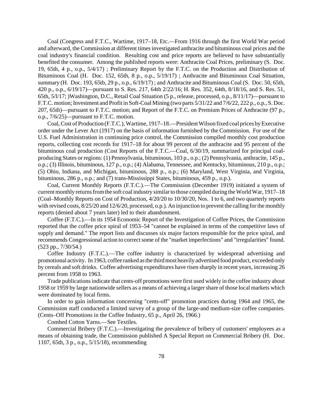Coal (Congress and F.T.C., Wartime, 1917–18, Etc.—From 1916 through the first World War period and afterward, the Commission at different times investigated anthracite and bituminous coal prices and the coal industry's financial condition. Resulting cost and price reports are believed to have substantially benefited the consumer. Among the published reports were: Anthracite Coal Prices, preliminary (S. Doc. 19, 65th, 4 p., o.p., 5/4/17) ; Preliminary Report by the F.T.C. on the Production and Distribution of Bituminous Coal (H. Doc. 152, 65th, 8 p., o.p., 5/19/17) ; Anthracite and Bituminous Coal Situation, summary (H. Doc. 193, 65tb, 29 p., o.p., 6/19/17); and Anthracite and Bituminous Coal (S. Doc. 50, 65th, 420 p., o.p., 6/19/17)—pursuant to S. Res. 217, 64th 2/22/16; H. Res. 352, 64th, 8/18/16, and S. Res. 51, 65th, 5/l/17; )Washington, D.C., Retail Coal Situation (5 p., release, processed, o.p., 8/11/17)—pursuant to F.T.C. motion; Investment and Profit in Soft-Coal Mining (two parts 5/31/22 and 7/6/22, 222 p., o.p., S. Doc. 207, 65th)—pursuant to F.T.C. motion; and Report of the F.T.C. on Premium Prices of Anthracite (97 p., o.p., 7/6/25)—pursuant to F.T.C. motion.

Coal, Cost of Production (F.T.C.), Wartime, 1917–18.—President Wilson fixed coal prices by Executive order under the Lever Act (1917) on the basis of information furnished by the Commission. For use of the U.S. Fuel Administration in continuing price control, the Commission compiled monthly cost production reports, collecting cost records for 1917–18 for about 99 percent of the anthracite and 95 percent of the bituminous coal production (Cost Reports of the F.T.C.—Coal, 6/30/19, summarized for principal coalproducing States or regions: (1) Pennsylvania, bituminous, 103 p., o.p.; (2) Pennsylvania, anthracite, 145 p., o.p.; (3) Illinois, bituminous, 127 p., o.p.; (4) Alabama, Tennessee, and Kentucky, bituminous, 210 p., o.p.; (5) Ohio, Indiana, and Michigan, bituminous, 288 p., o.p.; (6) Maryland, West Virginia, and Virginia, bituminous, 286 p., o.p.; and (7) trans-Mississippi States, bituminous, 459 p., o.p.).

Coal, Current Monthly Reports (F.T.C.).—The Commission (December 1919) initiated a system of current monthly returns from the soft coal industry similar to those compiled during the World War, 1917–18 (Coal–Monthly Reports on Cost of Production, 4/20/20 to 10/30/20, Nos. I to 6, and two quarterly reports with revised costs,  $8/25/20$  and  $12/6/20$ , processed, o.p.). An injunction to prevent the calling for the monthly reports (denied about 7 years later) led to their abandonment.

Coffee (F.T.C.).—In its 1954 Economic Report of the Investigation of Coffee Prices, the Commission reported that the coffee price spiral of 1953–54 "cannot be explained in terms of the competitive laws of supply and demand." The report lists and discusses six major factors responsible for the price spiral, and recommends Congressional action to correct some of the "market imperfections" and "irregularities" found. (523 pp., 7/30/54.)

Coffee Industry (F.T.C.).—The coffee industry is characterized by widespread advertising and promotional activity. In 1963, coffee ranked as the third most heavily advertised food product, exceeded only by cereals and soft drinks. Coffee advertising expenditures have risen sharply in recent years, increasing 26 percent from 1958 to 1963.

Trade publicationsindicate that cents-off promotions were first used widely in the coffee industry about 1958 or 1959 by large nationwide sellers as a means of achieving a largershare of those local markets which were dominated by local firms.

In order to gain information concerning "cents-off" promotion practices during 1964 and 1965, the Commission staff conducted a limited survey of a group of the large-and medium-size coffee companies. (Cents–Off Promotions in the Coffee Industry, 65 p., April 26, 1966.)

Combed Cotton Yarns.—See Textiles.

Commercial Bribery (F.T.C.).—Investigating the prevalence of bribery of customers' employees as a means of obtaining trade, the Commission published A Special Report on Commercial Bribery (H. Doc. 1107, 65th, 3 p., o.p., 5/15/18), recommending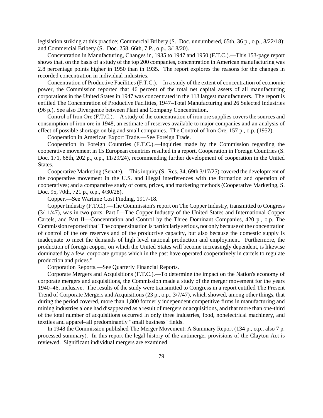legislation striking at this practice; Commercial Bribery (S. Doc. unnumbered, 65th, 36 p., o.p., 8/22/18); and Commercial Bribery (S. Doc. 258, 66th, 7 P., o.p., 3/18/20).

Concentration in Manufacturing, Changes in, 1935 to 1947 and 1950 (F.T.C.).—This 153-page report shows that, on the basis of a study of the top 200 companies, concentration in American manufacturing was 2.8 percentage points higher in 1950 than in 1935. The report explores the reasons for the changes in recorded concentration in individual industries.

Concentration of Productive Facilities (F.T.C.).—In a study of the extent of concentration of economic power, the Commission reported that 46 percent of the total net capital assets of all manufacturing corporations in the United States in 1947 was concentrated in the 113 largest manufacturers. The report is entitled The Concentration of Productive Facilities, 1947–Total Manufacturing and 26 Selected Industries (96 p.). See also Divergence between Plant and Company Concentration.

Control of Iron Ore (F.T.C.).—A study of the concentration of iron ore supplies covers the sources and consumption of iron ore in 1948, an estimate of reserves available to major companies and an analysis of effect of possible shortage on big and small companies. The Control of Iron Ore, 157 p., o.p. (1952).

Cooperation in American Export Trade.—See Foreign Trade.

Cooperation in Foreign Countries (F.T.C.).—Inquiries made by the Commission regarding the cooperative movement in 15 European countries resulted in a report, Cooperation in Foreign Countries (S. Doc. 171, 68th, 202 p., o.p., 11/29/24), recommending further development of cooperation in the United States.

Cooperative Marketing (Senate).—This inquiry (S. Res. 34, 69th 3/17/25) covered the development of the cooperative movement in the U.S. and illegal interferences with the formation and operation of cooperatives; and a comparative study of costs, prices, and marketing methods (Cooperative Marketing, S. Doc. 95, 70th, 721 p., o.p., 4/30/28).

Copper.—See Wartime Cost Finding, 1917-18.

Copper Industry (F.T.C.).—The Commission's report on The Copper Industry, transmitted to Congress (3/11/47), was in two parts: Part I—The Copper Industry of the United States and International Copper Cartels, and Part II—Concentration and Control by the Three Dominant Companies, 420 p., o.p. The Commission reported that "The copper situation is particularly serious, not only because of the concentration of control of the ore reserves and of the productive capacity, but also because the domestic supply is inadequate to meet the demands of high level national production and employment. Furthermore, the production of foreign copper, on which the United States will become increasingly dependent, is likewise dominated by a few, corporate groups which in the past have operated cooperatively in cartels to regulate production and prices."

Corporation Reports.—See Quarterly Financial Reports.

Corporate Mergers and Acquisitions (F.T.C.).—To determine the impact on the Nation's economy of corporate mergers and acquisitions, the Commission made a study of the merger movement for the years 1940–46, inclusive. The results of the study were transmitted to Congress in a report entitled The Present Trend of Corporate Mergers and Acquisitions (23 p., o.p., 3/7/47), which showed, among other things, that during the period covered, more than 1,800 formerly independent competitive firms in manufacturing and mining industries alone had disappeared as a result of mergers or acquisitions, and that more than one-third of the total number of acquisitions occurred in only three industries, food, nonelectrical machinery, and textiles and apparel–all predominantly "small business" fields.

In 1948 the Commission published The Merger Movement: A Summary Report (134 p., o.p., also 7 p. processed summary). In this report the legal history of the antimerger provisions of the Clayton Act is reviewed. Significant individual mergers are examined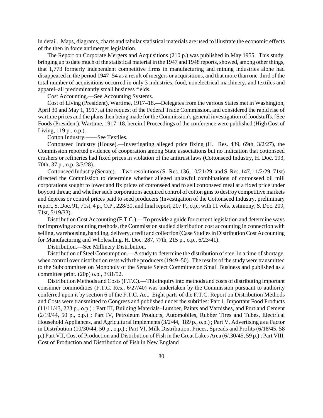in detail. Maps, diagrams, charts and tabular statistical materials are used to illustrate the economic effects of the then in force antimerger legislation.

The Report on Corporate Mergers and Acquisitions (210 p.) was published in May 1955. This study, bringing up to date much of the statistical material in the 1947 and 1948 reports, showed, among other things, that 1,773 formerly independent competitive firms in manufacturing and mining industries alone had disappeared in the period 1947–54 as a result of mergers or acquisitions, and that more than one-third of the total number of acquisitions occurred in only 3 industries, food, nonelectrical machinery, and textiles and apparel–all predominantly small business fields.

Cost Accounting.—See Accounting Systems.

Cost of Living (President), Wartime, 1917–18.—Delegates from the various States met in Washington, April 30 and May 1, 1917, at the request of the Federal Trade Commission, and considered the rapid rise of wartime prices and the plans then being made for the Commission's general investigation of foodstuffs. [See Foods(President), Wartime, 1917–18, herein.] Proceedings of the conference were published (High Cost of Living, 119 p., o.p.).

Cotton Industry.——See Textiles.

Cottonseed Industry (House).—Investigating alleged price fixing (H. Res. 439, 69th, 3/2/27), the Commission reported evidence of cooperation among State associations but no indication that cottonseed crushers or refineries had fixed prices in violation of the antitrust laws (Cottonseed Industry, H. Doc. 193, 70th, 37 p., o.p. 3/5/28).

Cottonseed Industry (Senate).—Two resolutions(S. Res. 136, 10/21/29, and S. Res. 147, 11/2/29–71st) directed the Commission to determine whether alleged unlawful combinations of cottonseed oil mill corporations sought to lower and fix prices of cottonseed and to sell cottonseed meal at a fixed price under boycott threat; and whether such corporations acquired control of cotton gins to destroy competitive markets and depress or control prices paid to seed producers (Investigation of the Cottonseed Industry, preliminary report, S. Doc. 91, 71st, 4 p., O.P., 228/30, and final report, 207 P., o.p., with 11 vols. testimony, S. Doc. 209, 71st, 5/19/33).

Distribution Cost Accounting (F.T.C.).—To provide a guide for current legislation and determine ways for improving accounting methods, the Commission studied distribution cost accounting in connection with selling, warehousing, handling, delivery, credit and collection (Case Studiesin DistributionCost Accounting for Manufacturing and Wholesaling, H. Doc. 287, 77th, 215 p., o.p., 6/23/41).

Distribution.—See Millinery Distribution.

Distribution of Steel Consumption.—A study to determine the distribution of steel in a time of shortage, when control over distribution rests with the producers (1949–50). The results of the study were transmitted to the Subcommittee on Monopoly of the Senate Select Committee on Small Business and published as a committee print. (20p) o.p., 3/31/52.

Distribution Methods and Costs (F.T.C).—This inquiry into methods and costs of distributing important consumer commodities (F.T.C. Res., 6/27/40) was undertaken by the Commission pursuant to authority conferred upon it by section 6 of the F.T.C. Act. Eight parts of the F.T.C. Report on Distribution Methods and Costs were transmitted to Congress and published under the subtitles: Part 1, Important Food Products (11/11/43, 223 p., o.p.) ; Part III, Building Materials–Lumber, Paints and Varnishes, and Portland Cement (2/19/44, 50 p., o.p.) ; Part IV, Petroleum Products, Automobiles, Rubber Tires and Tubes, Electrical Household Appliances, and Agricultural Implements (3/2/44, 189 p., o.p.) ; Part V, Advertising as a Factor in Distribution (10/30/44, 50 p., o.p.) ; Part VI, Milk Distribution, Prices, Spreads and Profits (6/18/45, 58 p.) Part VII, Cost of Production and Distribution of Fish in the Great Lakes Area (6/.30/45, 59 p.) ; Part VIII, Cost of Production and Distribution of Fish in New England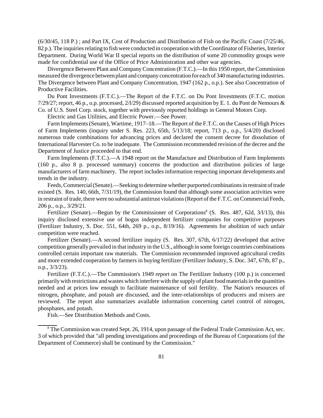(6/30/45, 118 P.) ; and Part IX, Cost of Production and Distribution of Fish on the Pacific Coast (7/25/46, 82 p.). The inquiries relating to fish were conducted in cooperation with the Coordinator of Fisheries, Interior Department. During World War II special reports on the distribution of some 20 commodity groups were made for confidential use of the Office of Price Administration and other war agencies.

Divergence Between Plant and CompanyConcentration (F.T.C.).—In this 1950 report, the Commission measured the divergence between plant and company concentration for each of 340 manufacturing industries. The Divergence between Plant and Company Concentration, 1947 (162 p., o.p.). See also Concentration of Productive Facilities.

Du Pont Investments (F.T.C.).—The Report of the F.T.C. on Du Pont Investments (F.T.C. motion 7/29/27; report, 46 p., o.p. processed, 2/l/29) discussed reported acquisition by E. 1. du Pont de Nemours & Co. of U.S. Steel Corp. stock, together with previously reported holdings in General Motors Corp.

Electric and Gas Utilities, and Electric Power.—See Power.

Farm Implements (Senate), Wartime, 1917–18.—The Report of the F.T.C. on the Causes of High Prices of Farm Implements (inquiry under S. Res. 223, 65th, 5/13/18; report, 713 p., o.p., 5/4/20) disclosed numerous trade combinations for advancing prices and declared the consent decree for dissolution of International Harvester Co. to be inadequate. The Commission recommended revision of the decree and the Department of Justice proceeded to that end.

Farm Implements (F.T.C.).—A 1948 report on the Manufacture and Distribution of Farm Implements (160 p., also 8 p. processed summary) concerns the production and distribution policies of large manufacturers of farm machinery. The report includes information respecting important developments and trends in the industry.

Feeds,Commercial(Senate).—Seeking to determine whether purported combinations in restraint of trade existed (S. Res. 140, 66th, 7/31/19), the Commission found that although some association activities were in restraint of trade, there were no substantial antitrust violations (Report of the F.T.C. on Commercial Feeds, 206 p., o.p., 3/29/21.

Fertilizer (Senate).—Begun by the Commissioner of Corporations<sup>8</sup> (S. Res. 487, 62d, 3/l/13), this inquiry disclosed extensive use of bogus independent fertilizer companies for competitive purposes (Fertilizer Industry, S. Doc. 551, 64th, 269 p., o.p., 8/19/16). Agreements for abolition of such unfair competition were reached.

Fertilizer (Senate).—A second fertilizer inquiry (S. Res. 307, 67th, 6/17/22) developed that active competition generally prevailed in that industry in the U.S., although in some foreign countries combinations controlled certain important raw materials. The Commission recommended improved agricultural credits and more extended cooperation by farmers in buying fertilizer (Fertilizer Industry, S. Doc. 347, 67tb, 87 p., o.p., 3/3/23).

Fertilizer (F.T.C.).—The Commission's 1949 report on The Fertilizer Industry (100 p.) is concerned primarily with restrictions and wastes which interfere with the supply of plant food materials in the quantities needed and at prices low enough to facilitate maintenance of soil fertility. The Nation's resources of nitrogen, phosphate, and potash are discussed, and the inter-relationships of producers and mixers are reviewed. The report also summarizes available information concerning cartel control of nitrogen, phosphates, and potash.

Fish.—See Distribution Methods and Costs.

<sup>8</sup> The Commission was created Sept. 26, 1914, upon passage of the Federal Trade Commission Act, sec. 3 of which provided that "all pending investigations and proceedings of the Bureau of Corporations (of the Department of Commerce) shall be continued by the Commission."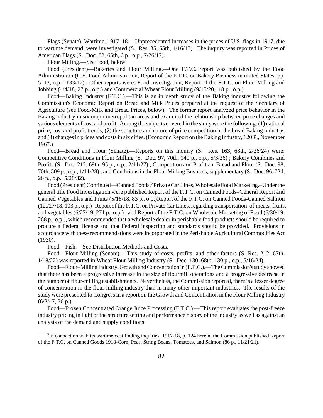Flags (Senate), Wartime, 1917–18.—Unprecedented increases in the prices of U.S. flags in 1917, due to wartime demand, were investigated (S. Res. 35, 65th, 4/16/17). The inquiry was reported in Prices of American Flags (S. Doc. 82, 65th, 6 p., o.p., 7/26/17).

Flour Milling.—See Food, below.

Food (President)—Bakeries and Flour Milling.—One F.T.C. report was published by the Food Administration (U.S. Food Administration, Report of the F.T.C. on Bakery Business in united States, pp. 5–13, o.p. 1133/17). Other reports were: Food Investigation, Report of the F.T.C. on Flour Milling and Jobbing (4/4/18, 27 p., o.p.) and Commercial Wheat Flour Milling (9/15/20,118 p., o.p.).

Food—Baking Industry (F.T.C.).—This is an in depth study of the Baking industry following the Commission's Economic Report on Bread and Milk Prices prepared at the request of the Secretary of Agriculture (see Food-Milk and Bread Prices, below). The former report analyzed price behavior in the Baking industry in six major metropolitan areas and examined the relationship between price changes and various elements of cost and profit. Among the subjects covered in the study were the following: (1) national price, cost and profit trends, (2) the structure and nature of price competition in the bread Baking industry, and (3) changes in prices and costs in six cities. (Economic Report on the Baking Industry, 120 P., November 1967.)

Food—Bread and Flour (Senate).—Reports on this inquiry (S. Res. 163, 68th, 2/26/24) were: Competitive Conditions in Flour Milling (S. Doc. 97, 70th, 140 p., o.p., 5/3/26) ; Bakery Combines and Profits (S. Doc. 212, 69th, 95 p., o.p., 2/11/27) ; Competition and Profits in Bread and Flour (S. Doc. 98, 70th, 509 p., o.p., 1/11/28) ; and Conditions in the Flour Milling Business, supplementary (S. Doc. 96, 72d, 26 p., o.p., 5/28/32).

Food (President) Continued—Canned Foods,<sup>9</sup> Private Car Lines, Wholesale Food Marketing.–Under the general title Food Investigation were published Report of the F.T.C. on Canned Foods–General Report and Canned Vegetables and Fruits (5/18/18, 83 p., o.p.)Report of the F.T.C. on Canned Foods-Canned Salmon (12,/27/18, 103 p., o.p.) Report of the F.T.C. on Private Car Lines, regarding transportation of meats, fruits, and vegetables (6/27/19, 271 p., o.p.) ; and Report of the F.T.C. on Wholesale Marketing of Food (6/30/19, 268 p., o.p.), which recommended that a wholesale dealer in perishable food products should be required to procure a Federal license and that Federal inspection and standards should be provided. Provisions in accordance with these recommendations were incorporated in the Perishable Agricultural Commodities Act (1930).

Food—Fish.—See Distribution Methods and Costs.

Food—Flour Milling (Senate).—This study of costs, profits, and other factors (S. Res. 212, 67th, 1/18/22) was reported in Wheat Flour Milling Industry (S. Doc. 130, 68th, 130 p., o.p., 5/16/24).

Food—Flour–Milling Industry, Growth and Concentration in (F.T.C.).—The Commission's study showed that there has been a progressive increase in the size of flourmill operations and a progressive decrease in the number of flour-milling establishments. Nevertheless, the Commission reported, there is a lesser degree of concentration in the flour-milling industry than in many other important industries. The results of the study were presented to Congress in a report on the Growth and Concentration in the Flour Milling Industry (6/2/47, 36 p.).

Food—Frozen Concentrated Orange Juice Processing (F.T.C.).—This report evaluates the post-freeze industry pricing in light of the structure setting and performance history of the industry as well as against an analysis of the demand and supply conditions

 $\frac{9}{9}$ In connection with its wartime cost finding inquiries, 1917-18, p. 124 herein, the Commission published Report of the F.T.C. on Canned Goods 1918-Corn, Peas, String Beans, Tomatoes, and Salmon (86 p., 11/21/21).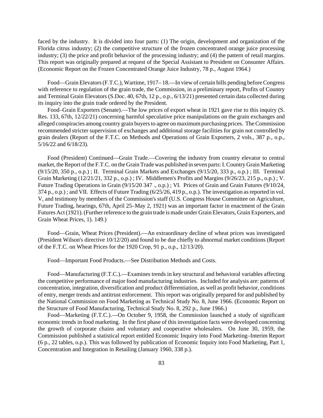faced by the industry. It is divided into four parts: (1) The origin, development and organization of the Florida citrus industry; (2) the competitive structure of the frozen concentrated orange juice processing industry; (3) the price and profit behavior of the processing industry; and (4) the pattern of retail margins. This report was originally prepared at request of the Special Assistant to President on Consumer Affairs. (Economic Report on the Frozen Concentrated Orange Juice Industry, 78 p., August 1964.)

Food—Grain Elevators(F.T.C.), Wartime, 1917– 18.—In view of certain bills pending before Congress with reference to regulation of the grain trade, the Commission, in a preliminary report, Profits of Country and Terminal Grain Elevators (S.Doc. 40, 67th, 12 p., o.p., 6/13/21) presented certain data collected during its inquiry into the grain trade ordered by the President.

Food–Grain Exporters (Senate).—The low prices of export wheat in 1921 gave rise to this inquiry (S. Res. 133, 67th, 12/22/21) concerning harmful speculative price manipulations on the grain exchanges and alleged conspiracies among country grain buyers to agree on maximum purchasing prices. The Commission recommended stricter supervision of exchanges and additional storage facilities for grain not controlled by grain dealers (Report of the F.T.C. on Methods and Operations of Grain Exporters, 2 vols., 387 p., o.p., 5/16/22 and 6/18/23).

Food (President) Continued—Grain Trade.—Covering the industry from country elevator to central market, the Report of the F.T.C. on the Grain Trade was published in seven parts: I. Country Grain Marketing (9/15/20, 350 p., o.p.) ; II. Terminal Grain Markets and Exchanges (9/15/20, 333 p., o.p.) ; III. Terminal Grain Marketing (12/21/21, 332 p., o.p.) ; IV. Middlemen's Profits and Margins (9/26/23, 215 p., o.p.) ; V. Future Trading Operations in Grain (9/15/20 347 ., o.p.) ; VI. Prices of Grain and Grain Futures (9/10/24, 374 p., o.p.) ; and VII. Effects of Future Trading (6/25/26, 419 p., o.p.). The investigation as reported in vol. V, and testimony by members of the Commission's staff (U.S. Congress House Committee on Agriculture, Future Trading, hearings, 67th, April 25–May 2, 1921) was an important factor in enactment of the Grain Futures Act (1921). (Further reference to the grain trade is made under Grain Elevators, Grain Exporters, and Grain Wheat Prices, 1). 149.)

Food—Grain, Wheat Prices (President).—An extraordinary decline of wheat prices was investigated (President Wilson's directive 10/12/20) and found to be due chiefly to abnormal market conditions (Report of the F.T.C. on Wheat Prices for the 1920 Crop, 91 p., o.p., 12/13/20).

Food—Important Food Products.—See Distribution Methods and Costs.

Food—Manufacturing (F.T.C.).—Examines trends in key structural and behavioral variables affecting the competitive performance of major food manufacturing industries. Included for analysis are: patterns of concentration, integration, diversification and product differentiation, as well as profit behavior, conditions of entry, merger trends and antitrust enforcement. This report was originally prepared for and published by the National Commission on Food Marketing as Technical Study No. 8, June 1966. (Economic Report on the Structure of Food Manufacturing, Technical Study No. 8, 292 p., June 1966.)

Food—Marketing (F.T.C.).—On October 9, 1958, the Commission launched a study of significant economic trends in food marketing. In the first phase of this investigation facts were developed concerning the growth of corporate chains and voluntary and cooperative wholesalers. On June 30, 1959, the Commission published a statistical report entitled Economic Inquiry into Food Marketing–Interim Report (6 p., 22 tables, o.p.). This was followed by publication of Economic Inquiry into Food Marketing, Part 1, Concentration and Integration in Retailing (January 1960, 338 p.).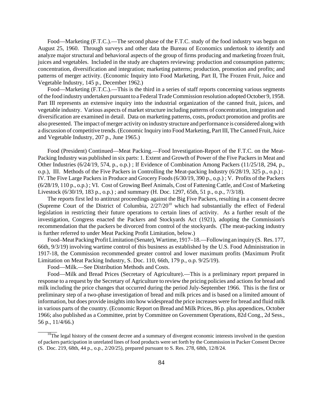Food—Marketing (F.T.C.).—The second phase of the F.T.C. study of the food industry was begun on August 25, 1960. Through surveys and other data the Bureau of Economics undertook to identify and analyze major structural and behavioral aspects of the group of firms producing and marketing frozen fruit, juices and vegetables. Included in the study are chapters reviewing: production and consumption patterns; concentration, diversification and integration; marketing patterns; production, promotion and profits; and patterns of merger activity. (Economic Inquiry into Food Marketing, Part II, The Frozen Fruit, Juice and Vegetable Industry, 145 p., December 1962.)

Food—Marketing (F.T.C.).—This is the third in a series of staff reports concerning various segments ofthe food industry undertaken pursuant to a Federal TradeCommission resolution adopted October 9, 1958. Part III represents an extensive inquiry into the industrial organization of the canned fruit, juices, and vegetable industry. Various aspects of market structure including patterns of concentration, integration and diversification are examined in detail. Data on marketing patterns, costs, product promotion and profits are also presented. The impact of merger activity on industry structure and performance is considered along with a discussion of competitive trends. (Economic Inquiry into Food Marketing, Part III, The Canned Fruit, Juice and Vegetable Industry, 207 p., June 1965.)

Food (President) Continued—Meat Packing.—Food Investigation-Report of the F.T.C. on the Meat-Packing Industry was published in six parts: 1. Extent and Growth of Power of the Five Packers in Meat and Other Industries (6/24/19, 574, p., o.p.) ; If Evidence of Combination Among Packers (11/25/18, 294, p., o.p.), III. Methods of the Five Packers in Controlling the Meat-packing Industry (6/28/19, 325 p., o.p.) ; IV. The Five Large Packers in Produce and Grocery Foods (6/30/19, 390 p., o.p.) ; V. Profits of the Packers (6/28/19, 110 p., o.p.) ; VI. Cost of Growing Beef Animals, Cost of Fattening Cattle, and Cost of Marketing Livestock (6/30/19, 183 p., o.p.) ; and summary (H. Doc. 1297, 65th, 51 p., o.p., 7/3/18).

The reports first led to antitrust proceedings against the Big Five Packers, resulting in a consent decree (Supreme Court of the District of Columbia, 2/27/20<sup>10</sup> which had substantially the effect of Federal legislation in restricting their future operations to certain lines of activity. As a further result of the investigation, Congress enacted the Packers and Stockyards Act (1921), adopting the Commission's recommendation that the packers be divorced from control of the stockyards. (The meat-packing industry is further referred to under Meat Packing Profit Limitation, below.)

Food–Meat Packing Profit Limitation (Senate), Wartime, 1917–18.—Following an inquiry (S. Res. 177, 66th, 9/3/19) involving wartime control of this business as established by the U.S. Food Administration in 1917-18, the Commission recommended greater control and lower maximum profits (Maximum Profit Limitation on Meat Packing Industry, S. Doc. 110, 66th, 179 p., o.p. 9/25/19).

Food—Milk.—See Distribution Methods and Costs.

Food—Milk and Bread Prices (Secretary of Agriculture).—This is a preliminary report prepared in response to a request by the Secretary of Agriculture to review the pricing policies and actions for bread and milk including the price changes that occurred during the period July-September 1966. This is the first or preliminary step of a two-phase investigation of bread and milk prices and is based on a limited amount of information, but does provide insights into how widespread the price increases were for bread and fluid milk in various parts of the country. (Economic Report on Bread and Milk Prices, 86 p. plus appendices, October 1966; also published as a Committee, print by Committee on Government Operations, 82d Cong., 2d Sess., 56 p., 11/4/66.)

 $10$ The legal history of the consent decree and a summary of divergent economic interests involved in the question of packers participation in unrelated lines of food products were set forth by the Commission in Packer Consent Decree (S. Doc. 219, 68th, 44 p., o.p., 2/20/25), prepared pursuant to S. Res. 278, 68th, 12/8/24.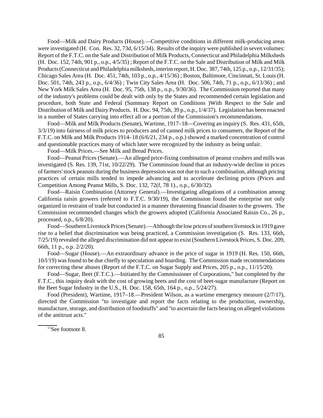Food—Milk and Dairy Products (House).—Competitive conditions in different milk-producing areas were investigated (H. Con. Res. 32, 73d, 6/15/34). Results of the inquiry were published in seven volumes: Report of the F.T.C. on the Sale and Distribution of Milk Products, Connecticut and Philadelphia Milksheds (H. Doc. 152, 74th, 901 p., o.p., 4/5/35) ; Report of the F.T.C. on the Sale and Distribution of Milk and Milk Products(Connecticut and Philadelphia milksheds, interimreport, H. Doc. 387, 74th, 125 p., o.p., 12/31/35); Chicago Sales Area (H. Doc. 451, 74th, 103 p., o.p., 4/15/36) ; Boston, Baltimore, Cincinnati, St. Louis (H. Doc. 501, 74th, 243 p., o.p., 6/4/36) ; Twin City Sales Area (H. Doc. 506, 74th, 71 p., o.p., 6/13/36) ; and New York Milk Sales Area (H. Doc. 95, 75th, 138 p., o.p., 9/30/36). The Commission reported that many of the industry's problems could be dealt with only by the States and recommended certain legislation and procedure, both State and Federal (Summary Report on Conditions )With Respect to the Sale and Distribution of Milk and Dairy Products. H. Doc. 94, 75th, 39 p., o.p., 1/4/37). Legislation has been enacted in a number of States carrying into effect all or a portion of the Commission's recommendations.

Food—Milk and Milk Products (Senate), Wartime, 1917–18—Covering an inquiry (S. Res. 431, 65th, 3/3/19) into fairness of milk prices to producers and of canned milk prices to consumers, the Report of the F.T.C. on Milk and Milk Products 1914–18 (6/6/21, 234 p., o.p.) showed a marked concentration of control and questionable practices many of which later were recognized by the industry as being unfair.

Food—Milk Prices.—See Milk and Bread Prices.

Food—Peanut Prices (Senate).—An alleged price-fixing combination of peanut crushers and mills was investigated (S. Res. 139, 71st, 10/22/29). The Commission found that an industry-wide decline in prices offarmers'stock peanuts during the business depression was not due to such a combination, although pricing practices of certain mills tended to impede advancing and to accelerate declining prices (Prices and Competition Among Peanut Mills, S. Doc. 132, 72(f, 78 1)., o.p., 6/30/32).

Food—Raisin Combination (Attorney General).—Investigating allegations of a combination among California raisin growers (referred to F.T.C. 9/30/19), the Commission found the enterprise not only organized in restraint of trade but conducted in a manner threatening financial disaster to the growers. The Commission recommended changes which the growers adopted (California Associated Raisin Co., 26 p., processed, o.p., 6/8/20).

Food—SouthernLivestockPrices(Senate).—Although the low prices of southern livestock in 1919 gave rise to a belief that discrimination was being practiced, a Commission investigation (S. Res. 133, 66th, 7/25/19) revealed the alleged discrimination did not appear to exist (Southern Livestock Prices, S. Doc. 209, 66th, 11 p., o.p. 2/2/20).

Food—Sugar (House).—An extraordinary advance in the price of sugar in 1919 (H. Res. 150, 66th, 10/l/19) was found to be due chiefly to speculation and hoarding. The Commission made recommendations for correcting these abuses (Report of the F.T.C. on Sugar Supply and Prices, 205 p., o.p., 11/15/20).

Food—Sugar, Beet (F.T.C.).—Initiated by the Commissioner of Corporations," but completed by the F.T.C., this inquiry dealt with the cost of growing beets and the cost of beet-sugar manufacture (Report on the Beet Sugar Industry in the U.S., H. Doc. 158, 65th, 164 p., o.p., 5/24/27).

Food (President), Wartime, 1917–18.—President Wilson, as a wartime emergency measure (2/7/17), directed the Commission "to investigate and report the facts relating to the production, ownership, manufacture, storage, and distribution of foodstuffs" and "to ascertain the facts bearing on alleged violations of the antitrust acts."

 $\sqrt[11]{1}$ See footnote 8.

85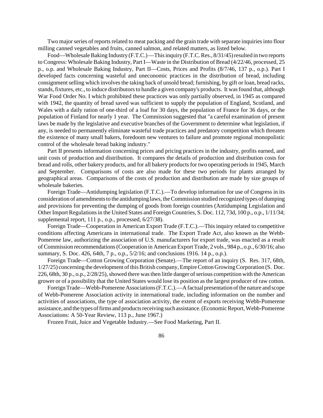Two major series of reports related to meat packing and the grain trade with separate inquiries into flour milling canned vegetables and fruits, canned salmon, and related matters, as listed below.

Food—Wholesale Baking Industry (F.T.C.)—This inquiry (F.T.C. Res., 8/31/45) resulted in two reports to Congress: Wholesale Baking Industry, Part I—Waste in the Distribution of Bread (4/22/46, processed, 25 p., o.p. and Wholesale Baking Industry, Part II—Costs, Prices and Profits (8/7/46, 137 p., o.p.). Part I developed facts concerning wasteful and uneconomic practices in the distribution of bread, including consignment selling which involves the taking back of unsold bread; furnishing, by gift or loan, bread racks, stands, fixtures, etc., to induce distributorsto handle a given company's products. It was found that, although War Food Order No. I which prohibited these practices was only partially observed, in 1945 as compared with 1942, the quantity of bread saved was sufficient to supply the population of England, Scotland, and Wales with a daily ration of one-third of a loaf for 30 days, the population of France for 36 days, or the population of Finland for nearly 1 year. The Commission suggested that "a careful examination of present laws be made by the legislative and executive branches of the Government to determine what legislation, if any, is needed to permanently eliminate wasteful trade practices and predatory competition which threaten the existence of many small bakers, foredoom new ventures to failure and promote regional monopolistic control of the wholesale bread baking industry."

Part II presents information concerning prices and pricing practices in the industry, profits earned, and unit costs of production and distribution. It compares the details of production and distribution costs for bread and rolls, other bakery products, and for all bakery products for two operating periods in 1945, March and September. Comparisons of costs are also made for these two periods for plants arranged by geographical areas. Comparisons of the costs of production and distribution are made by size groups of wholesale bakeries.

Foreign Trade—Antidumping legislation (F.T.C.).—To develop information for use of Congress in its consideration of amendments to the antidumping laws, the Commission studied recognized types of dumping and provisions for preventing the dumping of goods from foreign countries (Antidumping Legislation and Other Import Regulations in the United States and Foreign Countries, S. Doc. 112, 73d, 100 p., o.p., 1/11/34; supplemental report, 111 p., o.p., processed, 6/27/38).

Foreign Trade—Cooperation in American Export Trade (F.T.C.).—This inquiry related to competitive conditions affecting Americans in international trade. The Export Trade Act, also known as the Webb-Pomerene law, authorizing the association of U.S. manufacturers for export trade, was enacted as a result ofCommission recommendations(Cooperation in AmericanExport Trade, 2 vols., 984 p., o.p., 6/30/16; also summary, S. Doc. 426, 64th, 7 p., o.p., 5/2/16; and conclusions 1916. 14 p., o.p.).

Foreign Trade—Cotton Growing Corporation (Senate).—The report of an inquiry (S. Res. 317, 68th, 1/27/25) concerning the development of this British company, Empire Cotton Growing Corporation (S. Doc. 226, 68th, 30 p., o.p., 2/28/25), showed there was then little danger of serious competition with the American grower or of a possibility that the United States would lose its position asthe largest producer of raw cotton.

Foreign Trade—Webb-Pomerene Associations (F.T.C.).—A factual presentation of the nature and scope of Webb-Pomerene Association activity in international trade, including information on the number and activities of associations, the type of association activity, the extent of exports receiving Webb-Pomerene assistance, and the types of firms and products receiving such assistance. (Economic Report, Webb-Pomerene Associations: A 50-Year Review, 113 p., June 1967.)

Frozen Fruit, Juice and Vegetable Industry.—See Food Marketing, Part II.

86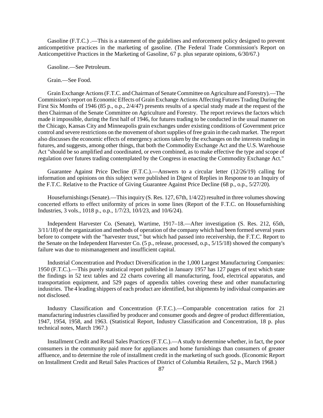Gasoline (F.T.C.) .—This is a statement of the guidelines and enforcement policy designed to prevent anticompetitive practices in the marketing of gasoline. (The Federal Trade Commission's Report on Anticompetitive Practices in the Marketing of Gasoline, 67 p. plus separate opinions, 6/30/67.)

Gasoline.—See Petroleum.

Grain.—See Food.

GrainExchange Actions(F.T.C. andChairman of SenateCommittee on Agriculture and Forestry).—The Commission's report on Economic Effects of Grain Exchange Actions Affecting Futures Trading During the First Six Months of 1946 (85 p., o.p., 2/4/47) presents results of a special study made at the request of the then Chairman of the Senate Committee on Agriculture and Forestry. The report reviews the factors which made it impossible, during the first half of 1946, for futures trading to be conducted in the usual manner on the Chicago, Kansas City and Minneapolis grain exchanges under existing conditions of Government price control and severe restrictions on the movement of short supplies of free grain in the cash market. The report also discusses the economic effects of emergency actions taken by the exchanges on the interests trading in futures, and suggests, among other things, that both the Commodity Exchange Act and the U.S. Warehouse Act "should be so amplified and coordinated, or even combined, as to make effective the type and scope of regulation over futures trading contemplated by the Congress in enacting the Commodity Exchange Act."

Guarantee Against Price Decline (F.T.C.).—Answers to a circular letter (12/26/19) calling for information and opinions on this subject were published in Digest of Replies in Response to an Inquiry of the F.T.C. Relative to the Practice of Giving Guarantee Against Price Decline (68 p., o.p., 5/27/20).

Housefurnishings (Senate).—This inquiry (S. Res. 127, 67th, 1/4/22) resulted in three volumes showing concerted efforts to effect uniformity of prices in some lines (Report of the F.T.C. on Housefurnishing Industries, 3 vols., 1018 p., o.p., 1/7/23, 10/l/23, and 10/6/24).

Independent Harvester Co. (Senate), Wartime, 1917–18.—After investigation (S. Res. 212, 65th, 3/11/18) of the organization and methods of operation of the company which had been formed several years before to compete with the "harvester trust," but which had passed into receivership, the F.T.C. Report to the Senate on the Independent Harvester Co. (5 p., release, processed, o.p., 5/15/18) showed the company's failure was due to mismanagement and insufficient capital.

Industrial Concentration and Product Diversification in the 1,000 Largest Manufacturing Companies: 1950 (F.T.C.).—This purely statistical report published in January 1957 has 127 pages of text which state the findings in 52 text tables and 22 charts covering all manufacturing, food, electrical apparatus, and transportation equipment, and 529 pages of appendix tables covering these and other manufacturing industries. The 4 leading shippers of each product are identified, but shipments by individual companies are not disclosed.

Industry Classification and Concentration (F.T.C.).—Comparable concentration ratios for 21 manufacturing industries classified by producer and consumer goods and degree of product differentiation, 1947, 1954, 1958, and 1963. (Statistical Report, Industry Classification and Concentration, 18 p. plus technical notes, March 1967.)

Installment Credit and Retail Sales Practices (F.T.C.).—A study to determine whether, in fact, the poor consumers in the community paid more for appliances and home furnishings than consumers of greater affluence, and to determine the role of installment credit in the marketing of such goods. (Economic Report on Installment Credit and Retail Sales Practices of District of Columbia Retailers, 52 p., March 1968.)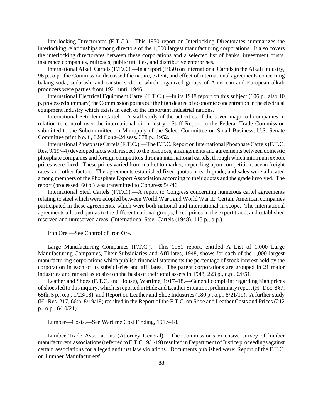Interlocking Directorates (F.T.C.).—This 1950 report on Interlocking Directorates summarizes the interlocking relationships among directors of the 1,000 largest manufacturing corporations. It also covers the interlocking directorates between these corporations and a selected list of banks, investment trusts, insurance companies, railroads, public utilities, and distributive enterprises.

International Alkali Cartels (F.T.C.).—In a report (1950) on International Cartels in the Alkali Industry, 96 p., o.p., the Commission discussed the nature, extent, and effect of international agreements concerning baking soda, soda ash, and caustic soda to which organized groups of American and European alkali producers were parties from 1924 until 1946.

International Electrical Equipment Cartel (F.T.C.).—In its 1948 report on this subject (106 p., also 10 p. processed summary) the Commission points out the high degree of economic concentration in the electrical equipment industry which exists in each of the important industrial nations.

International Petroleum Cartel.—A staff study of the activities of the seven major oil companies in relation to control over the international oil industry. Staff Report to the Federal Trade Commission submitted to the Subcommittee on Monopoly of the Select Committee on Small Business, U.S. Senate Committee print No. 6, 82d Cong–2d sess. 378 p., 1952.

International Phosphate Cartels (F.T.C.).—The F.T.C. Report on International Phosphate Cartels (F.T.C. Res. 9/19/44) developed facts with respect to the practices, arrangements and agreements between domestic phosphate companies and foreign competitors through international cartels, through which minimum export prices were fixed. These prices varied from market to market, depending upon competition, ocean freight rates, and other factors. The agreements established fixed quotas in each grade, and sales were allocated among members of the Phosphate Export Association according to their quotas and the grade involved. The report (processed, 60 p.) was transmitted to Congress 5/l/46.

International Steel Cartels (F.T.C.).—A report to Congress concerning numerous cartel agreements relating to steel which were adopted between World War I and World War II. Certain American companies participated in these agreements, which were both national and international in scope. The international agreements allotted quotas to the different national groups, fixed prices in the export trade, and established reserved and unreserved areas. (International Steel Cartels (1948), 115 p., o.p.)

Iron Ore.—See Control of Iron Ore.

Large Manufacturing Companies (F.T.C.).—This 1951 report, entitled A List of 1,000 Large Manufacturing Companies, Their Subsidiaries and Affiliates, 1948, shows for each of the 1,000 largest manufacturing corporations which publish financial statements the percentage of stock interest held by the corporation in each of its subsidiaries and affiliates. The parent corporations are grouped in 21 major industries and ranked as to size on the basis of their total assets in 1948, 223 p., o.p., 6/l/51.

Leather and Shoes (F.T.C. and House), Wartime, 1917–18.—General complaint regarding high prices of shoes led to this inquiry, which is reported in Hide and Leather Situation, preliminary report (H. Doc. 8§7, 65th, 5 p., o.p., 1/23/18), and Report on Leather and Shoe Industries (180 p., o.p., 8/21/19). A further study (H. Res. 217, 66th, 8/19/19) resulted in the Report of the F.T.C. on Shoe and Leather Costs and Prices (212 p., o.p., 6/10/21).

Lumber—Costs.—See Wartime Cost Finding, 1917–18.

Lumber Trade Associations (Attorney General).—The Commission's extensive survey of lumber manufacturers' associations (referred to F.T.C., 9/4/19) resulted in Department of Justice proceedings against certain associations for alleged antitrust law violations. Documents published were: Report of the F.T.C. on Lumber Manufacturers'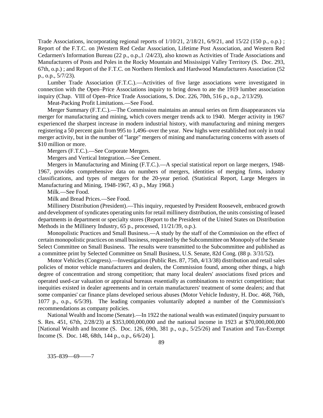Trade Associations, incorporating regional reports of  $1/10/21$ ,  $2/18/21$ ,  $6/9/21$ , and  $15/22$  (150 p., o.p.); Report of the F.T.C. on )Western Red Cedar Association, Lifetime Post Association, and Western Red Cedarmen's Information Bureau (22 p., o.p.,1 /24/23), also known as Activities of Trade Associations and Manufacturers of Posts and Poles in the Rocky Mountain and Mississippi Valley Territory (S. Doc. 293, 67th, o.p.) ; and Report of the F.T.C. on Northern Hemlock and Hardwood Manufacturers Association (52 p., o.p., 5/7/23).

Lumber Trade Association (F.T.C.).—Activities of five large associations were investigated in connection with the Open–Price Associations inquiry to bring down to ate the 1919 lumber association inquiry (Chap. VIII of Open–Price Trade Associations, S. Doc. 226, 70th, 516 p., o.p., 2/13/29).

Meat-Packing Profit Limitations.—See Food.

Merger Summary (F.T.C.).—The Commission maintains an annual series on firm disappearances via merger for manufacturing and mining, which covers merger trends ack to 1940. Merger activity in 1967 experienced the sharpest increase in modern industrial history, with manufacturing and mining mergers registering a 50 percent gain from 995 to 1,496–over the year. New highs were established not only in total merger activity, but in the number of "large" mergers of mining and manufacturing concerns with assets of \$10 million or more.

Mergers (F.T.C.).—See Corporate Mergers.

Mergers and Vertical Integration.—See Cement.

Mergers in Manufacturing and Mining (F.T.C.).—A special statistical report on large mergers, 1948- 1967, provides comprehensive data on numbers of mergers, identities of merging firms, industry classifications, and types of mergers for the 20-year period. (Statistical Report, Large Mergers in Manufacturing and Mining, 1948-1967, 43 p., May 1968.)

Milk.—See Food.

Milk and Bread Prices.—See Food.

Millinery Distribution (President).—This inquiry, requested by President Roosevelt, embraced growth and development of syndicates operating units for retail millinery distribution, the units consisting of leased departments in department or specialty stores (Report to the President of the United States on Distribution Methods in the Millinery Industry, 65 p., processed, 11/21/39, o.p.).

Monopolistic Practices and Small Business.—A study by the staff of the Commission on the effect of certain monopolistic practices on small business, requested by the Subcommittee on Monopoly of the Senate Select Committee on Small Business. The results were transmitted to the Subcommittee and published as a committee print by Selected Committee on Small Business, U.S. Senate, 82d Cong. (88 p. 3/31/52).

Motor Vehicles (Congress).—Investigation (Public Res. 87, 75th, 4/13/38) distribution and retail sales policies of motor vehicle manufacturers and dealers, the Commission found, among other things, a high degree of concentration and strong competition; that many local dealers' associations fixed prices and operated used-car valuation or appraisal bureaus essentially as combinations to restrict competition; that inequities existed in dealer agreements and in certain manufacturers' treatment of some dealers; and that some companies' car finance plans developed serious abuses (Motor Vehicle Industry, H. Doc. 468, 76th, 1077 p., o.p., 6/5/39). The leading companies voluntarily adopted a number of the Commission's recommendations as company policies.

National Wealth and Income (Senate).—In 1922 the national wealth was estimated (inquiry pursuant to S. Res. 451, 67th, 2/28/23) at \$353,000,000,000 and the national income in 1923 at \$70,000,000,000 [National Wealth and Income (S. Doc. 126, 69th, 381 p., o.p., 5/25/26) and Taxation and Tax-Exempt Income (S. Doc. 148, 68th, 144 p., o.p., 6/6/24) ].

335–839—69——7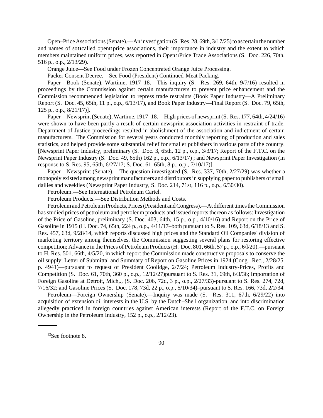Open–PriceAssociations(Senate).—An investigation (S. Res. 28, 69th, 3/17/25) to ascertain the number and names of soncalled opennprice associations, their importance in industry and the extent to which members maintained uniform prices, was reported in OpennPrice Trade Associations (S. Doc. 226, 70th, 516 p., o.p., 2/13/29).

Orange Juice—See Food under Frozen Concentrated Orange Juice Processing.

Packer Consent Decree.—See Food (President) Continued-Meat Packing.

Paper—Book (Senate), Wartime, 1917–18.—This inquiry (S. Res. 269, 64th, 9/7/16) resulted in proceedings by the Commission against certain manufacturers to prevent price enhancement and the Commission recommended legislation to repress trade restraints (Book Paper Industry—A Preliminary Report (S. Doc. 45, 65th, 11 p., o.p., 6/13/17), and Book Paper Industry—Final Report (S. Doc. 79, 65th, 125 p., o.p., 8/21/17)].

Paper—Newsprint(Senate), Wartime, 1917–18.—High prices of newsprint(S. Res. 177, 64th, 4/24/16) were shown to have been partly a result of certain newsprint association activities in restraint of trade. Department of Justice proceedings resulted in abolishment of the association and indictment of certain manufacturers. The Commission for several years conducted monthly reporting of production and sales statistics, and helped provide some substantial relief for smaller publishers in various parts of the country. [Newsprint Paper Industry, preliminary (S. Doc. 3, 65th, 12 p., o.p., 3/3/17; Report of the F.T.C. on the Newsprint Paper Industry (S. Doc. 49, 65th) 162 p., o.p., 6/13/17) ; and Newsprint Paper Investigation (in response to S. Res. 95, 65th, 6/27/17; S. Doc. 61, 65th, 8 p., o.p., 7/10/17)].

Paper—Newsprint (Senate).—The question investigated (S. Res. 337, 70th, 2/27/29) was whether a monopoly existed among newsprint manufacturers and distributorsin supplying paper to publishers ofsmall dailies and weeklies (Newsprint Paper Industry, S. Doc. 214, 71st, 116 p., o.p., 6/30/30).

Petroleum.—See International Petroleum Cartel.

Petroleum Products.—See Distribution Methods and Costs.

Petroleum and Petroleum Products, Prices (President and Congress).—At different times the Commission has studied prices of petroleum and petroleum products and issued reports thereon as follows: Investigation of the Price of Gasoline, preliminary (S. Doc. 403, 64th, 15 p., o.p., 4/10/16) and Report on the Price of Gasoline in 1915 (H. Doc. 74, 65th, 224 p., o.p., 4/11/17–both pursuant to S. Res. 109, 63d, 6/18/13 and S. Res. 457, 63d, 9/28/14, which reports discussed high prices and the Standard Oil Companies' division of marketing territory among themselves, the Commission suggesting several plans for restoring effective competition; Advance in the Prices of Petroleum Products (H. Doc. 801, 66th, 57 p., o.p., 6/l/20).—pursuant to H. Res. 501, 66th, 4/5/20, in which report the Commission made constructive proposals to conserve the oil supply; Letter of Submittal and Summary of Report on Gasoline Prices in 1924 (Cong. Rec., 2/28/25, p. 4941)—pursuant to request of President Coolidge, 2/7/24; Petroleum Industry-Prices, Profits and Competition (S. Doc. 61, 70th, 360 p., o.p., 12/12/27)pursuant to S. Res. 31, 69th, 6/3/36; Importation of Foreign Gasoline at Detroit, Mich,., (S. Doc. 206, 72d, 3 p., o.p., 2/27/33)-pursuant to S. Res. 274, 72d, 7/16/32; and Gasoline Prices (S. Doc. 178, 73d, 22 p., o.p., 5/10/34)–pursuant to S. Res. 166, 73d, 2/2/34.

Petroleum—Foreign Ownership (Senate),—Inquiry was made (S. Res. 311, 67th, 6/29/22) into acquisition of extension oil interests in the U.S. by the Dutch–Shell organization, and into discrimination allegedly practiced in foreign countries against American interests (Report of the F.T.C. on Foreign Ownership in the Petroleum Industry, 152 p., o.p., 2/12/23).

 $12$ See footnote 8.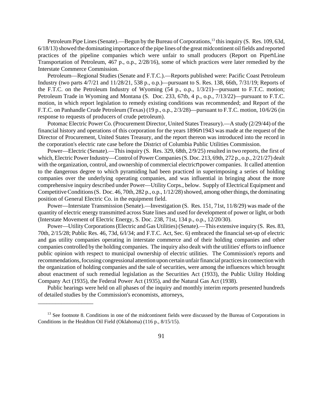Petroleum Pipe Lines (Senate).—Begun by the Bureau of Corporations,<sup>13</sup> this inquiry (S. Res. 109, 63d, 6/18/13) showed the dominating importance of the pipe lines of the great midcontinent oil fields and reported practices of the pipeline companies which were unfair to small producers (Report on PipenLine Transportation of Petroleum, 467 p., o.p., 2/28/16), some of which practices were later remedied by the Interstate Commerce Commission.

Petroleum—Regional Studies (Senate and F.T.C.).—Reports published were: Pacific Coast Petroleum Industry (two parts 4/7/21 and 11/28/21, 538 p., o.p.)—pursuant to S. Res. 138, 66th, 7/31/19; Reports of the F.T.C. on the Petroleum Industry of Wyoming (54 p., o.p., 1/3/21)—pursuant to F.T.C. motion; Petroleum Trade in Wyoming and Montana (S. Doc. 233, 67tb, 4 p., o.p., 7/13/22)—pursuant to F.T.C. motion, in which report legislation to remedy existing conditions was recommended; and Report of the F.T.C. on Panhandle Crude Petroleum (Texas) (19 p., o.p., 2/3/28)—pursuant to F.T.C. motion, 10/6/26 (in response to requests of producers of crude petroleum).

Potomac Electric Power Co. (Procurement Director, United States Treasury).—A study (2/29/44) of the financial history and operations of this corporation for the years 1896n1943 was made at the request of the Director of Procurement, United States Treasury, and the report thereon was introduced into the record in the corporation's electric rate case before the District of Columbia Public Utilities Commission.

Power—Electric (Senate).—This inquiry (S. Res. 329, 68th, 2/9/25) resulted in two reports, the first of which, Electric Power Industry—Control of Power Companies (S. Doc. 213, 69th, 272 p., o.p., 2/21/27) dealt with the organization, control, and ownership of commercial electricnpower companies. It called attention to the dangerous degree to which pyramiding had been practiced in superimposing a series of holding companies over the underlying operating companies, and was influential in bringing about the more comprehensive inquiry described under Power—Utility Corps., below. Supply of Electrical Equipment and Competitive Conditions (S. Doc. 46, 70th, 282 p., o.p., 1/12/28) showed, among other things, the dominating position of General Electric Co. in the equipment field.

Power—Interstate Transmission (Senate).—Investigation (S. Res. 151, 71st, 11/8/29) was made of the quantity of electric energy transmitted across State lines and used for development of power or light, or both (Interstate Movement of Electric Energy, S. Doc. 238, 71st, 134 p., o.p., 12/20/30).

Power—UtilityCorporations(Electric and Gas Utilities) (Senate).—This extensive inquiry (S. Res. 83, 70th, 2/15/28; Public Res. 46, 73d, 6/l/34; and F.T.C. Act, Sec. 6) embraced the financial set-up of electric and gas utility companies operating in interstate commerce and of their holding companies and other companies controlled by the holding companies. The inquiry also dealt with the utilities' efforts to influence public opinion with respect to municipal ownership of electric utilities. The Commission's reports and recommendations, focusing congressional attention upon certain unfair financial practices in connection with the organization of holding companies and the sale of securities, were among the influences which brought about enactment of such remedial legislation as the Securities Act (1933), the Public Utility Holding Company Act (1935), the Federal Power Act (1935), and the Natural Gas Act (1938).

Public hearings were held on all phases of the inquiry and monthly interim reports presented hundreds of detailed studies by the Commission's economists, attorneys,

\_\_\_\_\_\_\_\_\_\_\_\_\_\_\_\_\_\_\_

<sup>&</sup>lt;sup>13</sup> See footnote 8. Conditions in one of the midcontinent fields were discussed by the Bureau of Corporations in Conditions in the Healdton Oil Field (Oklahoma) (116 p., 8/15/15).

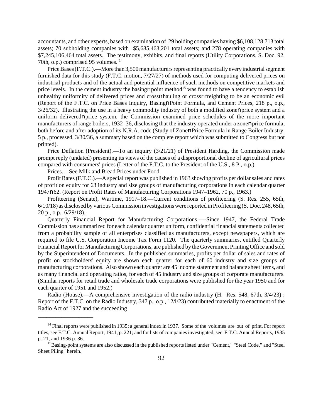accountants, and other experts, based on examination of 29 holding companies having \$6,108,128,713 total assets; 70 subholding companies with \$5,685,463,201 total assets; and 278 operating companies with \$7,245,106,464 total assets. The testimony, exhibits, and final reports (Utility Corporations, S. Doc. 92, 70th, o.p.) comprised 95 volumes. <sup>14</sup>

Price Bases (F.T.C.).—More than 3,500 manufacturers representing practically every industrial segment furnished data for this study (F.T.C. motion, 7/27/27) of methods used for computing delivered prices on industrial products and of the actual and potential influence of such methods on competitive markets and price levels. In the cement industry the basingnpoint method<sup>15</sup> was found to have a tendency to establish unhealthy uniformity of delivered prices and crossnhauling or crossnfreighting to be an economic evil (Report of the F.T.C. on Price Bases Inquiry, BasingnPoint Formula, and Cement Prices, 218 p., o.p.,  $3/26/32$ ). Illustrating the use in a heavy commodity industry of both a modified zonenprice system and a uniform deliverednprice system, the Commission examined price schedules of the more important manufacturers of range boilers, 1932–36, disclosing that the industry operated under a zonenprice formula, both before and after adoption of its N.R.A. code (Study of ZonenPrice Formula in Range Boiler Industry, 5 p., processed, 3/30/36, a summary based on the complete report which was submitted to Congress but not printed).

Price Deflation (President).—To an inquiry (3/21/21) of President Harding, the Commission made prompt reply (undated) presenting its views of the causes of a disproportional decline of agricultural prices compared with consumers' prices (Letter of the F.T.C. to the President of the U.S., 8 P., o.p.).

Prices.—See Milk and Bread Prices under Food.

\_\_\_\_\_\_\_\_\_\_\_\_\_\_\_\_\_\_\_

Profit Rates (F.T.C.).—A special report was published in 1963 showing profits per dollar sales and rates of profit on equity for 63 industry and size groups of manufacturing corporations in each calendar quarter 1947n62. (Report on Profit Rates of Manufacturing Corporations 1947–1962, 70 p., 1963.)

Profiteering (Senate), Wartime, 1917–18.—Current conditions of profiteering (S. Res. 255, 65th, 6/10/18) as disclosed by variousCommission investigations were reported in Profiteering (S. Doc. 248, 65th, 20 p., o.p., 6/29/18).

Quarterly Financial Report for Manufacturing Corporations.—-Since 1947, the Federal Trade Commission has summarized for each calendar quarter uniform, confidential financial statements collected from a probability sample of all enterprises classified as manufacturers, except newspapers, which are required to file U.S. Corporation Income Tax Form 1120. The quarterly summaries, entitled Quarterly Financial Report for Manufacturing Corporations, are published by the Government Printing Office and sold by the Superintendent of Documents. In the published summaries, profits per dollar of sales and rates of profit on stockholders' equity are shown each quarter for each of 60 industry and size groups of manufacturing corporations. Also shown each quarter are 45 income statement and balance sheet items, and as many financial and operating ratios, for each of 45 industry and size groups of corporate manufacturers. (Similar reports for retail trade and wholesale trade corporations were published for the year 1950 and for each quarter of 1951 and 1952.)

Radio (House).—A comprehensive investigation of the radio industry (H. Res. 548, 67th,  $3/4/23$ ); Report of the F.T.C. on the Radio Industry, 347 p., o.p., 12/l/23) contributed materially to enactment of the Radio Act of 1927 and the succeeding

<sup>&</sup>lt;sup>14</sup> Final reports were published in 1935; a general index in 1937. Some of the volumes are out of print. For report titles, see F.T.C. Annual Report, 1941, p. 221; and for lists of companies investigated, see F.T.C. Annual Reports, 1935 p. 21, and 1936 p. 36.

<sup>&</sup>lt;sup>15</sup>Basing-point systems are also discussed in the published reports listed under "Cement," "Steel Code," and "Steel Sheet Piling" herein.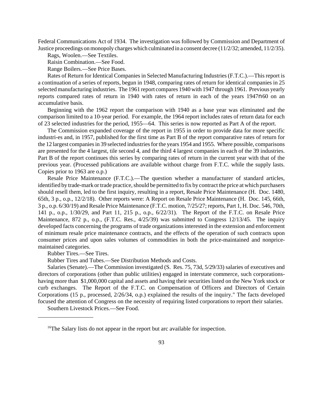Federal Communications Act of 1934. The investigation was followed by Commission and Department of Justice proceedings on monopoly charges which culminated in a consent decree (11/2/32; amended, 11/2/35).

Rags, Woolen.—See Textiles.

Raisin Combination.—See Food.

Range Boilers.—See Price Bases.

Rates of Return for Identical Companies in Selected Manufacturing Industries (F.T.C.).—This report is a continuation of a series of reports, begun in 1948, comparing rates of return for identical companies in 25 selectedmanufacturing industries. The 1961 report compares 1940 with 1947 through 1961. Previous yearly reports compared rates of return in 1940 with rates of return in each of the years 1947n60 on an accumulative basis.

Beginning with the 1962 report the comparison with 1940 as a base year was eliminated and the comparison limited to a 10-year period. For example, the 1964 report includes rates of return data for each of 23 selected industries for the period, 1955—64. This series is now reported as Part A of the report.

The Commission expanded coverage of the report in 1955 in order to provide data for more specific industri-es and, in 1957, published for the first time as Part B of the report comparative rates of return for the 12 largest companies in 39 selected industries for the years 1954 and 1955. Where possible, comparisons are presented for the 4 largest, tile second 4, and the third 4 largest companies in each of the 39 industries. Part B of the report continues this series by comparing rates of return in the current year with that of the previous year. (Processed publications are available without charge from F.T.C. while the supply lasts. Copies prior to 1963 are o.p.)

Resale Price Maintenance (F.T.C.).—The question whether a manufacturer of standard articles, identified by trade-mark or trade practice, should be permitted to fix by contract the price at which purchasers should resell them, led to the first inquiry, resulting in a report, Resale Price Maintenance (H. Doc. 1480, 65th, 3 p., o.p., 12/2/18). Other reports were: A Report on Resale Price Maintenance (H. Doc. 145, 66th, 3 p., o.p. 6/30/19) and Resale Price Maintenance (F.T.C. motion, 7/25/27; reports, Part 1, H. Doc. 546, 70th, 141 p., o.p., 1/30/29, and Part 11, 215 p., o.p., 6/22/31). The Report of the F.T.C. on Resale Price Maintenance, 872 p., o.p., (F.T.C. Res., 4/25/39) was submitted to Congress 12/13/45. The inquiry developed facts concerning the programs of trade organizations interested in the extension and enforcement of minimum resale price maintenance contracts, and the effects of the operation of such contracts upon consumer prices and upon sales volumes of commodities in both the price-maintained and nonpricemaintained categories.

Rubber Tires.—See Tires.

\_\_\_\_\_\_\_\_\_\_\_\_\_\_\_\_\_\_\_

Rubber Tires and Tubes.—See Distribution Methods and Costs.

Salaries (Senate).—The Commission investigated (S. Res. 75, 73d, 5/29/33) salaries of executives and directors of corporations (other than public utilities) engaged in interstate commerce, such corporationshaving more than \$1,000,000 capital and assets and having their securities listed on the New York stock or curb exchanges. The Report of the F.T.C. on Compensation of Officers and Directors of Certain Corporations (15 p., processed, 2/26/34, o.p.) explained the results of the inquiry." The facts developed focused the attention of Congress on the necessity of requiring listed corporations to report their salaries.

Southern Livestock Prices.—See Food.

<sup>&</sup>lt;sup>16</sup>The Salary lists do not appear in the report but arc available for inspection.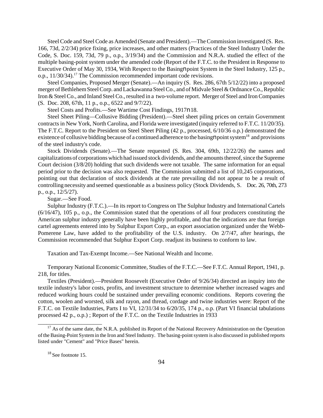SteelCode and SteelCode as Amended (Senate and President).—TheCommission investigated (S. Res. 166, 73d, 2/2/34) price fixing, price increases, and other matters (Practices of the Steel Industry Under the Code, S. Doc. 159, 73d, 79 p., o.p., 3/19/34) and the Commission and N.R.A. studied the effect of the multiple basing-point system under the amended code (Report of the F.T.C. to the President in Response to Executive Order of May 30, 1934, With Respect to the Basingnpoint System in the Steel Industry, 125 p., o.p., 11/30/34).<sup>17</sup> The Commission recommended important code revisions.

Steel Companies, Proposed Merger (Senate).—An inquiry (S. Res. 286, 67th 5/12/22) into a proposed merger of Bethlehem Steel Corp. and Lackawanna Steel Co., and of Midvale Steel & Ordnance Co., Republic Iron & Steel Co., and Inland Steel Co., resulted in a two-volume report. Merger of Steel and Iron Companies (S. Doc. 208, 67th, 11 p., o.p., 6522 and 9/7/22).

Steel Costs and Profits.—See Wartime Cost Findings, 1917n18.

Steel Sheet Piling—Collusive Bidding (President).—Steel sheet piling prices on certain Government contracts in New York, North Carolina, and Florida were investigated (inquiry referred to F.T.C. 11/20/35). The F.T.C. Report to the President on Steel Sheet Piling (42 p., processed, 6/10/36 o.p.) demonstrated the existence of collusive bidding because of a continued adherence to the basing **n** point system<sup>18</sup> and provisions of the steel industry's code.

Stock Dividends (Senate).—The Senate requested (S. Res. 304, 69tb, 12/22/26) the names and capitalizations of corporations which had issued stock dividends, and the amounts thereof, since the Supreme Court decision (3/8/20) holding that such dividends were not taxable. The same information for an equal period prior to the decision was also requested. The Commission submitted a list of 10,245 corporations, pointing out that declaration of stock dividends at the rate prevailing did not appear to be a result of controlling necessity and seemed questionable as a business policy (Stock Dividends, S. Doc. 26, 70th, 273 p., o.p., 12/5/27).

Sugar.—See Food.

Sulphur Industry (F.T.C.).—In its report to Congress on The Sulphur Industry and International Cartels (6/16/47), 105 p., o.p., the Commission stated that the operations of all four producers constituting the American sulphur industry generally have been highly profitable, and that the indications are that foreign cartel agreements entered into by Sulphur Export Corp., an export association organized under the Webb-Pomerene Law, have added to the profitability of the U.S. industry. On 2/7/47, after hearings, the Commission recommended that Sulphur Export Corp. readjust its business to conform to law.

Taxation and Tax-Exempt Income.—See National Wealth and Income.

Temporary National Economic Committee, Studies of the F.T.C.—See F.T.C. Annual Report, 1941, p. 218, for titles.

Textiles (President).—President Roosevelt (Executive Order of 9/26/34) directed an inquiry into the textile industry's labor costs, profits, and investment structure to determine whether increased wages and reduced working hours could be sustained under prevailing economic conditions. Reports covering the cotton, woolen and worsted, silk and rayon, and thread, cordage and twine industries were: Report of the F.T.C. on Textile Industries, Parts I to VI, 12/31/34 to 6/20/35, 174 p., o.p. (Part VI financial tabulations processed 42 p., o.p.) ; Report of the F.T.C. on the Textile Industries in 1933

 $18$  See footnote 15.

\_\_\_\_\_\_\_\_\_\_\_\_\_\_\_\_\_\_\_\_\_\_

<sup>&</sup>lt;sup>17</sup> As of the same date, the N.R.A. published its Report of the National Recovery Administration on the Operation ofthe Basing-Point Systemin the Iron and Steel Industry. The basing-point system is also discussed in published reports listed under "Cement" and "Price Bases" herein.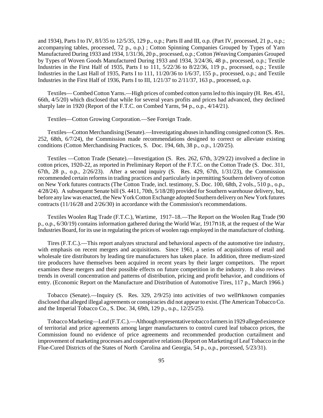and 1934), Parts I to IV, 8/l/35 to 12/5/35, 129 p., o.p.; Parts II and III, o.p. (Part IV, processed, 21 p., o.p.; accompanying tables, processed, 72 p., o.p.) ; Cotton Spinning Companies Grouped by Types of Yarn Manufactured During 1933 and 1934, 1/31/36, 20 p., processed, o.p.; Cotton )Weaving Companies Grouped by Types of Woven Goods Manufactured During 1933 and 1934, 3/24/36, 48 p., processed, o.p.; Textile Industries in the First Half of 1935, Parts I to 111, 5/22/36 to 8/22/36, 119 p., processed, o.p.; Textile Industries in the Last Hall of 1935, Parts I to 111, 11/20/36 to 1/6/37, 155 p., processed, o.p.; and Textile Industries in the First Half of 1936, Parts I to III, 1/21/37 to 2/11/37, 163 p., processed, o.p.

Textiles—Combed Cotton Yarns.—High prices of combed cotton yarns led to this inquiry (H. Res. 451, 66th, 4/5/20) which disclosed that while for several years profits and prices had advanced, they declined sharply late in 1920 (Report of the F.T.C. on Combed Yarns, 94 p., o.p., 4/14/21).

Textiles—Cotton Growing Corporation.—See Foreign Trade.

Textiles—Cotton Merchandising (Senate).—Investigating abusesin handling consigned cotton (S. Res. 252, 68th, 6/7/24), the Commission made recommendations designed to correct or alleviate existing conditions (Cotton Merchandising Practices, S. Doc. 194, 6th, 38 p., o.p., 1/20/25).

Textiles —Cotton Trade (Senate).—Investigation (S. Res. 262, 67th, 3/29/22) involved a decline in cotton prices, 1920-22, as reported in Preliminary Report of the F.T.C. on the Cotton Trade (S. Doc. 311, 67th, 28 p., o.p., 2/26/23). After a second inquiry (S. Res. 429, 67th, 1/31/23), the Commission recommended certain reforms in trading practices and particularly in permitting Southern delivery of cotton on New York futures contracts (The Cotton Trade, incl. testimony, S. Doc. 100, 68th, 2 vols., 510 p., o.p., 4/28/24). A subsequent Senate bill (S. 4411, 70th, 5/18/28) provided for Southern warehouse delivery, but, before any law was enacted, the New York Cotton Exchange adopted Southern delivery on New York futures contracts (11/16/28 and 2/26/30) in accordance with the Commission's recommendations.

Textiles Woolen Rag Trade (F.T.C.), Wartime, 1917–18.—The Report on the Woolen Rag Trade (90 p., o.p., 6/30/19) contains information gathered during the World War, 1917n18, at the request of the War Industries Board, for its use in regulating the prices of woolen rags employed in the manufacture of clothing.

Tires (F.T.C.).—This report analyzes structural and behavioral aspects of the automotive tire industry, with emphasis on recent mergers and acquisitions. Since 1961, a series of acquisitions of retail and wholesale tire distributors by leading tire manufacturers has taken place. In addition, three medium-sized tire producers have themselves been acquired in recent years by their larger competitors. The report examines these mergers and their possible effects on future competition in the industry. It also reviews trends in overall concentration and patterns of distribution, pricing and profit behavior, and conditions of entry. (Economic Report on the Manufacture and Distribution of Automotive Tires, 117 p., March 1966.)

Tobacco (Senate).—Inquiry (S. Res. 329, 2/9/25) into activities of two wellnknown companies disclosed that alleged illegal agreements or conspiracies did not appear to exist. (The American Tobacco Co. and the Imperial Tobacco Co., S. Doc. 34, 69th, 129 p., o.p., 12/25/25).

TobaccoMarketing—Leaf (F.T.C.).—Although representative tobacco farmers in 1929 alleged existence of territorial and price agreements among larger manufacturers to control cured leaf tobacco prices, the Commission found no evidence of price agreements and recommended production curtailment and improvement of marketing processes and cooperative relations(Report on Marketing of Leaf Tobacco in the Flue-Cured Districts of the States of North Carolina and Georgia, 54 p., o.p., porcessed, 5/23/31).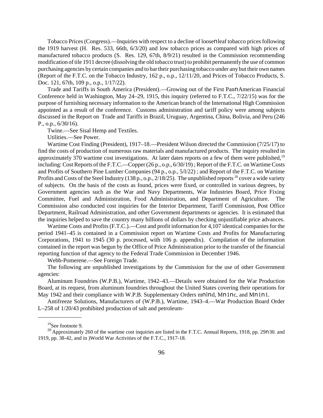Tobacco Prices (Congress).—Inquiries with respect to a decline of loosenleaf tobacco prices following the 1919 harvest (H. Res. 533, 66th, 6/3/20) and low tobacco prices as compared with high prices of manufactured tobacco products (S. Res. 129, 67th, 8/9/21) resulted in the Commission recommending modification of tile 1911 decree (dissolving the old tobacco trust) to prohibit permanently the use of common purchasing agencies by certain companies and to bartheir purchasing tobacco under any but their own names (Report of the F.T.C. on the Tobacco Industry, 162 p., o.p., 12/11/20, and Prices of Tobacco Products, S. Doc. 121, 67th, 109 p., o.p., 1/17/22).

Trade and Tariffs in South America (President).—Growing out of the First PannAmerican Financial Conference held in Washington, May 24–29, 1915, this inquiry (referred to F.T.C., 7/22/15) was for the purpose of furnishing necessary information to the American branch of the International High Commission appointed as a result of the conference. Customs administration and tariff policy were among subjects discussed in the Report on Trade and Tariffs in Brazil, Uruguay, Argentina, China, Bolivia, and Peru (246 P., o.p.,  $6/30/16$ ).

Twine.—See Sisal Hemp and Textiles.

Utilities.—See Power.

Wartime Cost Finding (President), 1917–18.—President Wilson directed the Commission (7/25/17) to find the costs of production of numerous raw materials and manufactured products. The inquiry resulted in approximately 370 wartime cost investigations. At later dates reports on a few of them were published,<sup>19</sup> including: Cost Reports of the F.T.C.—Copper (26 p., o.p., 6/30/19) ; Report of the F.T.C. on Wartime Costs and Profits of Southern Pine Lumber Companies (94 p., o.p., 5/l/22) ; and Report of the F.T.C. on Wartime Profits and Costs of the Steel Industry (138 p., o.p., 2/18/25). The unpublished reports  $^{20}$  cover a wide variety of subjects. On the basis of the costs as found, prices were fixed, or controlled in various degrees, by Government agencies such as the War and Navy Departments, War Industries Board, Price Fixing Committee, Fuel and Administration, Food Administration, and Department of Agriculture. The Commission also conducted cost inquiries for the Interior Department, Tariff Commission, Post Office Department, Railroad Administration, and other Government departments or agencies. It is estimated that the inquiries helped to save the country many billions of dollars by checking unjustifiable price advances.

Wartime Costs and Profits (F.T.C.).—Cost and profit information for 4,107 identical companies for the period 1941–45 is contained in a Commission report on Wartime Costs and Profits for Manufacturing Corporations, 1941 to 1945 (30 p. processed, with 106 p. appendix). Compilation of the information contained in the report was begun by the Office of Price Administration prior to the transfer of the financial reporting function of that agency to the Federal Trade Commission in December 1946.

Webb-Pomerene.—See Foreign Trade.

The following are unpublished investigations by the Commission for the use of other Government agencies:

Aluminum Foundries (W.P.B.), Wartime, 1942–43.—Details were obtained for the War Production Board, at its request, from aluminum foundries throughout the United States covering their operations for May 1942 and their compliance with W.P.B. Supplementary Orders mnlnd, Mn1nc, and Mn1n1.

Antifreeze Solutions, Manufacturers of (W.P.B.), Wartime, 1943–4.—War Production Board Order L–258 of 1/20/43 prohibited production of salt and petroleum-

\_\_\_\_\_\_\_\_\_\_\_\_\_\_\_

<sup>19</sup>See footnote 9.

<sup>&</sup>lt;sup>20</sup> Approximately 260 of the wartime cost inquiries are listed in the F.T.C. Annual Reports, 1918, pp. 29n30. and 1919, pp. 38-42, and in )World War Activities of the F.T.C., 1917-18.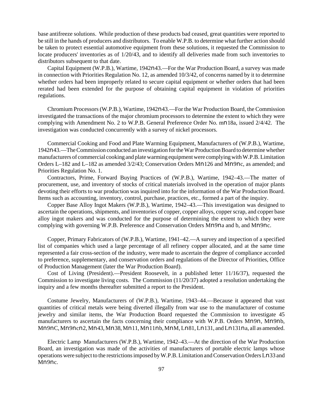base antifreeze solutions. While production of these products bad ceased, great quantities were reported to be still in the hands of producers and distributors. To enable W.P.B. to determine what further action should be taken to protect essential automotive equipment from these solutions, it requested the Commission to locate producers' inventories as of 1/20/43, and to identify all deliveries made from such inventories to distributors subsequent to that date.

Capital Equipment (W.P.B.), Wartime, 1942n43.—For the War Production Board, a survey was made in connection with Priorities Regulation No. 12, as amended 10/3/42, of concerns named by it to determine whether orders had been improperly related to secure capital equipment or whether orders that had been rerated had been extended for the purpose of obtaining capital equipment in violation of priorities regulations.

Chromium Processors (W.P.B.), Wartime, 1942n43.—For the War Production Board, the Commission investigated the transactions of the major chromium processors to determine the extent to which they were complying with Amendment No. 2 to W.P.B. General Preference Order No. mn18a, issued 2/4/42. The investigation was conducted concurrently with a survey of nickel processors.

Commercial Cooking and Food and Plate Warming Equipment, Manufacturers of (W.P.B.), Wartime, 1942n43.—The Commission conducted an investigation for the War Production Board to determine whether manufacturers of commercial cooking and plate warming equipment were complying with W.P.B. Limitation Orders L–182 and L–182 as amended 3/2/43; Conservation Orders Mn126 and Mn9nc, as amended; and Priorities Regulation No. 1.

Contractors, Prime, Forward Buying Practices of (W.P.B.), Wartime, 1942–43.—The matter of procurement, use, and inventory of stocks of critical materials involved in the operation of major plants devoting their efforts to war production was inquired into for the information of the War Production Board. Items such as accounting, inventory, control, purchase, practices, etc., formed a part of the inquiry.

Copper Base Alloy Ingot Makers (W.P.B.), Wartime, 1942–43.—This investigation was designed to ascertain the operations, shipments, and inventories of copper, copper alloys, copper scrap, and copper base alloy ingot makers and was conducted for the purpose of determining the extent to which they were complying with governing W.P.B. Preference and Conservation Orders Mn9na and b, and Mn9nc.

Copper, Primary Fabricators of (W.P.B.), Wartime, 1941–42.—A survey and inspection of a specified list of companies which used a large percentage of all refinery copper allocated, and at the same time represented a fair cross-section of the industry, were made to ascertain the degree of compliance accorded to preference, supplementary, and conservation orders and regulations of the Director of Priorities, Office of Production Management (later the War Production Board).

Cost of Living (President).—President Roosevelt, in a published letter 11/16/37), requested the Commission to investigate living costs. The Commission (11/20/37) adopted a resolution undertaking the inquiry and a few months thereafter submitted a report to the President.

Costume Jewelry, Manufacturers of (W.P.B.), Wartime, 1943–44.—Because it appeared that vast quantities of critical metals were being diverted illegally from war use to the manufacturer of costume jewelry and similar items, the War Production Board requested the Commission to investigate 45 manufacturers to ascertain the facts concerning their compliance with W.P.B. Orders Mn9n, Mn9nb, Mn9nC, Mn9ncn2, Mn43, Mn38, Mn11, Mn11nb, MnM, Ln81,Ln131, andLn131na, all as amended.

Electric Lamp Manufacturers (W.P.B.), Wartime, 1942–43.—At the direction of the War Production Board, an investigation was made of the activities of manufacturers of portable electric lamps whose operations were subject to the restrictionsimposed byW.P.B.Limitation andConservation Orders Ln33 and Mn<sub>9nc.</sub>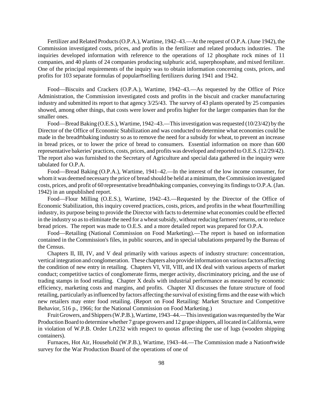Fertilizer and Related Products (O.P.A.), Wartime, 1942–43.—At the request of O.P.A. (June 1942), the Commission investigated costs, prices, and profits in the fertilizer and related products industries. The inquiries developed information with reference to the operations of 12 phosphate rock mines of 11 companies, and 40 plants of 24 companies producing sulphuric acid, superphosphate, and mixed fertilizer. One of the principal requirements of the inquiry was to obtain information concerning costs, prices, and profits for 103 separate formulas of popularnselling fertilizers during 1941 and 1942.

Food—Biscuits and Crackers (O.P.A.), Wartime, 1942–43.—As requested by the Office of Price Administration, the Commission investigated costs and profits in the biscuit and cracker manufacturing industry and submitted its report to that agency 3/25/43. The survey of 43 plants operated by 25 companies showed, among other things, that costs were lower and profits higher for the larger companies than for the smaller ones.

Food—Bread Baking (O.E.S.), Wartime, 1942–43.—This investigation was requested (10/23/42) by the Director of the Office of Economic Stabilization and was conducted to determine what economies could be made in the breadnbaking industry so as to remove the need for a subsidy for wheat, to prevent an increase in bread prices, or to lower the price of bread to consumers. Essential information on more than 600 representative bakeries' practices, costs, prices, and profits was developed and reported to O.E.S.(12/29/42). The report also was furnished to the Secretary of Agriculture and special data gathered in the inquiry were tabulated for O.P.A.

Food—Bread Baking (O.P.A.), Wartime, 1941–42.—In the interest of the low income consumer, for whom it was deemed necessary the price of bread should be held at a minimum, the Commission investigated costs, prices, and profit of 60 representative breadnbaking companies, conveying its findings to O.P.A. (Jan. 1942) in an unpublished report.

Food—Flour Milling (O.E.S.), Wartime, 1942–43.—Requested by the Director of the Office of Economic Stabilization, this inquiry covered practices, costs, prices, and profits in the wheat flournmilling industry, its purpose being to provide the Director with facts to determine what economies could be effected in the industry so as to eliminate the need for a wheat subsidy, without reducing farmers' returns, or to reduce bread prices. The report was made to O.E.S. and a more detailed report was prepared for O.P.A.

Food—Retailing (National Commission on Food Marketing).—The report is based on information contained in the Commission's files, in public sources, and in special tabulations prepared by the Bureau of the Census.

Chapters II, III, IV, and V deal primarily with various aspects of industry structure: concentration, vertical integration and conglomeration. These chapters also provide information on various factors affecting the condition of new entry in retailing. Chapters VI, VII, VIII, and IX deal with various aspects of market conduct; competitive tactics of conglomerate firms, merger activity, discriminatory pricing, and the use of trading stamps in food retailing. Chapter X deals with industrial performance as measured by economic efficiency, marketing costs and margins, and profits. Chapter XI discusses the future structure of food retailing, particularly as influenced by factors affecting the survival of existing firms and the ease with which new retailers may enter food retailing. (Report on Food Retailing: Market Structure and Competitive Behavior, 516 p., 1966; for the National Commission on Food Marketing.)

Fruit Growers, and Shippers (W.P.B.), Wartime, 1943–44.—This investigation was requested by the War Production Board to determine whether 7 grape growers and 12 grape shippers, all located in California, were in violation of W.P.B. Order Ln232 with respect to quotas affecting the use of lugs (wooden shipping containers).

Furnaces, Hot Air, Household (W.P.B.), Wartime, 1943-44.—The Commission made a Nationnwide survey for the War Production Board of the operations of one of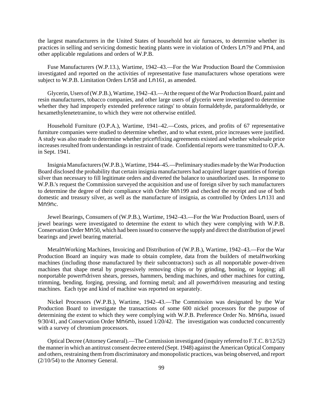the largest manufacturers in the United States of household hot air furnaces, to determine whether its practices in selling and servicing domestic heating plants were in violation of Orders Ln79 and Pn4, and other applicable regulations and orders of W.P.B.

Fuse Manufacturers (W.P.13.), Wartime, 1942–43.—For the War Production Board the Commission investigated and reported on the activities of representative fuse manufacturers whose operations were subject to W.P.B. Limitation Orders Ln58 and Ln161, as amended.

Glycerin, Users of (W.P.B.), Wartime, 1942–43.—At the request of the War Production Board, paint and resin manufacturers, tobacco companies, and other large users of glycerin were investigated to determine whether they had improperly extended preference ratings' to obtain formaldehyde, paraformaldehyde, or hexamethylenetetramine, to which they were not otherwise entitled.

Household Furniture (O.P.A.), Wartime, 1941–42.—Costs, prices, and profits of 67 representative furniture companies were studied to determine whether, and to what extent, price increases were justified. A study was also made to determine whether pricenfixing agreements existed and whether wholesale price increases resulted from understandings in restraint of trade. Confidential reports were transmitted to O.P.A. in Sept. 1941.

InsigniaManufacturers(W.P.B.), Wartime, 1944–45.—Preliminary studies made by the War Production Board disclosed the probability that certain insignia manufacturers had acquired larger quantities of foreign silver than necessary to fill legitimate orders and diverted the balance to unauthorized uses. In response to W.P.B.'s request the Commission surveyed the acquisition and use of foreign silver by such manufacturers to determine the degree of their compliance with Order Mn199 and checked the receipt and use of both domestic and treasury silver, as well as the manufacture of insignia, as controlled by Orders Ln131 and Mn9nc.

Jewel Bearings, Consumers of (W.P.B.), Wartime, 1942–43.—For the War Production Board, users of jewel bearings were investigated to determine the extent to which they were complying with W.P.B. Conservation Order Mn50, which had been issued to conserve the supply and direct the distribution of jewel bearings and jewel bearing material.

MetalnWorking Machines, Invoicing and Distribution of (W.P.B.), Wartime, 1942–43.—For the War Production Board an inquiry was made to obtain complete, data from the builders of metalnworking machines (including those manufactured by their subcontractors) such as all nonportable power-driven machines that shape metal by progressively removing chips or by grinding, boning, or lopping; all nonportable powerndriven shears, presses, hammers, bending machines, and other machines for cutting, trimming, bending, forging, pressing, and forming metal; and all powerndriven measuring and testing machines. Each type and kind of machine was reported on separately.

Nickel Processors (W.P.B.), Wartime, 1942–43.—The Commission was designated by the War Production Board to investigate the transactions of some 600 nickel processors for the purpose of determining the extent to which they were complying with W.P.B. Preference Order No. Mn6na, issued 9/30/41, and Conservation Order Mn6nb, issued 1/20/42. The investigation was conducted concurrently with a survey of chromium processors.

Optical Decree (Attorney General).—The Commission investigated (inquiry referred to F.T.C. 8/12/52) the mannerin which an antitrust consent decree entered (Sept. 1948) against the American OpticalCompany and others, restraining them from discriminatory and monopolistic practices, was being observed, and report (2/10/54) to the Attorney General.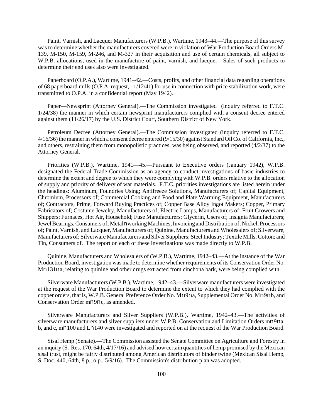Paint, Varnish, and Lacquer Manufacturers (W.P.B.), Wartime, 1943–44.—The purpose of this survey was to determine whether the manufacturers covered were in violation of War Production Board Orders M-139, M-150, M-159, M-246, and M-327 in their acquisition and use of certain chemicals, all subject to W.P.B. allocations, used in the manufacture of paint, varnish, and lacquer. Sales of such products to determine their end uses also were investigated.

Paperboard (O.P.A.), Wartime, 1941–42.—Costs, profits, and other financial data regarding operations of 68 paperboard mills (O.P.A. request, 11/12/41) for use in connection with price stabilization work, were transmitted to O.P.A. in a confidential report (May 1942).

Paper—Newsprint (Attorney General).—The Commission investigated (inquiry referred to F.T.C. 1/24/38) the manner in which certain newsprint manufacturers complied with a consent decree entered against them (11/26/17) by the U.S. District Court, Southern District of New York.

Petroleum Decree (Attorney General).—The Commission investigated (inquiry referred to F.T.C. 4/16/36) the manner in which a consent decree entered (9/15/30) against Standard OilCo. of California, Inc., and others, restraining them from monopolistic practices, was being observed, and reported (4/2/37) to the Attorney General.

Priorities (W.P.B.), Wartime, 1941—45.—Pursuant to Executive orders (January 1942), W.P.B. designated the Federal Trade Commission as an agency to conduct investigations of basic industries to determine the extent and degree to which they were complying with W.P.B. orders relative to the allocation of supply and priority of delivery of war materials. F.T.C. priorities investigations are listed herein under the headings: Aluminum, Foundries Using; Antifreeze Solutions, Manufacturers of; Capital Equipment, Chromium, Processors of; Commercial Cooking and Food and Plate Warming Equipment, Manufacturers of; Contractors, Prime, Forward Buying Practices of; Copper Base Alloy Ingot Makers; Copper, Primary Fabricators of; Costume Jewelry, Manufacturers of; Electric Lamps, Manufacturers of; Fruit Growers and Shippers; Furnaces, Hot Air, Household; Fuse Manufacturers; Glycerin, Users of; Insignia Manufacturers; Jewel Bearings, Consumers of; Metalnworking Machines, Invoicing and Distribution of; Nickel, Processors of; Paint, Varnish, and Lacquer, Manufacturers of; Quinine, Manufacturers and Wholesalers of; Silverware, Manufacturers of; Silverware Manufacturers and Silver Suppliers; Steel Industry; Textile Mills, Cotton; and Tin, Consumers of. The report on each of these investigations was made directly to W.P.B.

Quinine, Manufacturers and Wholesalers of (W.P.B.), Wartime, 1942–43.—At the instance of the War Production Board, investigation was made to determine whether requirements of its Conservation Order No. Mn131na, relating to quinine and other drugs extracted from cinchona bark, were being complied with.

Silverware Manufacturers (W.P.B.), Wartime, 1942–43.—Silverware manufacturers were investigated at the request of the War Production Board to determine the extent to which they had complied with the copper orders, that is, W.P.B. General Preference Order No. Mn9na, Supplemental Order No. Mn9nb, and Conservation Order mn9nc, as amended.

Silverware Manufacturers and Silver Suppliers (W.P.B.), Wartime, 1942–43.—The activities of silverware manufacturers and silver suppliers under W.P.B. Conservation and Limitation Orders mn9na, b, and c, mn100 and Ln140 were investigated and reported on at the request of the War Production Board.

Sisal Hemp (Senate).—The Commission assisted the Senate Committee on Agriculture and Forestry in an inquiry (S. Res. 170, 64th, 4/17/16) and advised how certain quantities of hemp promised by the Mexican sisal trust, might be fairly distributed among American distributors of binder twine (Mexican Sisal Hemp, S. Doc. 440, 64th, 8 p., o.p., 5/9/16). The Commission's distribution plan was adopted.